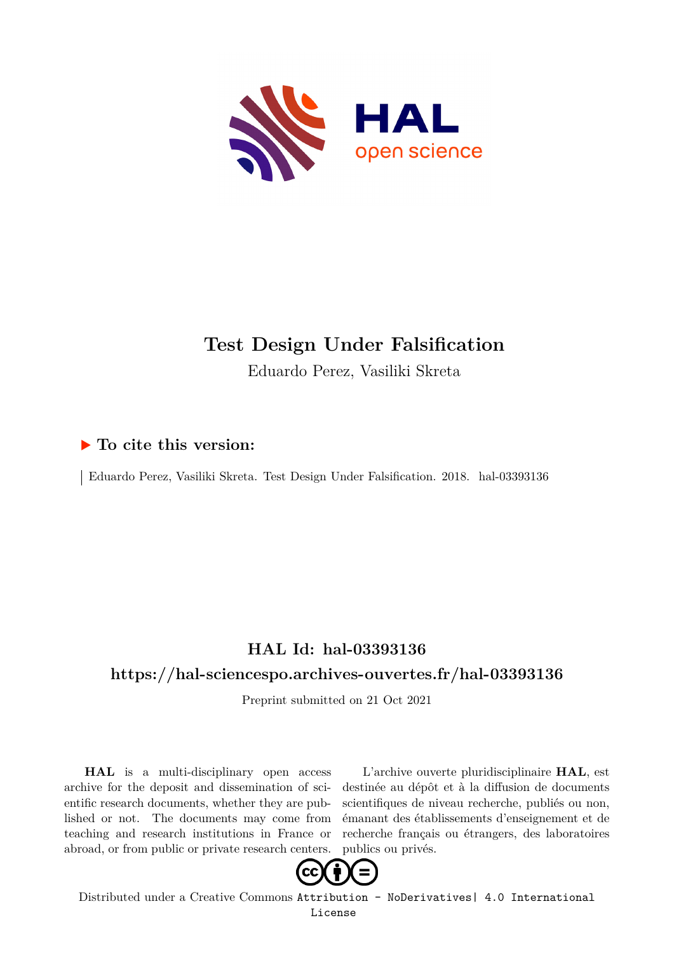

# **Test Design Under Falsification**

Eduardo Perez, Vasiliki Skreta

### **To cite this version:**

| Eduardo Perez, Vasiliki Skreta. Test Design Under Falsification. 2018. hal-03393136

### **HAL Id: hal-03393136**

### **<https://hal-sciencespo.archives-ouvertes.fr/hal-03393136>**

Preprint submitted on 21 Oct 2021

**HAL** is a multi-disciplinary open access archive for the deposit and dissemination of scientific research documents, whether they are published or not. The documents may come from teaching and research institutions in France or abroad, or from public or private research centers.

L'archive ouverte pluridisciplinaire **HAL**, est destinée au dépôt et à la diffusion de documents scientifiques de niveau recherche, publiés ou non, émanant des établissements d'enseignement et de recherche français ou étrangers, des laboratoires publics ou privés.



Distributed under a Creative Commons [Attribution - NoDerivatives| 4.0 International](http://creativecommons.org/licenses/by-nd/4.0/) [License](http://creativecommons.org/licenses/by-nd/4.0/)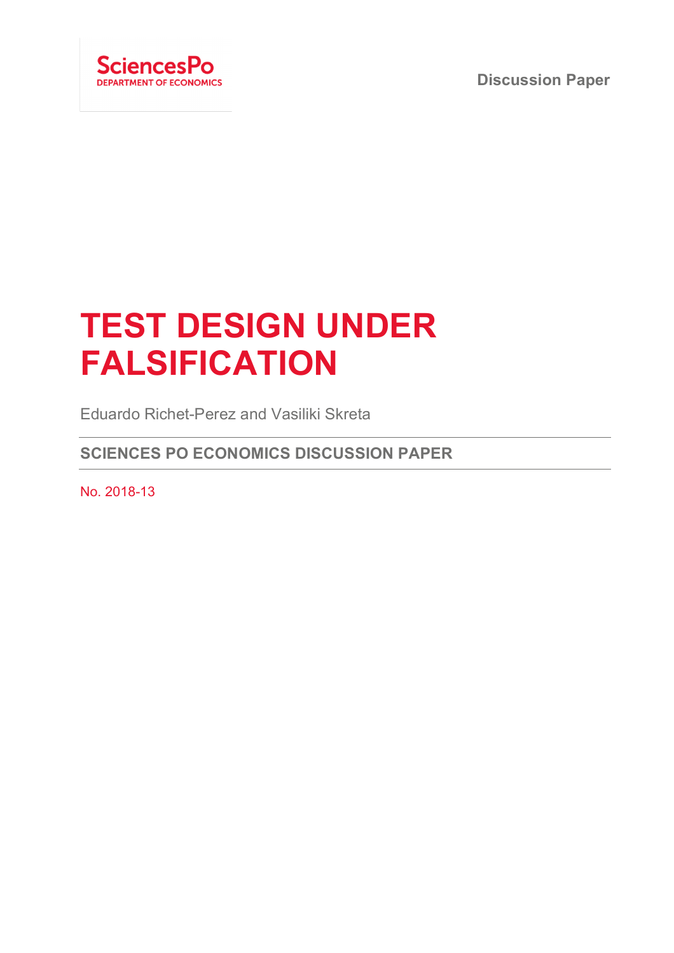



# **TEST DESIGN UNDER FALSIFICATION**

Eduardo Richet-Perez and Vasiliki Skreta

**SCIENCES PO ECONOMICS DISCUSSION PAPER**

No. 2018-13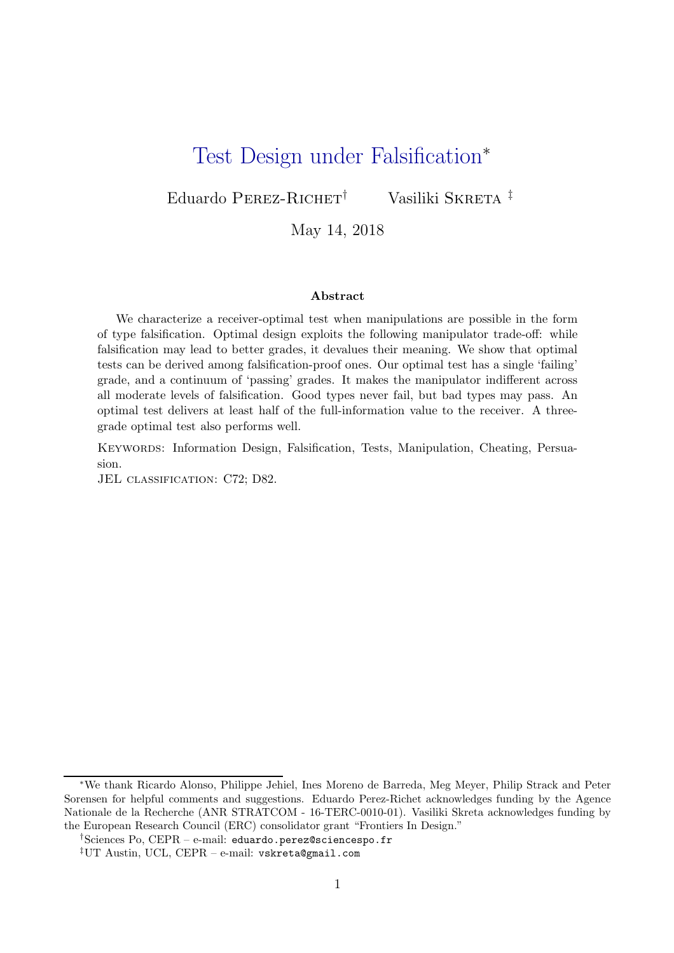## Test Design under Falsification<sup>∗</sup>

Eduardo PEREZ-RICHET<sup>†</sup> Vasiliki SKRETA <sup>‡</sup>

May 14, 2018

#### Abstract

We characterize a receiver-optimal test when manipulations are possible in the form of type falsification. Optimal design exploits the following manipulator trade-off: while falsification may lead to better grades, it devalues their meaning. We show that optimal tests can be derived among falsification-proof ones. Our optimal test has a single 'failing' grade, and a continuum of 'passing' grades. It makes the manipulator indifferent across all moderate levels of falsification. Good types never fail, but bad types may pass. An optimal test delivers at least half of the full-information value to the receiver. A threegrade optimal test also performs well.

Keywords: Information Design, Falsification, Tests, Manipulation, Cheating, Persuasion.

JEL CLASSIFICATION: C72; D82.

<sup>∗</sup>We thank Ricardo Alonso, Philippe Jehiel, Ines Moreno de Barreda, Meg Meyer, Philip Strack and Peter Sorensen for helpful comments and suggestions. Eduardo Perez-Richet acknowledges funding by the Agence Nationale de la Recherche (ANR STRATCOM - 16-TERC-0010-01). Vasiliki Skreta acknowledges funding by the European Research Council (ERC) consolidator grant "Frontiers In Design."

<sup>†</sup>Sciences Po, CEPR – e-mail: eduardo.perez@sciencespo.fr

<sup>‡</sup>UT Austin, UCL, CEPR – e-mail: vskreta@gmail.com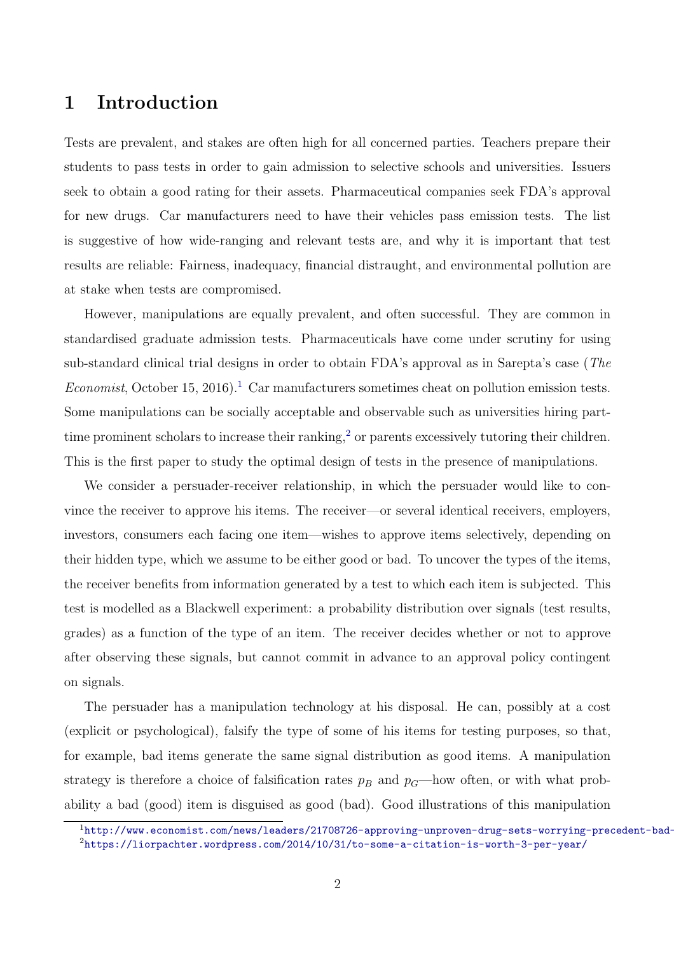### 1 Introduction

Tests are prevalent, and stakes are often high for all concerned parties. Teachers prepare their students to pass tests in order to gain admission to selective schools and universities. Issuers seek to obtain a good rating for their assets. Pharmaceutical companies seek FDA's approval for new drugs. Car manufacturers need to have their vehicles pass emission tests. The list is suggestive of how wide-ranging and relevant tests are, and why it is important that test results are reliable: Fairness, inadequacy, financial distraught, and environmental pollution are at stake when tests are compromised.

However, manipulations are equally prevalent, and often successful. They are common in standardised graduate admission tests. Pharmaceuticals have come under scrutiny for using sub-standard clinical trial designs in order to obtain FDA's approval as in Sarepta's case (The Economist, October 15, 2016).<sup>1</sup> Car manufacturers sometimes cheat on pollution emission tests. Some manipulations can be socially acceptable and observable such as universities hiring parttime prominent scholars to increase their ranking,<sup>2</sup> or parents excessively tutoring their children. This is the first paper to study the optimal design of tests in the presence of manipulations.

We consider a persuader-receiver relationship, in which the persuader would like to convince the receiver to approve his items. The receiver—or several identical receivers, employers, investors, consumers each facing one item—wishes to approve items selectively, depending on their hidden type, which we assume to be either good or bad. To uncover the types of the items, the receiver benefits from information generated by a test to which each item is subjected. This test is modelled as a Blackwell experiment: a probability distribution over signals (test results, grades) as a function of the type of an item. The receiver decides whether or not to approve after observing these signals, but cannot commit in advance to an approval policy contingent on signals.

The persuader has a manipulation technology at his disposal. He can, possibly at a cost (explicit or psychological), falsify the type of some of his items for testing purposes, so that, for example, bad items generate the same signal distribution as good items. A manipulation strategy is therefore a choice of falsification rates  $p_B$  and  $p_G$ —how often, or with what probability a bad (good) item is disguised as good (bad). Good illustrations of this manipulation

<sup>1</sup>[http://www.economist.com/news/leaders/21708726-approving-unproven-drug-sets-worrying-precedent-bad-](http://www.economist.com/news/leaders/21708726-approving-unproven-drug-sets-worrying-precedent-bad-medicine)<sup>2</sup><https://liorpachter.wordpress.com/2014/10/31/to-some-a-citation-is-worth-3-per-year/>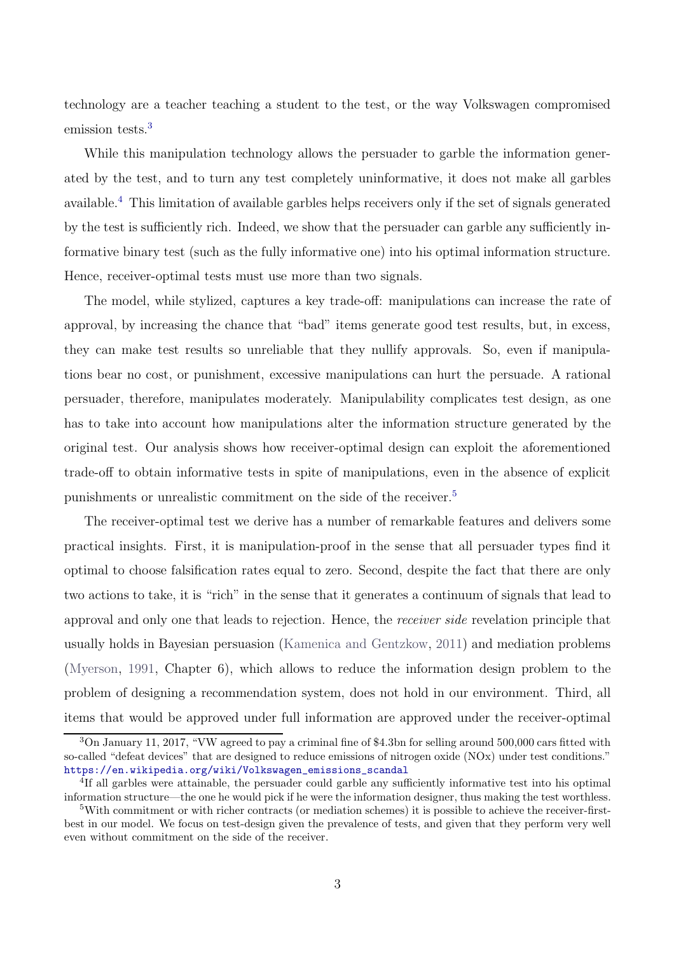technology are a teacher teaching a student to the test, or the way Volkswagen compromised emission tests.<sup>3</sup>

While this manipulation technology allows the persuader to garble the information generated by the test, and to turn any test completely uninformative, it does not make all garbles available.<sup>4</sup> This limitation of available garbles helps receivers only if the set of signals generated by the test is sufficiently rich. Indeed, we show that the persuader can garble any sufficiently informative binary test (such as the fully informative one) into his optimal information structure. Hence, receiver-optimal tests must use more than two signals.

The model, while stylized, captures a key trade-off: manipulations can increase the rate of approval, by increasing the chance that "bad" items generate good test results, but, in excess, they can make test results so unreliable that they nullify approvals. So, even if manipulations bear no cost, or punishment, excessive manipulations can hurt the persuade. A rational persuader, therefore, manipulates moderately. Manipulability complicates test design, as one has to take into account how manipulations alter the information structure generated by the original test. Our analysis shows how receiver-optimal design can exploit the aforementioned trade-off to obtain informative tests in spite of manipulations, even in the absence of explicit punishments or unrealistic commitment on the side of the receiver.<sup>5</sup>

The receiver-optimal test we derive has a number of remarkable features and delivers some practical insights. First, it is manipulation-proof in the sense that all persuader types find it optimal to choose falsification rates equal to zero. Second, despite the fact that there are only two actions to take, it is "rich" in the sense that it generates a continuum of signals that lead to approval and only one that leads to rejection. Hence, the receiver side revelation principle that usually holds in Bayesian persuasion (Kamenica and Gentzkow, 2011) and mediation problems (Myerson, 1991, Chapter 6), which allows to reduce the information design problem to the problem of designing a recommendation system, does not hold in our environment. Third, all items that would be approved under full information are approved under the receiver-optimal

<sup>3</sup>On January 11, 2017, "VW agreed to pay a criminal fine of \$4.3bn for selling around 500,000 cars fitted with so-called "defeat devices" that are designed to reduce emissions of nitrogen oxide (NOx) under test conditions." [https://en.wikipedia.org/wiki/Volkswagen\\_emissions\\_scandal](https://en.wikipedia.org/wiki/Volkswagen_emissions_scandal)

<sup>&</sup>lt;sup>4</sup>If all garbles were attainable, the persuader could garble any sufficiently informative test into his optimal information structure—the one he would pick if he were the information designer, thus making the test worthless.

<sup>5</sup>With commitment or with richer contracts (or mediation schemes) it is possible to achieve the receiver-firstbest in our model. We focus on test-design given the prevalence of tests, and given that they perform very well even without commitment on the side of the receiver.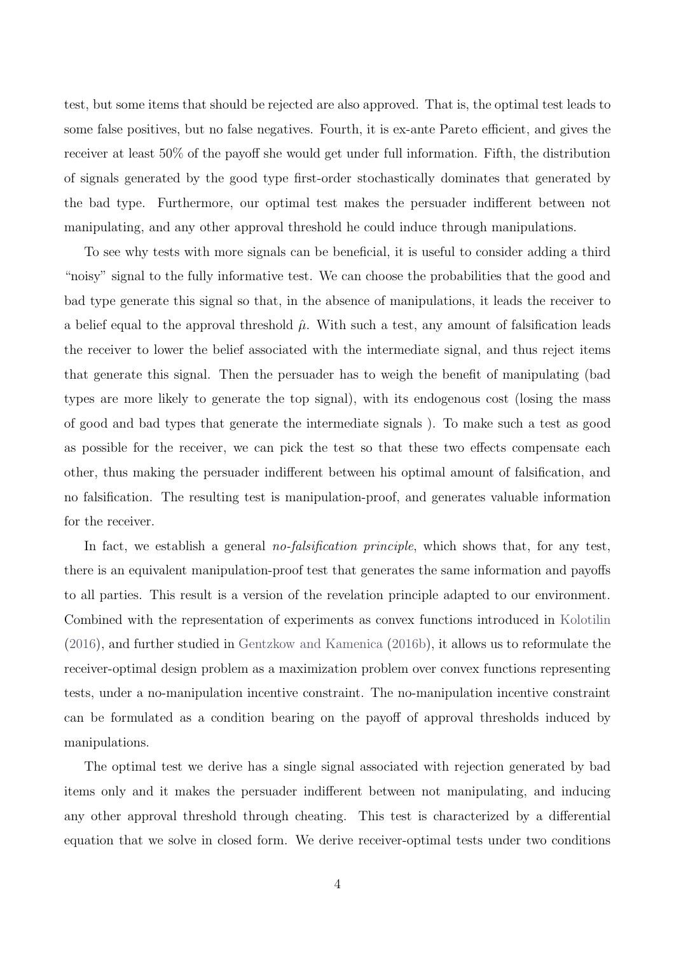test, but some items that should be rejected are also approved. That is, the optimal test leads to some false positives, but no false negatives. Fourth, it is ex-ante Pareto efficient, and gives the receiver at least 50% of the payoff she would get under full information. Fifth, the distribution of signals generated by the good type first-order stochastically dominates that generated by the bad type. Furthermore, our optimal test makes the persuader indifferent between not manipulating, and any other approval threshold he could induce through manipulations.

To see why tests with more signals can be beneficial, it is useful to consider adding a third "noisy" signal to the fully informative test. We can choose the probabilities that the good and bad type generate this signal so that, in the absence of manipulations, it leads the receiver to a belief equal to the approval threshold  $\hat{\mu}$ . With such a test, any amount of falsification leads the receiver to lower the belief associated with the intermediate signal, and thus reject items that generate this signal. Then the persuader has to weigh the benefit of manipulating (bad types are more likely to generate the top signal), with its endogenous cost (losing the mass of good and bad types that generate the intermediate signals ). To make such a test as good as possible for the receiver, we can pick the test so that these two effects compensate each other, thus making the persuader indifferent between his optimal amount of falsification, and no falsification. The resulting test is manipulation-proof, and generates valuable information for the receiver.

In fact, we establish a general *no-falsification principle*, which shows that, for any test, there is an equivalent manipulation-proof test that generates the same information and payoffs to all parties. This result is a version of the revelation principle adapted to our environment. Combined with the representation of experiments as convex functions introduced in Kolotilin (2016), and further studied in Gentzkow and Kamenica (2016b), it allows us to reformulate the receiver-optimal design problem as a maximization problem over convex functions representing tests, under a no-manipulation incentive constraint. The no-manipulation incentive constraint can be formulated as a condition bearing on the payoff of approval thresholds induced by manipulations.

The optimal test we derive has a single signal associated with rejection generated by bad items only and it makes the persuader indifferent between not manipulating, and inducing any other approval threshold through cheating. This test is characterized by a differential equation that we solve in closed form. We derive receiver-optimal tests under two conditions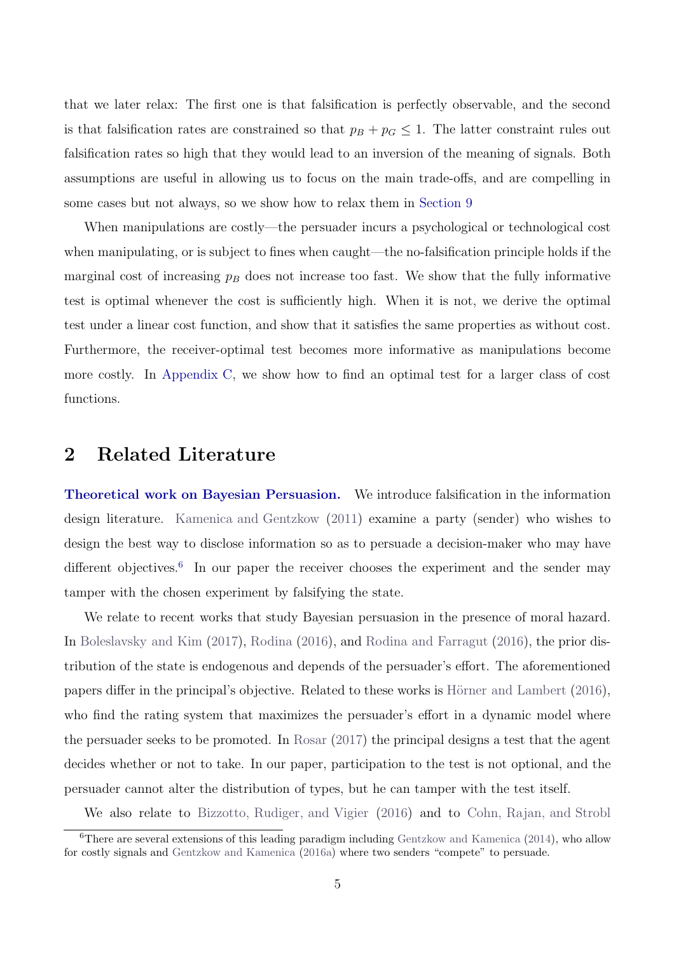that we later relax: The first one is that falsification is perfectly observable, and the second is that falsification rates are constrained so that  $p_B + p_G \leq 1$ . The latter constraint rules out falsification rates so high that they would lead to an inversion of the meaning of signals. Both assumptions are useful in allowing us to focus on the main trade-offs, and are compelling in some cases but not always, so we show how to relax them in Section 9

When manipulations are costly—the persuader incurs a psychological or technological cost when manipulating, or is subject to fines when caught—the no-falsification principle holds if the marginal cost of increasing  $p_B$  does not increase too fast. We show that the fully informative test is optimal whenever the cost is sufficiently high. When it is not, we derive the optimal test under a linear cost function, and show that it satisfies the same properties as without cost. Furthermore, the receiver-optimal test becomes more informative as manipulations become more costly. In Appendix C, we show how to find an optimal test for a larger class of cost functions.

### 2 Related Literature

Theoretical work on Bayesian Persuasion. We introduce falsification in the information design literature. Kamenica and Gentzkow (2011) examine a party (sender) who wishes to design the best way to disclose information so as to persuade a decision-maker who may have different objectives.<sup>6</sup> In our paper the receiver chooses the experiment and the sender may tamper with the chosen experiment by falsifying the state.

We relate to recent works that study Bayesian persuasion in the presence of moral hazard. In Boleslavsky and Kim (2017), Rodina (2016), and Rodina and Farragut (2016), the prior distribution of the state is endogenous and depends of the persuader's effort. The aforementioned papers differ in the principal's objective. Related to these works is Hörner and Lambert  $(2016)$ , who find the rating system that maximizes the persuader's effort in a dynamic model where the persuader seeks to be promoted. In Rosar (2017) the principal designs a test that the agent decides whether or not to take. In our paper, participation to the test is not optional, and the persuader cannot alter the distribution of types, but he can tamper with the test itself.

We also relate to Bizzotto, Rudiger, and Vigier (2016) and to Cohn, Rajan, and Strobl

 $6$ There are several extensions of this leading paradigm including Gentzkow and Kamenica (2014), who allow for costly signals and Gentzkow and Kamenica (2016a) where two senders "compete" to persuade.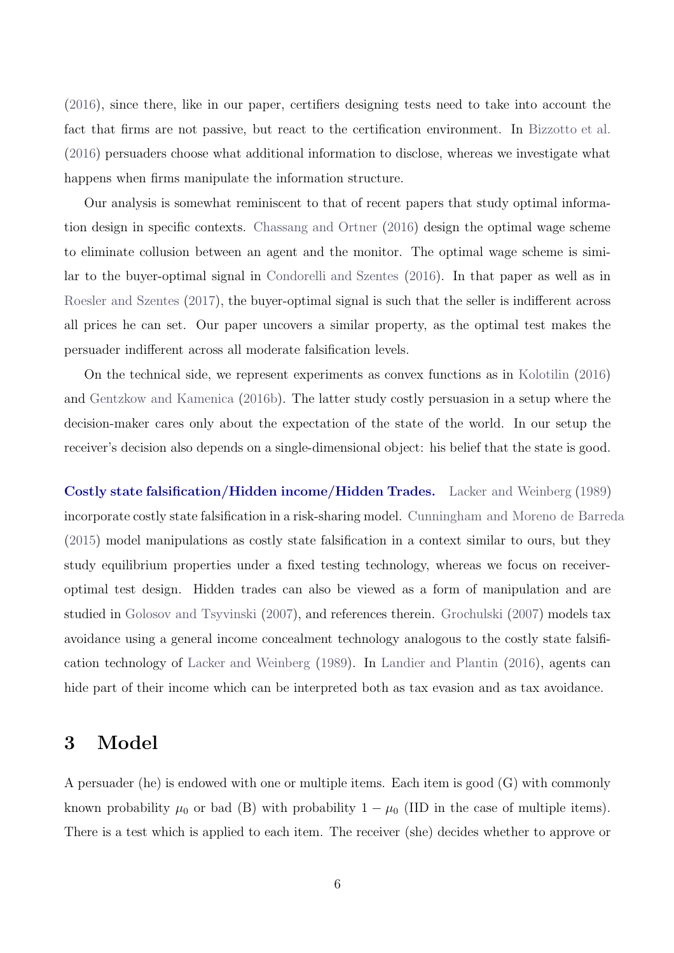(2016), since there, like in our paper, certifiers designing tests need to take into account the fact that firms are not passive, but react to the certification environment. In Bizzotto et al. (2016) persuaders choose what additional information to disclose, whereas we investigate what happens when firms manipulate the information structure.

Our analysis is somewhat reminiscent to that of recent papers that study optimal information design in specific contexts. Chassang and Ortner (2016) design the optimal wage scheme to eliminate collusion between an agent and the monitor. The optimal wage scheme is similar to the buyer-optimal signal in Condorelli and Szentes (2016). In that paper as well as in Roesler and Szentes (2017), the buyer-optimal signal is such that the seller is indifferent across all prices he can set. Our paper uncovers a similar property, as the optimal test makes the persuader indifferent across all moderate falsification levels.

On the technical side, we represent experiments as convex functions as in Kolotilin (2016) and Gentzkow and Kamenica (2016b). The latter study costly persuasion in a setup where the decision-maker cares only about the expectation of the state of the world. In our setup the receiver's decision also depends on a single-dimensional object: his belief that the state is good.

Costly state falsification/Hidden income/Hidden Trades. Lacker and Weinberg (1989) incorporate costly state falsification in a risk-sharing model. Cunningham and Moreno de Barreda (2015) model manipulations as costly state falsification in a context similar to ours, but they study equilibrium properties under a fixed testing technology, whereas we focus on receiveroptimal test design. Hidden trades can also be viewed as a form of manipulation and are studied in Golosov and Tsyvinski (2007), and references therein. Grochulski (2007) models tax avoidance using a general income concealment technology analogous to the costly state falsification technology of Lacker and Weinberg (1989). In Landier and Plantin (2016), agents can hide part of their income which can be interpreted both as tax evasion and as tax avoidance.

### 3 Model

A persuader (he) is endowed with one or multiple items. Each item is good (G) with commonly known probability  $\mu_0$  or bad (B) with probability  $1 - \mu_0$  (IID in the case of multiple items). There is a test which is applied to each item. The receiver (she) decides whether to approve or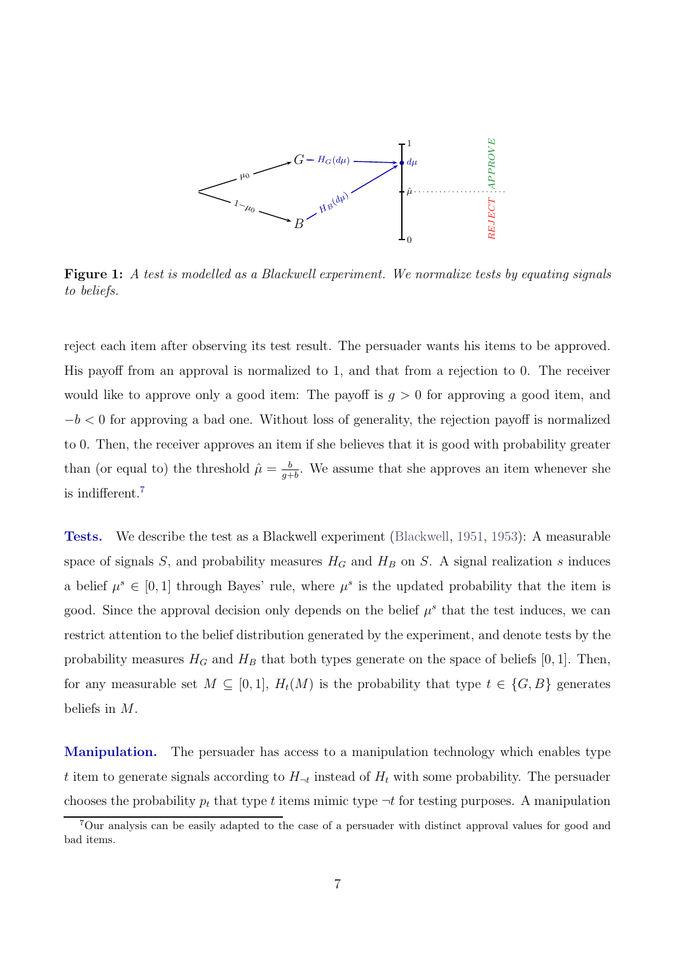

Figure 1: A test is modelled as a Blackwell experiment. We normalize tests by equating signals to beliefs.

reject each item after observing its test result. The persuader wants his items to be approved. His payoff from an approval is normalized to 1, and that from a rejection to 0. The receiver would like to approve only a good item: The payoff is  $g > 0$  for approving a good item, and  $-b < 0$  for approving a bad one. Without loss of generality, the rejection payoff is normalized to 0. Then, the receiver approves an item if she believes that it is good with probability greater than (or equal to) the threshold  $\hat{\mu} = \frac{b}{a+1}$  $\frac{b}{g+b}$ . We assume that she approves an item whenever she is indifferent.<sup>7</sup>

Tests. We describe the test as a Blackwell experiment (Blackwell, 1951, 1953): A measurable space of signals S, and probability measures  $H_G$  and  $H_B$  on S. A signal realization s induces a belief  $\mu^s \in [0,1]$  through Bayes' rule, where  $\mu^s$  is the updated probability that the item is good. Since the approval decision only depends on the belief  $\mu^s$  that the test induces, we can restrict attention to the belief distribution generated by the experiment, and denote tests by the probability measures  $H_G$  and  $H_B$  that both types generate on the space of beliefs [0, 1]. Then, for any measurable set  $M \subseteq [0,1]$ ,  $H_t(M)$  is the probability that type  $t \in \{G, B\}$  generates beliefs in M.

Manipulation. The persuader has access to a manipulation technology which enables type t item to generate signals according to  $H_{\neg t}$  instead of  $H_t$  with some probability. The persuader chooses the probability  $p_t$  that type t items mimic type  $\neg t$  for testing purposes. A manipulation

<sup>7</sup>Our analysis can be easily adapted to the case of a persuader with distinct approval values for good and bad items.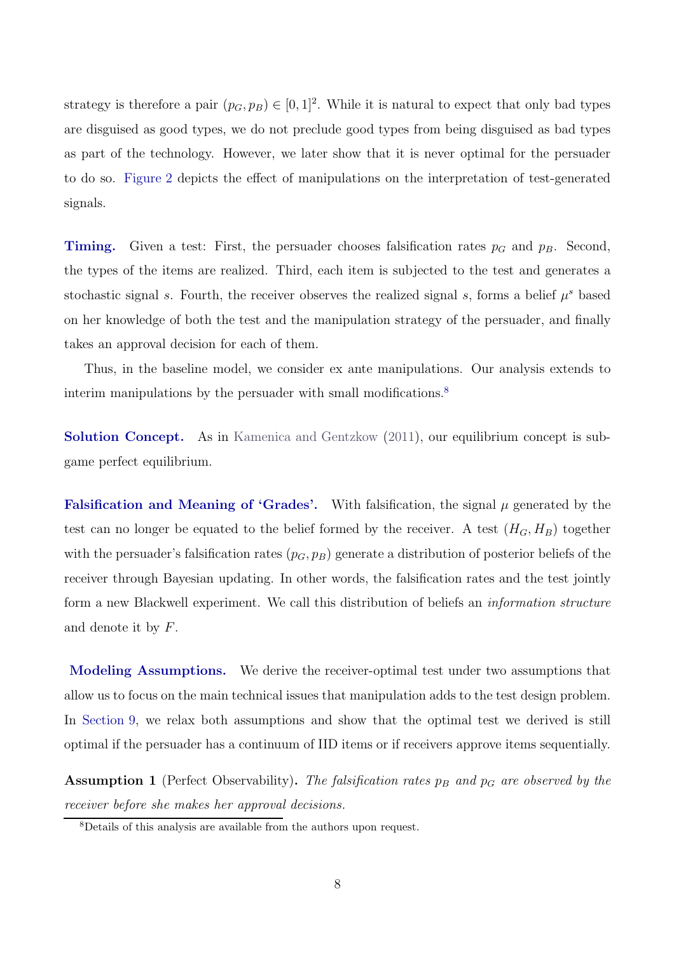strategy is therefore a pair  $(p_G, p_B) \in [0, 1]^2$ . While it is natural to expect that only bad types are disguised as good types, we do not preclude good types from being disguised as bad types as part of the technology. However, we later show that it is never optimal for the persuader to do so. Figure 2 depicts the effect of manipulations on the interpretation of test-generated signals.

**Timing.** Given a test: First, the persuader chooses falsification rates  $p_G$  and  $p_B$ . Second, the types of the items are realized. Third, each item is subjected to the test and generates a stochastic signal s. Fourth, the receiver observes the realized signal s, forms a belief  $\mu^s$  based on her knowledge of both the test and the manipulation strategy of the persuader, and finally takes an approval decision for each of them.

Thus, in the baseline model, we consider ex ante manipulations. Our analysis extends to interim manipulations by the persuader with small modifications.<sup>8</sup>

Solution Concept. As in Kamenica and Gentzkow (2011), our equilibrium concept is subgame perfect equilibrium.

**Falsification and Meaning of 'Grades'.** With falsification, the signal  $\mu$  generated by the test can no longer be equated to the belief formed by the receiver. A test  $(H_G, H_B)$  together with the persuader's falsification rates  $(p_G, p_B)$  generate a distribution of posterior beliefs of the receiver through Bayesian updating. In other words, the falsification rates and the test jointly form a new Blackwell experiment. We call this distribution of beliefs an information structure and denote it by F.

Modeling Assumptions. We derive the receiver-optimal test under two assumptions that allow us to focus on the main technical issues that manipulation adds to the test design problem. In Section 9, we relax both assumptions and show that the optimal test we derived is still optimal if the persuader has a continuum of IID items or if receivers approve items sequentially.

**Assumption 1** (Perfect Observability). The falsification rates  $p_B$  and  $p_G$  are observed by the receiver before she makes her approval decisions.

<sup>8</sup>Details of this analysis are available from the authors upon request.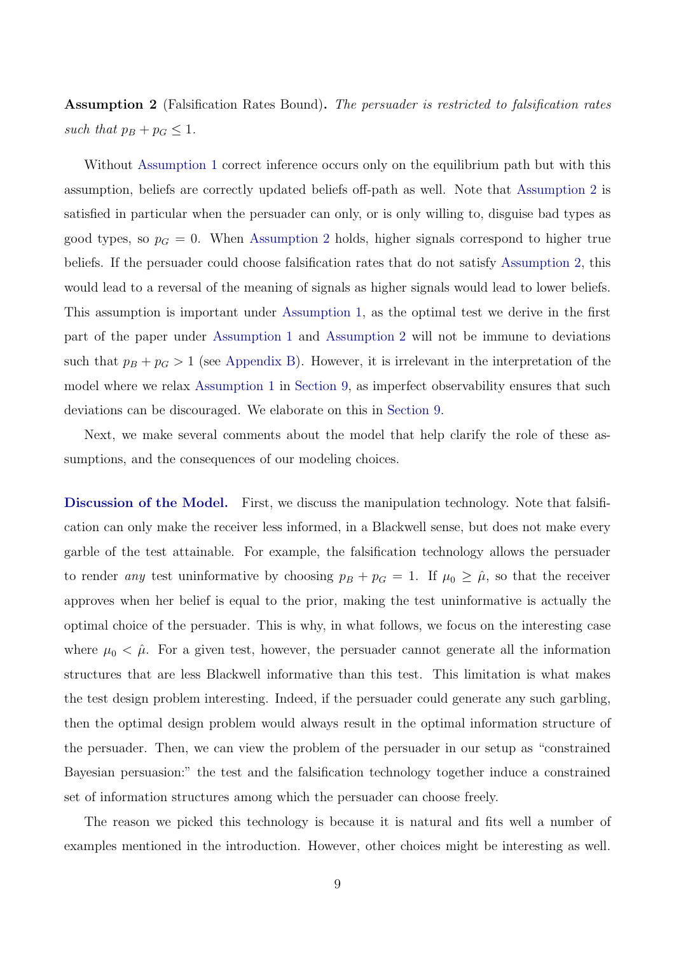Assumption 2 (Falsification Rates Bound). The persuader is restricted to falsification rates such that  $p_B + p_G \leq 1$ .

Without Assumption 1 correct inference occurs only on the equilibrium path but with this assumption, beliefs are correctly updated beliefs off-path as well. Note that Assumption 2 is satisfied in particular when the persuader can only, or is only willing to, disguise bad types as good types, so  $p<sub>G</sub> = 0$ . When Assumption 2 holds, higher signals correspond to higher true beliefs. If the persuader could choose falsification rates that do not satisfy Assumption 2, this would lead to a reversal of the meaning of signals as higher signals would lead to lower beliefs. This assumption is important under Assumption 1, as the optimal test we derive in the first part of the paper under Assumption 1 and Assumption 2 will not be immune to deviations such that  $p_B + p_G > 1$  (see Appendix B). However, it is irrelevant in the interpretation of the model where we relax Assumption 1 in Section 9, as imperfect observability ensures that such deviations can be discouraged. We elaborate on this in Section 9.

Next, we make several comments about the model that help clarify the role of these assumptions, and the consequences of our modeling choices.

Discussion of the Model. First, we discuss the manipulation technology. Note that falsification can only make the receiver less informed, in a Blackwell sense, but does not make every garble of the test attainable. For example, the falsification technology allows the persuader to render any test uninformative by choosing  $p_B + p_G = 1$ . If  $\mu_0 \ge \hat{\mu}$ , so that the receiver approves when her belief is equal to the prior, making the test uninformative is actually the optimal choice of the persuader. This is why, in what follows, we focus on the interesting case where  $\mu_0 < \hat{\mu}$ . For a given test, however, the persuader cannot generate all the information structures that are less Blackwell informative than this test. This limitation is what makes the test design problem interesting. Indeed, if the persuader could generate any such garbling, then the optimal design problem would always result in the optimal information structure of the persuader. Then, we can view the problem of the persuader in our setup as "constrained Bayesian persuasion:" the test and the falsification technology together induce a constrained set of information structures among which the persuader can choose freely.

The reason we picked this technology is because it is natural and fits well a number of examples mentioned in the introduction. However, other choices might be interesting as well.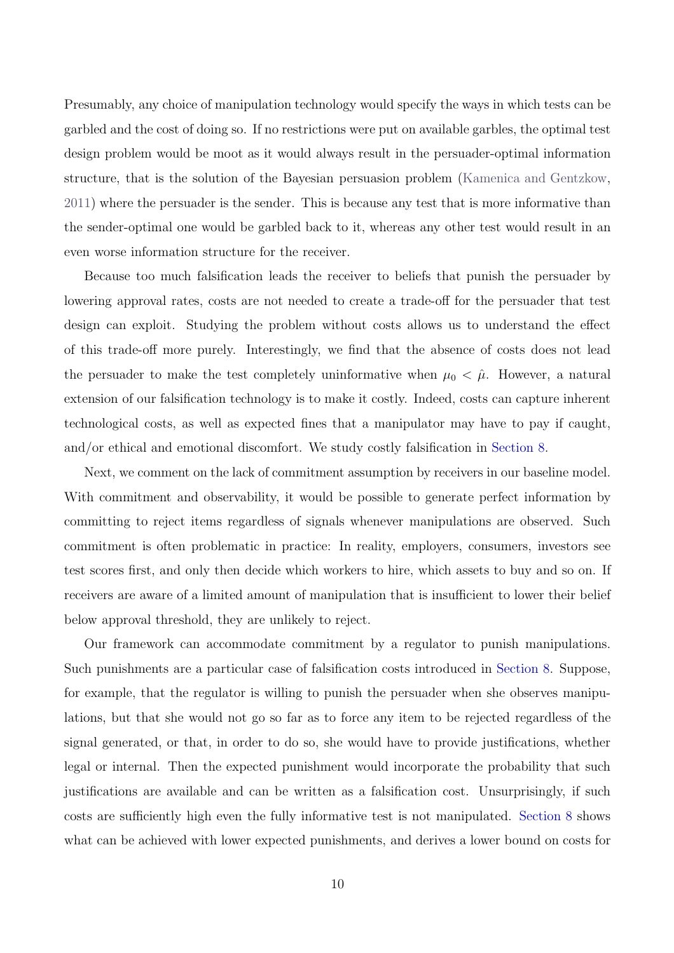Presumably, any choice of manipulation technology would specify the ways in which tests can be garbled and the cost of doing so. If no restrictions were put on available garbles, the optimal test design problem would be moot as it would always result in the persuader-optimal information structure, that is the solution of the Bayesian persuasion problem (Kamenica and Gentzkow, 2011) where the persuader is the sender. This is because any test that is more informative than the sender-optimal one would be garbled back to it, whereas any other test would result in an even worse information structure for the receiver.

Because too much falsification leads the receiver to beliefs that punish the persuader by lowering approval rates, costs are not needed to create a trade-off for the persuader that test design can exploit. Studying the problem without costs allows us to understand the effect of this trade-off more purely. Interestingly, we find that the absence of costs does not lead the persuader to make the test completely uninformative when  $\mu_0 < \hat{\mu}$ . However, a natural extension of our falsification technology is to make it costly. Indeed, costs can capture inherent technological costs, as well as expected fines that a manipulator may have to pay if caught, and/or ethical and emotional discomfort. We study costly falsification in Section 8.

Next, we comment on the lack of commitment assumption by receivers in our baseline model. With commitment and observability, it would be possible to generate perfect information by committing to reject items regardless of signals whenever manipulations are observed. Such commitment is often problematic in practice: In reality, employers, consumers, investors see test scores first, and only then decide which workers to hire, which assets to buy and so on. If receivers are aware of a limited amount of manipulation that is insufficient to lower their belief below approval threshold, they are unlikely to reject.

Our framework can accommodate commitment by a regulator to punish manipulations. Such punishments are a particular case of falsification costs introduced in Section 8. Suppose, for example, that the regulator is willing to punish the persuader when she observes manipulations, but that she would not go so far as to force any item to be rejected regardless of the signal generated, or that, in order to do so, she would have to provide justifications, whether legal or internal. Then the expected punishment would incorporate the probability that such justifications are available and can be written as a falsification cost. Unsurprisingly, if such costs are sufficiently high even the fully informative test is not manipulated. Section 8 shows what can be achieved with lower expected punishments, and derives a lower bound on costs for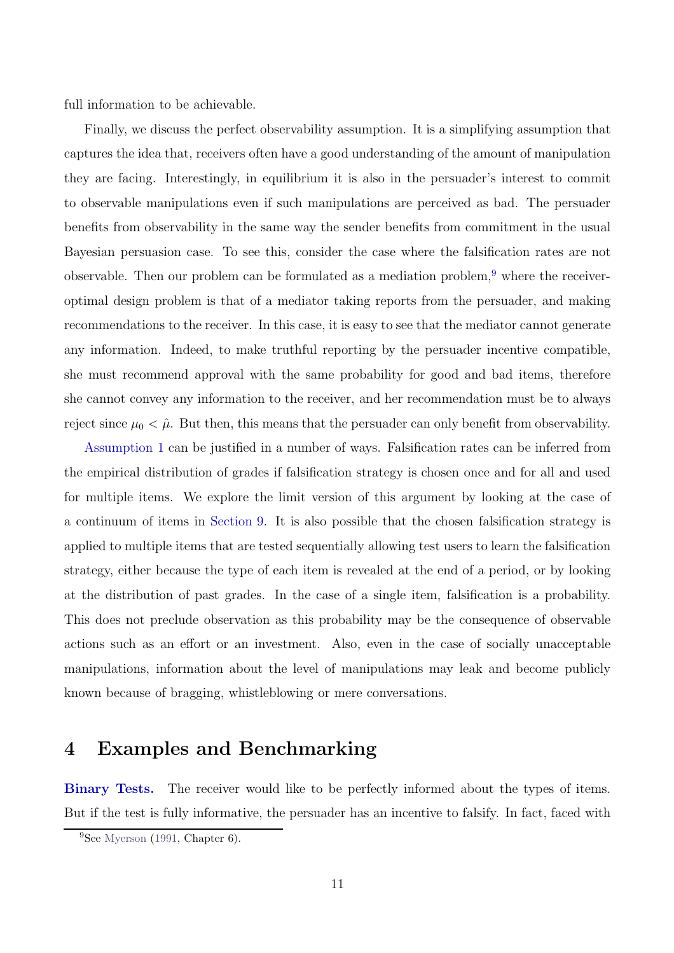full information to be achievable.

Finally, we discuss the perfect observability assumption. It is a simplifying assumption that captures the idea that, receivers often have a good understanding of the amount of manipulation they are facing. Interestingly, in equilibrium it is also in the persuader's interest to commit to observable manipulations even if such manipulations are perceived as bad. The persuader benefits from observability in the same way the sender benefits from commitment in the usual Bayesian persuasion case. To see this, consider the case where the falsification rates are not observable. Then our problem can be formulated as a mediation problem,<sup>9</sup> where the receiveroptimal design problem is that of a mediator taking reports from the persuader, and making recommendations to the receiver. In this case, it is easy to see that the mediator cannot generate any information. Indeed, to make truthful reporting by the persuader incentive compatible, she must recommend approval with the same probability for good and bad items, therefore she cannot convey any information to the receiver, and her recommendation must be to always reject since  $\mu_0 < \hat{\mu}$ . But then, this means that the persuader can only benefit from observability.

Assumption 1 can be justified in a number of ways. Falsification rates can be inferred from the empirical distribution of grades if falsification strategy is chosen once and for all and used for multiple items. We explore the limit version of this argument by looking at the case of a continuum of items in Section 9. It is also possible that the chosen falsification strategy is applied to multiple items that are tested sequentially allowing test users to learn the falsification strategy, either because the type of each item is revealed at the end of a period, or by looking at the distribution of past grades. In the case of a single item, falsification is a probability. This does not preclude observation as this probability may be the consequence of observable actions such as an effort or an investment. Also, even in the case of socially unacceptable manipulations, information about the level of manipulations may leak and become publicly known because of bragging, whistleblowing or mere conversations.

### 4 Examples and Benchmarking

Binary Tests. The receiver would like to be perfectly informed about the types of items. But if the test is fully informative, the persuader has an incentive to falsify. In fact, faced with

<sup>&</sup>lt;sup>9</sup>See Myerson (1991, Chapter 6).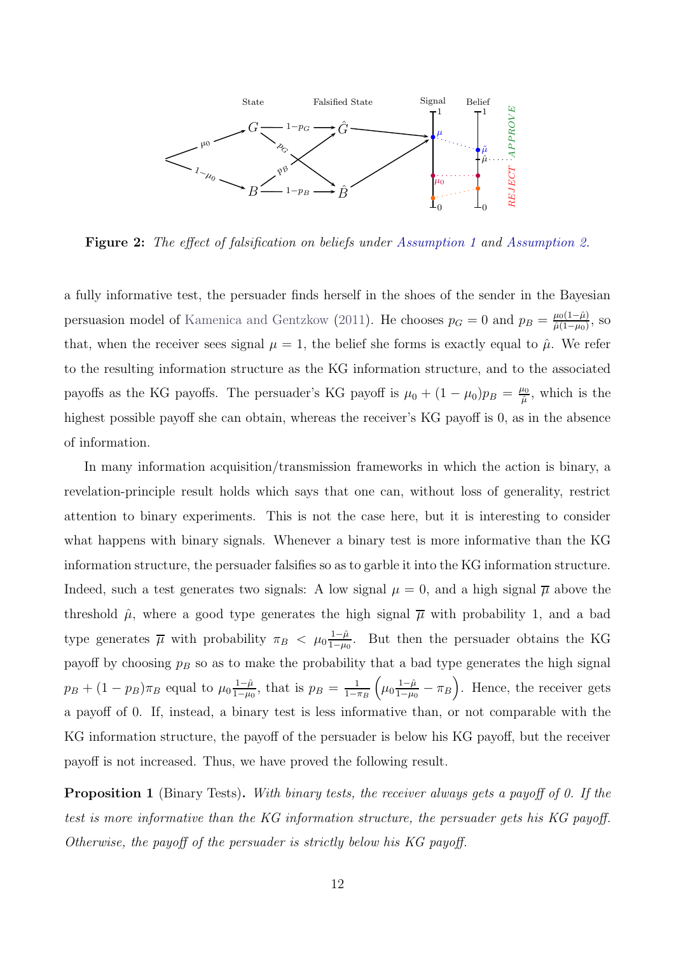

Figure 2: The effect of falsification on beliefs under Assumption 1 and Assumption 2.

a fully informative test, the persuader finds herself in the shoes of the sender in the Bayesian persuasion model of Kamenica and Gentzkow (2011). He chooses  $p_G = 0$  and  $p_B = \frac{\mu_0(1-\hat{\mu})}{\hat{\mu}(1-\mu_0)}$  $\frac{\mu_0(1-\mu)}{\hat{\mu}(1-\mu_0)},$  so that, when the receiver sees signal  $\mu = 1$ , the belief she forms is exactly equal to  $\hat{\mu}$ . We refer to the resulting information structure as the KG information structure, and to the associated payoffs as the KG payoffs. The persuader's KG payoff is  $\mu_0 + (1 - \mu_0)p_B = \frac{\mu_0}{\hat{\mu}}$  $\frac{u_0}{\hat{\mu}}$ , which is the highest possible payoff she can obtain, whereas the receiver's KG payoff is 0, as in the absence of information.

In many information acquisition/transmission frameworks in which the action is binary, a revelation-principle result holds which says that one can, without loss of generality, restrict attention to binary experiments. This is not the case here, but it is interesting to consider what happens with binary signals. Whenever a binary test is more informative than the KG information structure, the persuader falsifies so as to garble it into the KG information structure. Indeed, such a test generates two signals: A low signal  $\mu = 0$ , and a high signal  $\overline{\mu}$  above the threshold  $\hat{\mu}$ , where a good type generates the high signal  $\bar{\mu}$  with probability 1, and a bad type generates  $\overline{\mu}$  with probability  $\pi_B < \mu_0 \frac{1-\hat{\mu}}{1-\mu_0}$  $\frac{1-\mu}{1-\mu_0}$ . But then the persuader obtains the KG payoff by choosing  $p_B$  so as to make the probability that a bad type generates the high signal  $p_B + (1 - p_B)\pi_B$  equal to  $\mu_0 \frac{1 - \hat{\mu}}{1 - \mu_C}$  $\frac{1-\hat{\mu}}{1-\mu_0}$ , that is  $p_B = \frac{1}{1-\hat{\mu}}$  $1-\pi_B$  $\left(\mu_0 \frac{1-\hat{\mu}}{1-\mu_0}\right)$  $\frac{1-\hat{\mu}}{1-\mu_0} - \pi_B$ . Hence, the receiver gets a payoff of 0. If, instead, a binary test is less informative than, or not comparable with the KG information structure, the payoff of the persuader is below his KG payoff, but the receiver payoff is not increased. Thus, we have proved the following result.

**Proposition 1** (Binary Tests). With binary tests, the receiver always gets a payoff of 0. If the test is more informative than the KG information structure, the persuader gets his KG payoff. Otherwise, the payoff of the persuader is strictly below his KG payoff.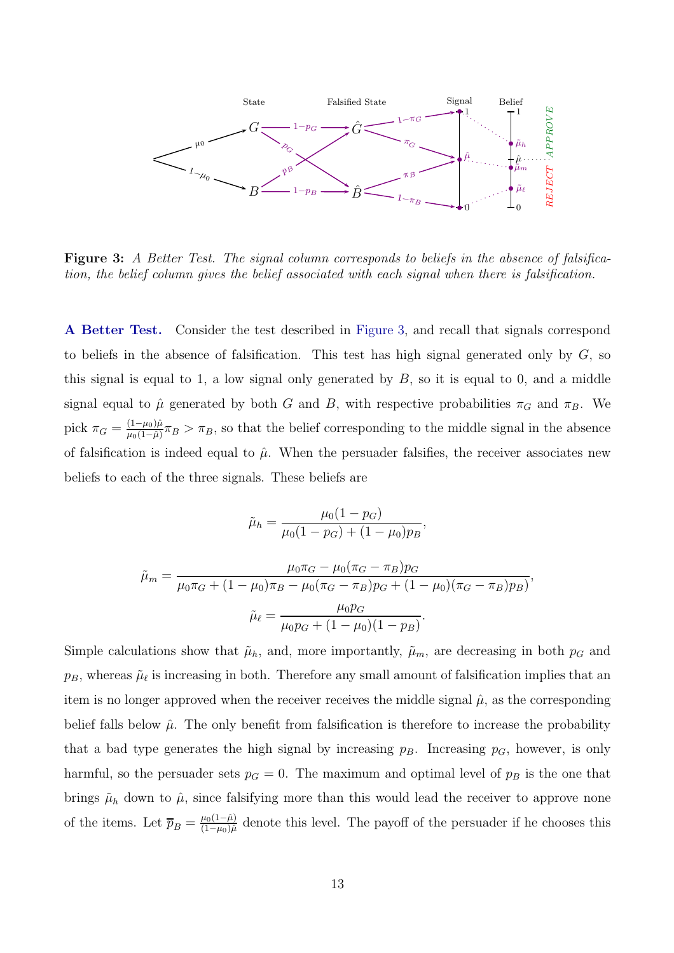

Figure 3: A Better Test. The signal column corresponds to beliefs in the absence of falsification, the belief column gives the belief associated with each signal when there is falsification.

A Better Test. Consider the test described in Figure 3, and recall that signals correspond to beliefs in the absence of falsification. This test has high signal generated only by  $G$ , so this signal is equal to 1, a low signal only generated by  $B$ , so it is equal to 0, and a middle signal equal to  $\hat{\mu}$  generated by both G and B, with respective probabilities  $\pi_G$  and  $\pi_B$ . We pick  $\pi_G = \frac{(1-\mu_0)\hat{\mu}}{\mu_0(1-\hat{\mu})}$  $\frac{(1-\mu_0)\mu}{\mu_0(1-\hat{\mu})}\pi_B > \pi_B$ , so that the belief corresponding to the middle signal in the absence of falsification is indeed equal to  $\hat{\mu}$ . When the persuader falsifies, the receiver associates new beliefs to each of the three signals. These beliefs are

$$
\tilde{\mu}_h = \frac{\mu_0 (1 - p_G)}{\mu_0 (1 - p_G) + (1 - \mu_0) p_B},
$$

$$
\tilde{\mu}_m = \frac{\mu_0 \pi_G - \mu_0 (\pi_G - \pi_B) p_G}{\mu_0 \pi_G + (1 - \mu_0) \pi_B - \mu_0 (\pi_G - \pi_B) p_G + (1 - \mu_0) (\pi_G - \pi_B) p_B)}
$$
\n
$$
\tilde{\mu}_\ell = \frac{\mu_0 p_G}{\mu_0 p_G + (1 - \mu_0) (1 - p_B)}.
$$

,

Simple calculations show that  $\tilde{\mu}_h$ , and, more importantly,  $\tilde{\mu}_m$ , are decreasing in both  $p_G$  and  $p_B$ , whereas  $\tilde{\mu}_\ell$  is increasing in both. Therefore any small amount of falsification implies that an item is no longer approved when the receiver receives the middle signal  $\hat{\mu}$ , as the corresponding belief falls below  $\hat{\mu}$ . The only benefit from falsification is therefore to increase the probability that a bad type generates the high signal by increasing  $p_B$ . Increasing  $p_G$ , however, is only harmful, so the persuader sets  $p_G = 0$ . The maximum and optimal level of  $p_B$  is the one that brings  $\tilde{\mu}_h$  down to  $\hat{\mu}$ , since falsifying more than this would lead the receiver to approve none of the items. Let  $\overline{p}_B = \frac{\mu_0(1-\hat{\mu})}{(1-\mu_0)\hat{\mu}}$  $\frac{\mu_0(1-\mu)}{(1-\mu_0)\hat{\mu}}$  denote this level. The payoff of the persuader if he chooses this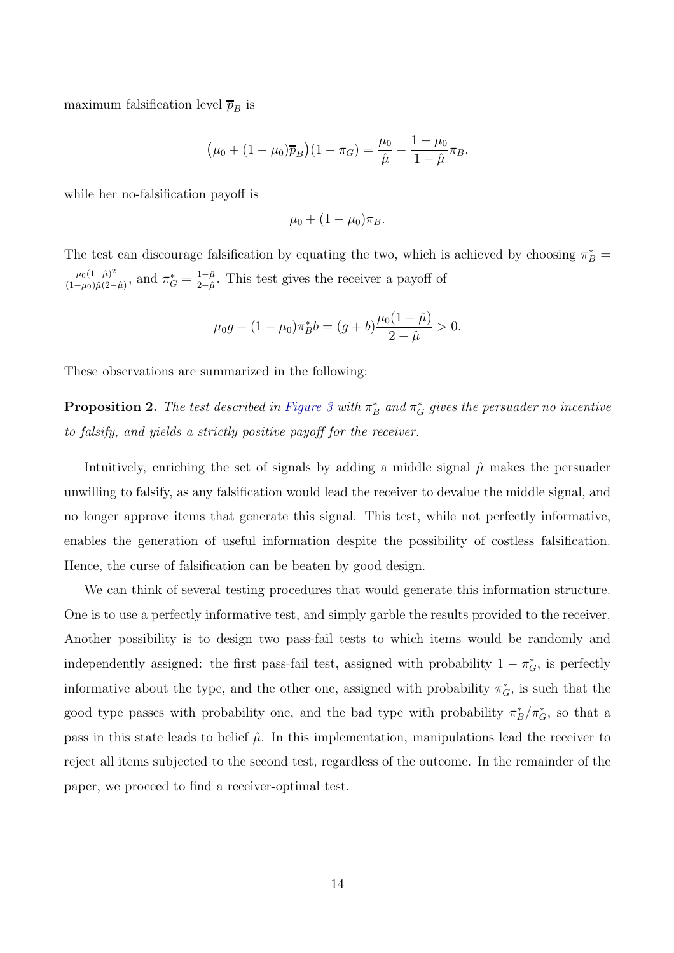maximum falsification level  $\overline{p}_{B}$  is

$$
(\mu_0 + (1 - \mu_0)\overline{p}_B)(1 - \pi_G) = \frac{\mu_0}{\hat{\mu}} - \frac{1 - \mu_0}{1 - \hat{\mu}}\pi_B,
$$

while her no-falsification payoff is

$$
\mu_0+(1-\mu_0)\pi_B.
$$

The test can discourage falsification by equating the two, which is achieved by choosing  $\pi_B^*$  =  $\mu_0(1-\hat{\mu})^2$  $\frac{\mu_0(1-\hat{\mu})^2}{(1-\mu_0)\hat{\mu}(2-\hat{\mu})}$ , and  $\pi_G^* = \frac{1-\hat{\mu}}{2-\hat{\mu}}$  $\frac{1-\mu}{2-\hat{\mu}}$ . This test gives the receiver a payoff of

$$
\mu_0 g - (1 - \mu_0) \pi_B^* b = (g + b) \frac{\mu_0 (1 - \hat{\mu})}{2 - \hat{\mu}} > 0.
$$

These observations are summarized in the following:

**Proposition 2.** The test described in Figure 3 with  $\pi_B^*$  and  $\pi_G^*$  gives the persuader no incentive to falsify, and yields a strictly positive payoff for the receiver.

Intuitively, enriching the set of signals by adding a middle signal  $\hat{\mu}$  makes the persuader unwilling to falsify, as any falsification would lead the receiver to devalue the middle signal, and no longer approve items that generate this signal. This test, while not perfectly informative, enables the generation of useful information despite the possibility of costless falsification. Hence, the curse of falsification can be beaten by good design.

We can think of several testing procedures that would generate this information structure. One is to use a perfectly informative test, and simply garble the results provided to the receiver. Another possibility is to design two pass-fail tests to which items would be randomly and independently assigned: the first pass-fail test, assigned with probability  $1 - \pi_G^*$ , is perfectly informative about the type, and the other one, assigned with probability  $\pi_G^*$ , is such that the good type passes with probability one, and the bad type with probability  $\pi_B^*/\pi_G^*$ , so that a pass in this state leads to belief  $\hat{\mu}$ . In this implementation, manipulations lead the receiver to reject all items subjected to the second test, regardless of the outcome. In the remainder of the paper, we proceed to find a receiver-optimal test.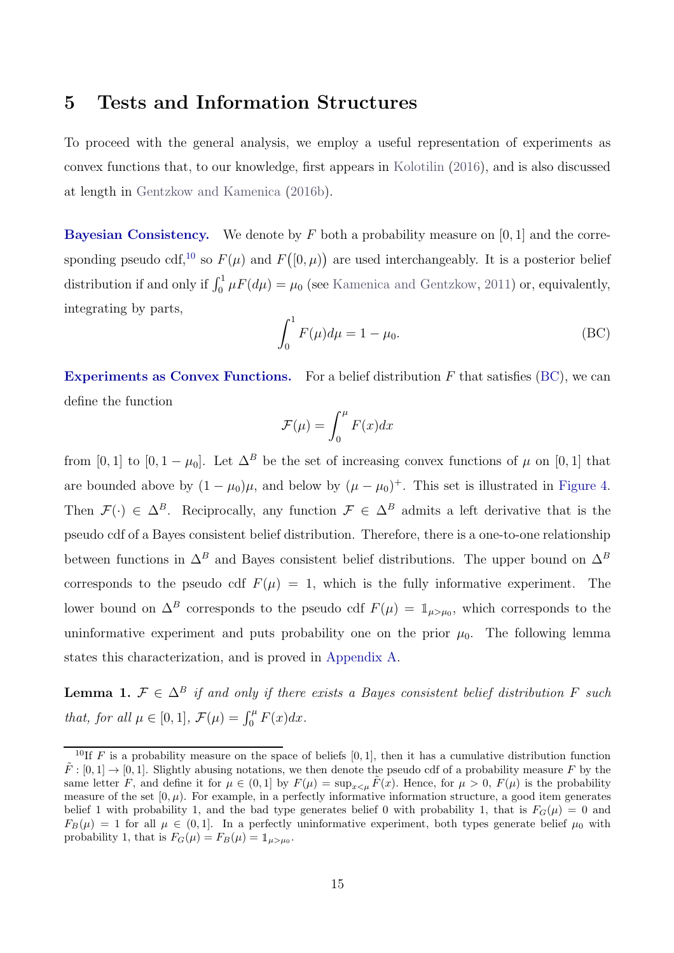### 5 Tests and Information Structures

To proceed with the general analysis, we employ a useful representation of experiments as convex functions that, to our knowledge, first appears in Kolotilin (2016), and is also discussed at length in Gentzkow and Kamenica (2016b).

**Bayesian Consistency.** We denote by F both a probability measure on [0, 1] and the corresponding pseudo cdf,<sup>10</sup> so  $F(\mu)$  and  $F([0, \mu))$  are used interchangeably. It is a posterior belief distribution if and only if  $\int_0^1 \mu F(d\mu) = \mu_0$  (see Kamenica and Gentzkow, 2011) or, equivalently, integrating by parts,

$$
\int_0^1 F(\mu)d\mu = 1 - \mu_0.
$$
 (BC)

**Experiments as Convex Functions.** For a belief distribution  $F$  that satisfies (BC), we can define the function

$$
\mathcal{F}(\mu) = \int_0^\mu F(x) dx
$$

from [0, 1] to [0, 1 –  $\mu_0$ ]. Let  $\Delta^B$  be the set of increasing convex functions of  $\mu$  on [0, 1] that are bounded above by  $(1 - \mu_0)\mu$ , and below by  $(\mu - \mu_0)^+$ . This set is illustrated in Figure 4. Then  $\mathcal{F}(\cdot) \in \Delta^B$ . Reciprocally, any function  $\mathcal{F} \in \Delta^B$  admits a left derivative that is the pseudo cdf of a Bayes consistent belief distribution. Therefore, there is a one-to-one relationship between functions in  $\Delta^B$  and Bayes consistent belief distributions. The upper bound on  $\Delta^B$ corresponds to the pseudo cdf  $F(\mu) = 1$ , which is the fully informative experiment. The lower bound on  $\Delta^B$  corresponds to the pseudo cdf  $F(\mu) = \mathbb{1}_{\mu > \mu_0}$ , which corresponds to the uninformative experiment and puts probability one on the prior  $\mu_0$ . The following lemma states this characterization, and is proved in Appendix A.

**Lemma 1.**  $\mathcal{F} \in \Delta^B$  if and only if there exists a Bayes consistent belief distribution F such that, for all  $\mu \in [0,1]$ ,  $\mathcal{F}(\mu) = \int_0^{\mu} F(x) dx$ .

<sup>&</sup>lt;sup>10</sup>If F is a probability measure on the space of beliefs [0, 1], then it has a cumulative distribution function  $\tilde{F}$ : [0, 1]  $\rightarrow$  [0, 1]. Slightly abusing notations, we then denote the pseudo cdf of a probability measure F by the same letter F, and define it for  $\mu \in (0,1]$  by  $F(\mu) = \sup_{x \le \mu} \tilde{F}(x)$ . Hence, for  $\mu > 0$ ,  $F(\mu)$  is the probability measure of the set  $[0, \mu)$ . For example, in a perfectly informative information structure, a good item generates belief 1 with probability 1, and the bad type generates belief 0 with probability 1, that is  $F_G(\mu) = 0$  and  $F_B(\mu) = 1$  for all  $\mu \in (0, 1]$ . In a perfectly uninformative experiment, both types generate belief  $\mu_0$  with probability 1, that is  $F_G(\mu) = F_B(\mu) = \mathbb{1}_{\mu > \mu_0}$ .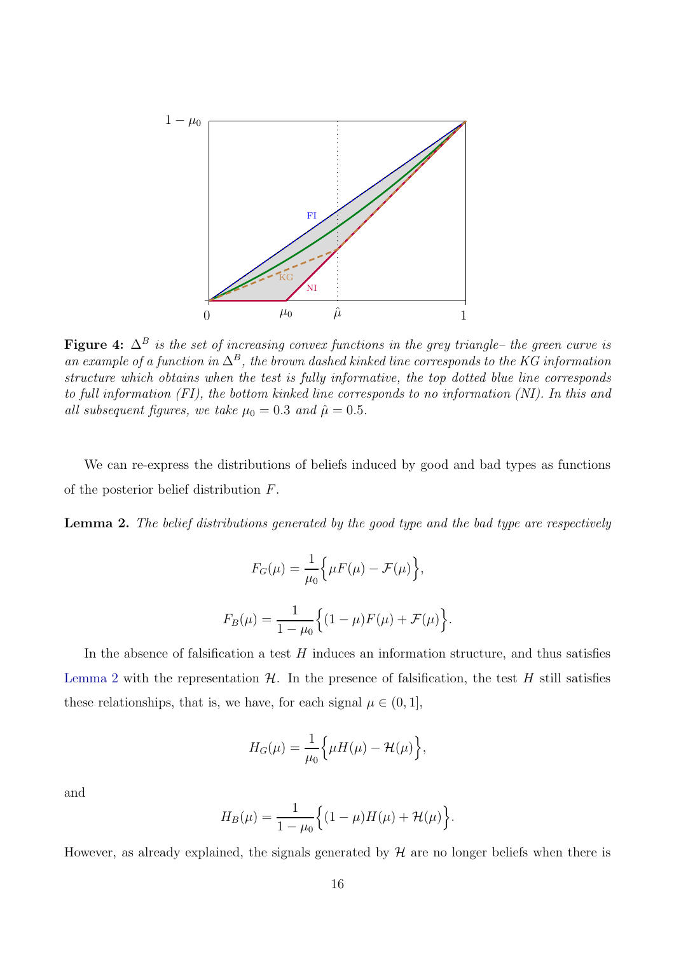

Figure 4:  $\Delta^B$  is the set of increasing convex functions in the grey triangle– the green curve is an example of a function in  $\Delta^B$ , the brown dashed kinked line corresponds to the KG information structure which obtains when the test is fully informative, the top dotted blue line corresponds to full information (FI), the bottom kinked line corresponds to no information (NI). In this and all subsequent figures, we take  $\mu_0 = 0.3$  and  $\hat{\mu} = 0.5$ .

We can re-express the distributions of beliefs induced by good and bad types as functions of the posterior belief distribution F.

**Lemma 2.** The belief distributions generated by the good type and the bad type are respectively

$$
F_G(\mu) = \frac{1}{\mu_0} \Big\{ \mu F(\mu) - \mathcal{F}(\mu) \Big\},
$$

$$
F_B(\mu) = \frac{1}{1 - \mu_0} \Big\{ (1 - \mu) F(\mu) + \mathcal{F}(\mu) \Big\}
$$

.

In the absence of falsification a test  $H$  induces an information structure, and thus satisfies Lemma 2 with the representation  $H$ . In the presence of falsification, the test H still satisfies these relationships, that is, we have, for each signal  $\mu \in (0, 1]$ ,

$$
H_G(\mu) = \frac{1}{\mu_0} \Big\{ \mu H(\mu) - \mathcal{H}(\mu) \Big\},\
$$

and

$$
H_B(\mu) = \frac{1}{1 - \mu_0} \Big\{ (1 - \mu) H(\mu) + \mathcal{H}(\mu) \Big\}.
$$

However, as already explained, the signals generated by  $H$  are no longer beliefs when there is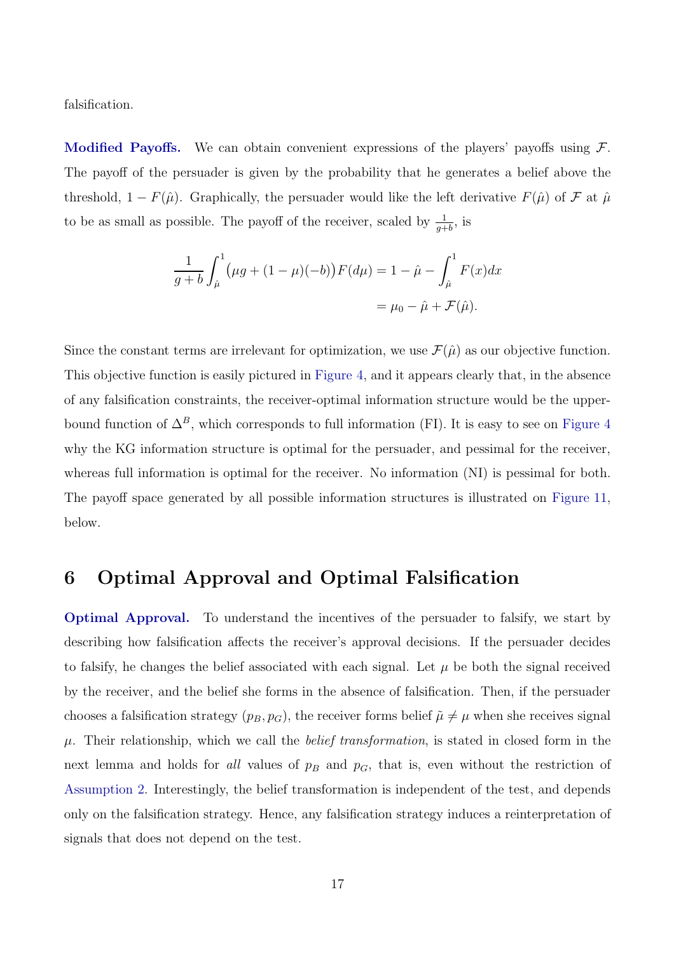falsification.

**Modified Payoffs.** We can obtain convenient expressions of the players' payoffs using  $\mathcal{F}$ . The payoff of the persuader is given by the probability that he generates a belief above the threshold,  $1 - F(\hat{\mu})$ . Graphically, the persuader would like the left derivative  $F(\hat{\mu})$  of  $\mathcal F$  at  $\hat{\mu}$ to be as small as possible. The payoff of the receiver, scaled by  $\frac{1}{g+b}$ , is

$$
\frac{1}{g+b} \int_{\hat{\mu}}^1 (\mu g + (1-\mu)(-b)) F(d\mu) = 1 - \hat{\mu} - \int_{\hat{\mu}}^1 F(x) dx
$$

$$
= \mu_0 - \hat{\mu} + \mathcal{F}(\hat{\mu}).
$$

Since the constant terms are irrelevant for optimization, we use  $\mathcal{F}(\hat{\mu})$  as our objective function. This objective function is easily pictured in Figure 4, and it appears clearly that, in the absence of any falsification constraints, the receiver-optimal information structure would be the upperbound function of  $\Delta^B$ , which corresponds to full information (FI). It is easy to see on Figure 4 why the KG information structure is optimal for the persuader, and pessimal for the receiver, whereas full information is optimal for the receiver. No information (NI) is pessimal for both. The payoff space generated by all possible information structures is illustrated on Figure 11, below.

### 6 Optimal Approval and Optimal Falsification

Optimal Approval. To understand the incentives of the persuader to falsify, we start by describing how falsification affects the receiver's approval decisions. If the persuader decides to falsify, he changes the belief associated with each signal. Let  $\mu$  be both the signal received by the receiver, and the belief she forms in the absence of falsification. Then, if the persuader chooses a falsification strategy  $(p_B, p_G)$ , the receiver forms belief  $\tilde{\mu} \neq \mu$  when she receives signal  $\mu$ . Their relationship, which we call the *belief transformation*, is stated in closed form in the next lemma and holds for all values of  $p_B$  and  $p_G$ , that is, even without the restriction of Assumption 2. Interestingly, the belief transformation is independent of the test, and depends only on the falsification strategy. Hence, any falsification strategy induces a reinterpretation of signals that does not depend on the test.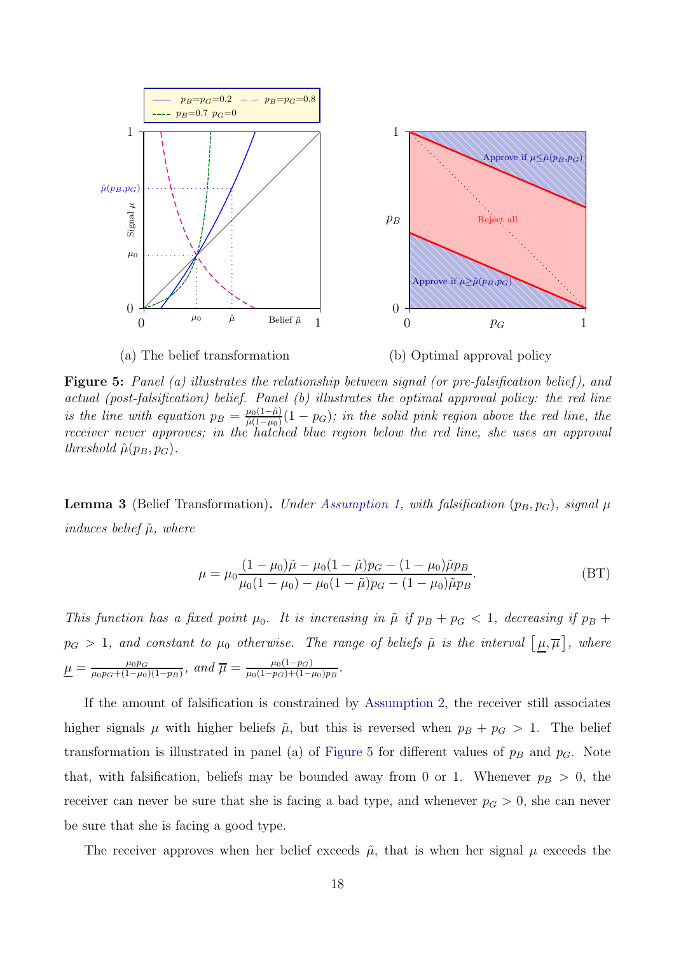

Figure 5: Panel (a) illustrates the relationship between signal (or pre-falsification belief), and actual (post-falsification) belief. Panel (b) illustrates the optimal approval policy: the red line is the line with equation  $p_B = \frac{\mu_0(1-\hat{\mu})}{\hat{\mu}(1-\mu_0)}$  $\frac{\mu_0(1-\mu)}{\hat{\mu}(1-\mu_0)}(1-p_G)$ ; in the solid pink region above the red line, the receiver never approves; in the hatched blue region below the red line, she uses an approval threshold  $\hat{\mu}(p_B, p_G)$ .

**Lemma 3** (Belief Transformation). Under Assumption 1, with falsification  $(p_B, p_G)$ , signal  $\mu$ induces belief  $\tilde{\mu}$ , where

$$
\mu = \mu_0 \frac{(1 - \mu_0)\tilde{\mu} - \mu_0(1 - \tilde{\mu})p_G - (1 - \mu_0)\tilde{\mu}p_B}{\mu_0(1 - \mu_0) - \mu_0(1 - \tilde{\mu})p_G - (1 - \mu_0)\tilde{\mu}p_B}.
$$
(BT)

This function has a fixed point  $\mu_0$ . It is increasing in  $\tilde{\mu}$  if  $p_B + p_G < 1$ , decreasing if  $p_B + p_G$  $p_G > 1$ , and constant to  $\mu_0$  otherwise. The range of beliefs  $\tilde{\mu}$  is the interval  $\big[\mu, \overline{\mu}\big]$ , where  $\mu = \frac{\mu_0 p_G}{\mu_0 p_G + (1 - \mu_0)}$  $\frac{\mu_0 p_G}{\mu_0 p_G + (1-\mu_0)(1-p_B)}, \text{ and } \overline{\mu} = \frac{\mu_0(1-p_G)}{\mu_0(1-p_G)+(1-p_B)}$  $\frac{\mu_0(1-p_G)}{\mu_0(1-p_G)+(1-\mu_0)p_B}.$ 

If the amount of falsification is constrained by Assumption 2, the receiver still associates higher signals  $\mu$  with higher beliefs  $\tilde{\mu}$ , but this is reversed when  $p_B + p_G > 1$ . The belief transformation is illustrated in panel (a) of Figure 5 for different values of  $p_B$  and  $p_G$ . Note that, with falsification, beliefs may be bounded away from 0 or 1. Whenever  $p_B > 0$ , the receiver can never be sure that she is facing a bad type, and whenever  $p_G > 0$ , she can never be sure that she is facing a good type.

The receiver approves when her belief exceeds  $\hat{\mu}$ , that is when her signal  $\mu$  exceeds the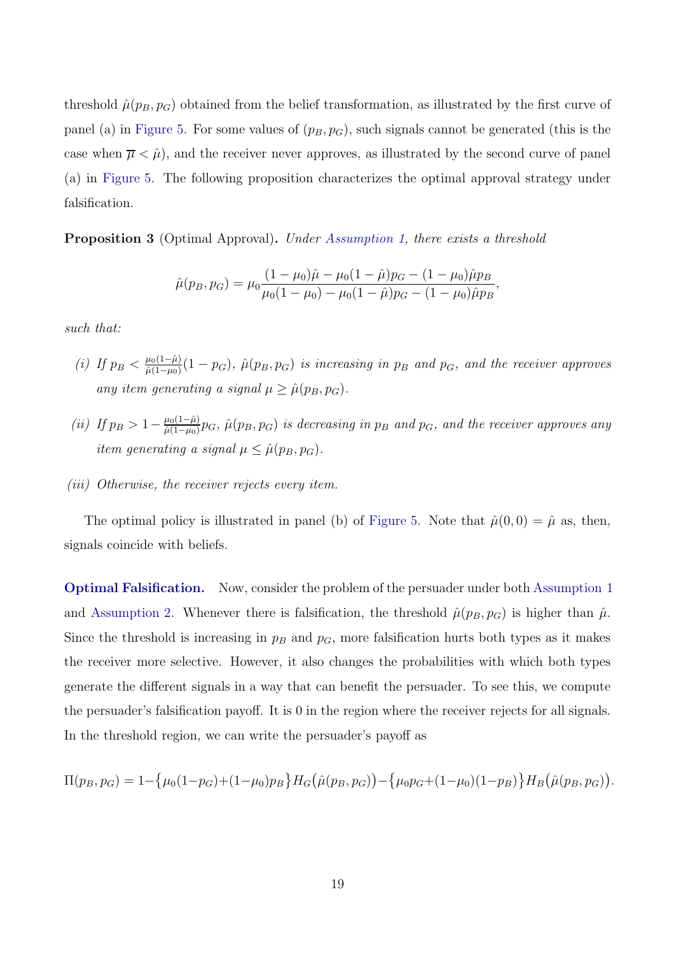threshold  $\hat{\mu}(p_B, p_G)$  obtained from the belief transformation, as illustrated by the first curve of panel (a) in Figure 5. For some values of  $(p_B, p_G)$ , such signals cannot be generated (this is the case when  $\overline{\mu} < \hat{\mu}$ , and the receiver never approves, as illustrated by the second curve of panel (a) in Figure 5. The following proposition characterizes the optimal approval strategy under falsification.

Proposition 3 (Optimal Approval). Under Assumption 1, there exists a threshold

$$
\hat{\mu}(p_B, p_G) = \mu_0 \frac{(1 - \mu_0)\hat{\mu} - \mu_0(1 - \hat{\mu})p_G - (1 - \mu_0)\hat{\mu}p_B}{\mu_0(1 - \mu_0) - \mu_0(1 - \hat{\mu})p_G - (1 - \mu_0)\hat{\mu}p_B},
$$

such that:

- (i) If  $p_B < \frac{\mu_0(1-\hat{\mu})}{\hat{\mu}(1-\mu_0)}$  $\frac{\mu_0(1-\mu)}{\hat{\mu}(1-\mu_0)}(1-p_G)$ ,  $\hat{\mu}(p_B, p_G)$  is increasing in  $p_B$  and  $p_G$ , and the receiver approves any item generating a signal  $\mu \geq \hat{\mu}(p_B, p_G)$ .
- (ii) If  $p_B > 1 \frac{\mu_0(1-\hat{\mu})}{\hat{\mu}(1-\mu_0)}$  $\frac{\mu_0(1-\mu)}{\hat{\mu}(1-\mu_0)}p_G, \ \hat{\mu}(p_B,p_G)$  is decreasing in  $p_B$  and  $p_G,$  and the receiver approves any item generating a signal  $\mu \leq \hat{\mu}(p_B, p_G)$ .

#### (iii) Otherwise, the receiver rejects every item.

The optimal policy is illustrated in panel (b) of Figure 5. Note that  $\hat{\mu}(0,0) = \hat{\mu}$  as, then, signals coincide with beliefs.

Optimal Falsification. Now, consider the problem of the persuader under both Assumption 1 and Assumption 2. Whenever there is falsification, the threshold  $\hat{\mu}(p_B, p_G)$  is higher than  $\hat{\mu}$ . Since the threshold is increasing in  $p_B$  and  $p_G$ , more falsification hurts both types as it makes the receiver more selective. However, it also changes the probabilities with which both types generate the different signals in a way that can benefit the persuader. To see this, we compute the persuader's falsification payoff. It is 0 in the region where the receiver rejects for all signals. In the threshold region, we can write the persuader's payoff as

$$
\Pi(p_B, p_G) = 1 - \left\{ \mu_0(1 - p_G) + (1 - \mu_0)p_B \right\} H_G(\hat{\mu}(p_B, p_G)) - \left\{ \mu_0 p_G + (1 - \mu_0)(1 - p_B) \right\} H_B(\hat{\mu}(p_B, p_G)).
$$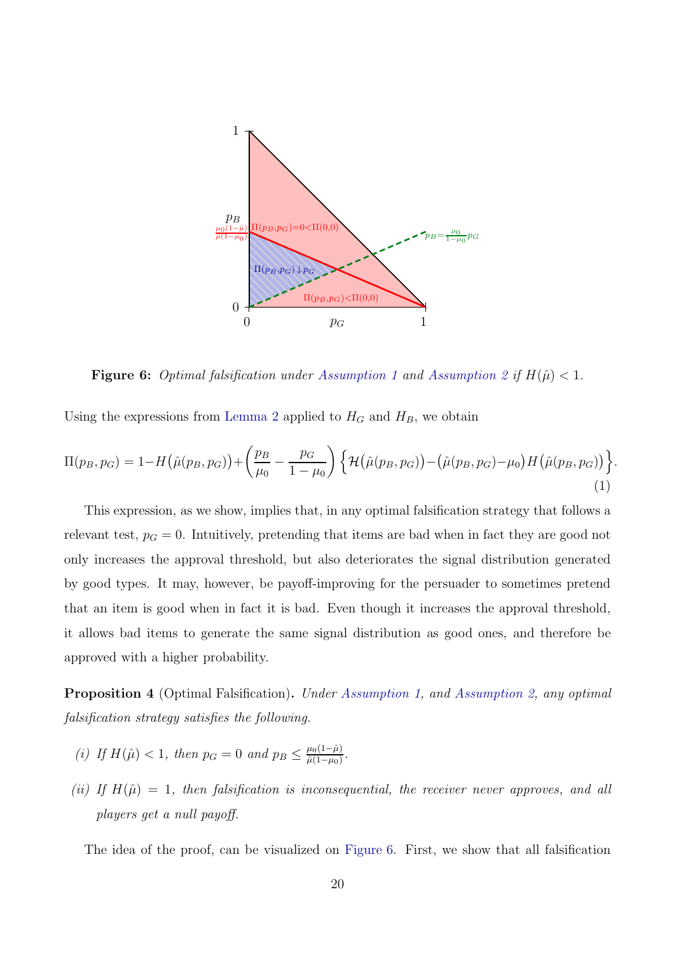

**Figure 6:** Optimal falsification under Assumption 1 and Assumption 2 if  $H(\hat{\mu}) < 1$ .

Using the expressions from Lemma 2 applied to  $H_G$  and  $H_B$ , we obtain

$$
\Pi(p_B, p_G) = 1 - H(\hat{\mu}(p_B, p_G)) + \left(\frac{p_B}{\mu_0} - \frac{p_G}{1 - \mu_0}\right) \left\{ \mathcal{H}(\hat{\mu}(p_B, p_G)) - (\hat{\mu}(p_B, p_G) - \mu_0) H(\hat{\mu}(p_B, p_G)) \right\}.
$$
\n(1)

This expression, as we show, implies that, in any optimal falsification strategy that follows a relevant test,  $p_G = 0$ . Intuitively, pretending that items are bad when in fact they are good not only increases the approval threshold, but also deteriorates the signal distribution generated by good types. It may, however, be payoff-improving for the persuader to sometimes pretend that an item is good when in fact it is bad. Even though it increases the approval threshold, it allows bad items to generate the same signal distribution as good ones, and therefore be approved with a higher probability.

Proposition 4 (Optimal Falsification). Under Assumption 1, and Assumption 2, any optimal falsification strategy satisfies the following.

- (i) If  $H(\hat{\mu}) < 1$ , then  $p_G = 0$  and  $p_B \leq \frac{\mu_0(1-\hat{\mu})}{\hat{\mu}(1-\mu_0)}$  $\frac{\mu_0(1-\mu)}{\hat{\mu}(1-\mu_0)}$ .
- (ii) If  $H(\hat{\mu}) = 1$ , then falsification is inconsequential, the receiver never approves, and all players get a null payoff.

The idea of the proof, can be visualized on Figure 6. First, we show that all falsification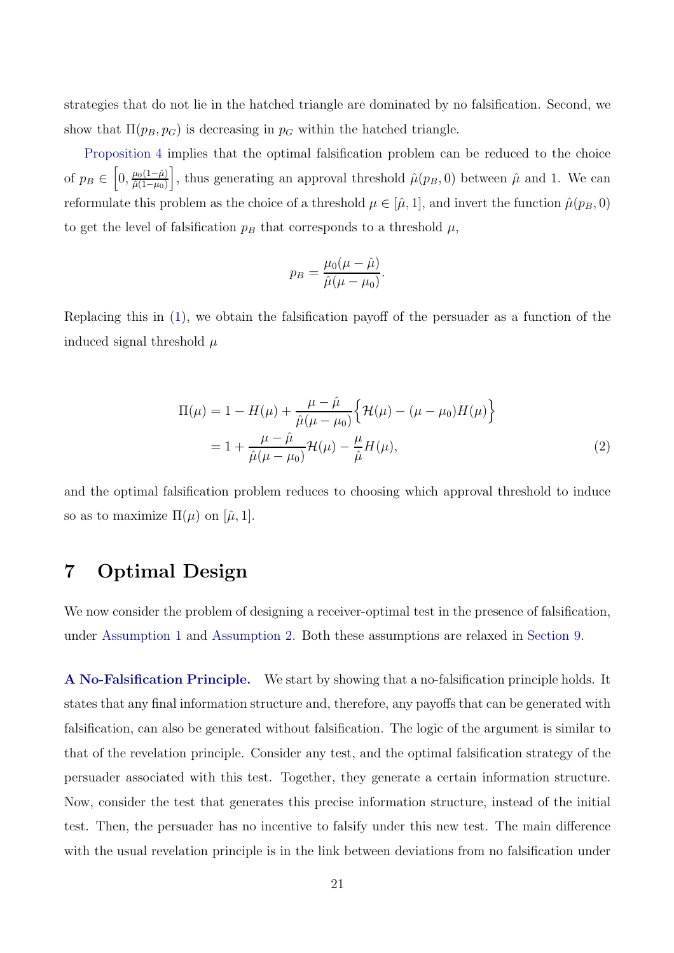strategies that do not lie in the hatched triangle are dominated by no falsification. Second, we show that  $\Pi(p_B, p_G)$  is decreasing in  $p_G$  within the hatched triangle.

Proposition 4 implies that the optimal falsification problem can be reduced to the choice of  $p_B \in [0, \frac{\mu_0(1-\hat{\mu})}{\hat{\mu}(1-\mu_0)}]$  $\hat{\mu}(1-\mu_0)$ , thus generating an approval threshold  $\hat{\mu}(p_B, 0)$  between  $\hat{\mu}$  and 1. We can reformulate this problem as the choice of a threshold  $\mu \in [\hat{\mu}, 1]$ , and invert the function  $\hat{\mu}(p_B, 0)$ to get the level of falsification  $p_B$  that corresponds to a threshold  $\mu$ ,

$$
p_B = \frac{\mu_0(\mu - \hat{\mu})}{\hat{\mu}(\mu - \mu_0)}.
$$

Replacing this in (1), we obtain the falsification payoff of the persuader as a function of the induced signal threshold  $\mu$ 

$$
\Pi(\mu) = 1 - H(\mu) + \frac{\mu - \hat{\mu}}{\hat{\mu}(\mu - \mu_0)} \Big\{ \mathcal{H}(\mu) - (\mu - \mu_0) H(\mu) \Big\} \n= 1 + \frac{\mu - \hat{\mu}}{\hat{\mu}(\mu - \mu_0)} \mathcal{H}(\mu) - \frac{\mu}{\hat{\mu}} H(\mu),
$$
\n(2)

and the optimal falsification problem reduces to choosing which approval threshold to induce so as to maximize  $\Pi(\mu)$  on  $[\hat{\mu}, 1]$ .

### 7 Optimal Design

We now consider the problem of designing a receiver-optimal test in the presence of falsification, under Assumption 1 and Assumption 2. Both these assumptions are relaxed in Section 9.

A No-Falsification Principle. We start by showing that a no-falsification principle holds. It states that any final information structure and, therefore, any payoffs that can be generated with falsification, can also be generated without falsification. The logic of the argument is similar to that of the revelation principle. Consider any test, and the optimal falsification strategy of the persuader associated with this test. Together, they generate a certain information structure. Now, consider the test that generates this precise information structure, instead of the initial test. Then, the persuader has no incentive to falsify under this new test. The main difference with the usual revelation principle is in the link between deviations from no falsification under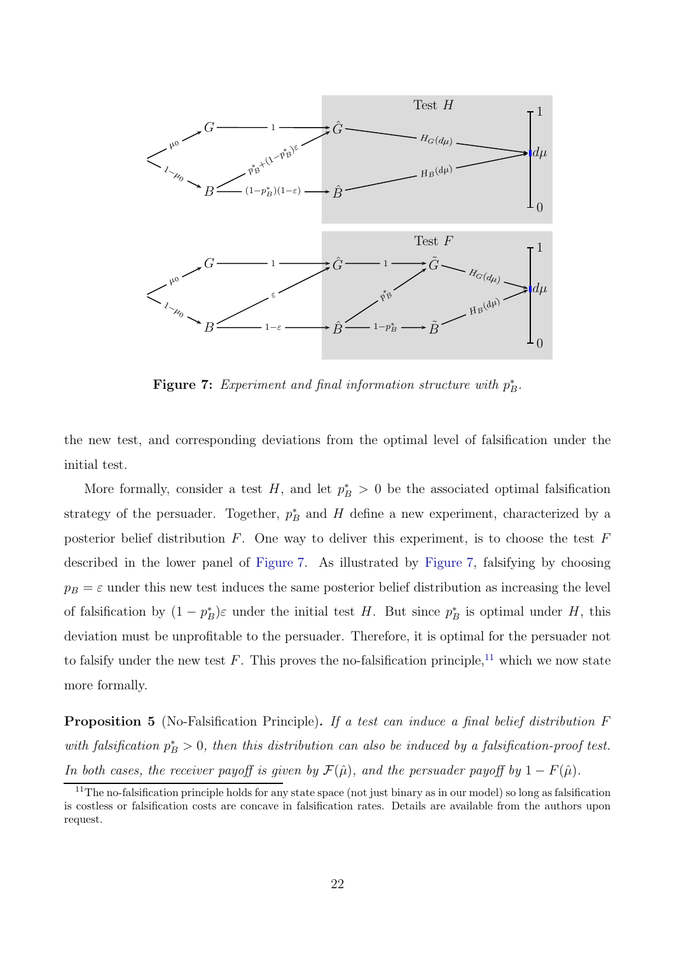

**Figure 7:** Experiment and final information structure with  $p_B^*$ .

the new test, and corresponding deviations from the optimal level of falsification under the initial test.

More formally, consider a test  $H$ , and let  $p_B^* > 0$  be the associated optimal falsification strategy of the persuader. Together,  $p_B^*$  and H define a new experiment, characterized by a posterior belief distribution  $F$ . One way to deliver this experiment, is to choose the test  $F$ described in the lower panel of Figure 7. As illustrated by Figure 7, falsifying by choosing  $p_B = \varepsilon$  under this new test induces the same posterior belief distribution as increasing the level of falsification by  $(1 - p_B^*)\varepsilon$  under the initial test H. But since  $p_B^*$  is optimal under H, this deviation must be unprofitable to the persuader. Therefore, it is optimal for the persuader not to falsify under the new test  $F$ . This proves the no-falsification principle,<sup>11</sup> which we now state more formally.

Proposition 5 (No-Falsification Principle). If a test can induce a final belief distribution F with falsification  $p_B^* > 0$ , then this distribution can also be induced by a falsification-proof test. In both cases, the receiver payoff is given by  $\mathcal{F}(\hat{\mu})$ , and the persuader payoff by  $1-F(\hat{\mu})$ .

 $11$ The no-falsification principle holds for any state space (not just binary as in our model) so long as falsification is costless or falsification costs are concave in falsification rates. Details are available from the authors upon request.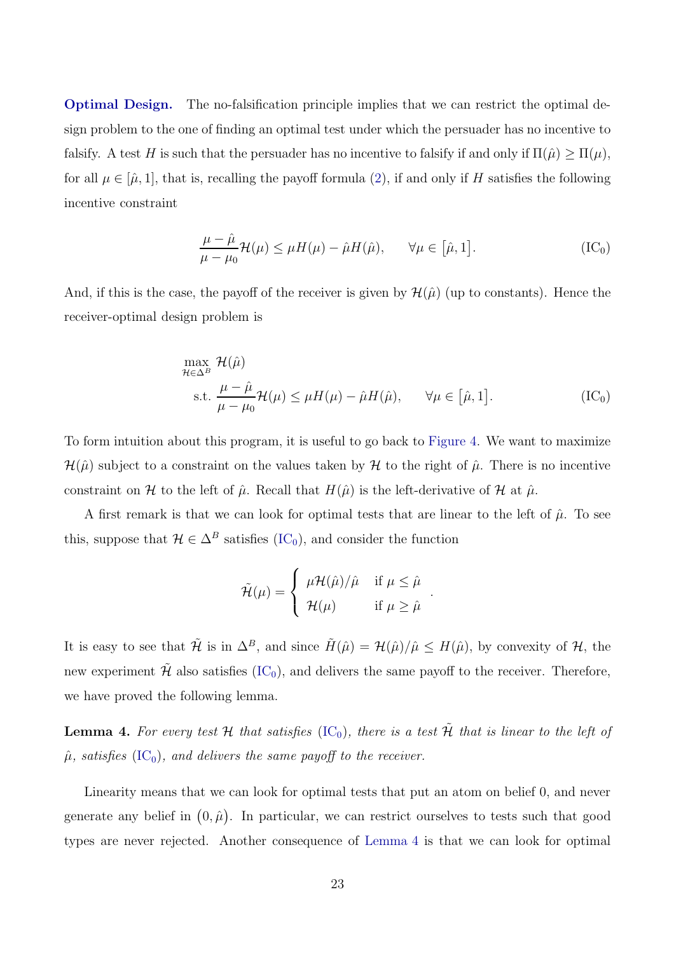Optimal Design. The no-falsification principle implies that we can restrict the optimal design problem to the one of finding an optimal test under which the persuader has no incentive to falsify. A test H is such that the persuader has no incentive to falsify if and only if  $\Pi(\hat{\mu}) \ge \Pi(\mu)$ , for all  $\mu \in [\hat{\mu}, 1]$ , that is, recalling the payoff formula (2), if and only if H satisfies the following incentive constraint

$$
\frac{\mu - \hat{\mu}}{\mu - \mu_0} \mathcal{H}(\mu) \le \mu H(\mu) - \hat{\mu} H(\hat{\mu}), \qquad \forall \mu \in [\hat{\mu}, 1].
$$
 (IC<sub>0</sub>)

And, if this is the case, the payoff of the receiver is given by  $\mathcal{H}(\hat{\mu})$  (up to constants). Hence the receiver-optimal design problem is

$$
\max_{\mathcal{H}\in\Delta^B} \mathcal{H}(\hat{\mu})
$$
\n
$$
\text{s.t. } \frac{\mu - \hat{\mu}}{\mu - \mu_0} \mathcal{H}(\mu) \le \mu H(\mu) - \hat{\mu} H(\hat{\mu}), \qquad \forall \mu \in [\hat{\mu}, 1].
$$
\n(IC<sub>0</sub>)

.

To form intuition about this program, it is useful to go back to Figure 4. We want to maximize  $\mathcal{H}(\hat{\mu})$  subject to a constraint on the values taken by H to the right of  $\hat{\mu}$ . There is no incentive constraint on H to the left of  $\hat{\mu}$ . Recall that  $H(\hat{\mu})$  is the left-derivative of H at  $\hat{\mu}$ .

A first remark is that we can look for optimal tests that are linear to the left of  $\hat{\mu}$ . To see this, suppose that  $\mathcal{H} \in \Delta^B$  satisfies  $(IC_0)$ , and consider the function

$$
\tilde{\mathcal{H}}(\mu) = \begin{cases} \mu \mathcal{H}(\hat{\mu})/\hat{\mu} & \text{if } \mu \leq \hat{\mu} \\ \mathcal{H}(\mu) & \text{if } \mu \geq \hat{\mu} \end{cases}
$$

It is easy to see that  $\tilde{\mathcal{H}}$  is in  $\Delta^B$ , and since  $\tilde{H}(\hat{\mu}) = \mathcal{H}(\hat{\mu})/\hat{\mu} \leq H(\hat{\mu})$ , by convexity of  $\mathcal{H}$ , the new experiment  $\mathcal{H}$  also satisfies (IC<sub>0</sub>), and delivers the same payoff to the receiver. Therefore, we have proved the following lemma.

**Lemma 4.** For every test H that satisfies (IC<sub>0</sub>), there is a test  $\tilde{\mathcal{H}}$  that is linear to the left of  $\hat{\mu}$ , satisfies (IC<sub>0</sub>), and delivers the same payoff to the receiver.

Linearity means that we can look for optimal tests that put an atom on belief 0, and never generate any belief in  $(0, \hat{\mu})$ . In particular, we can restrict ourselves to tests such that good types are never rejected. Another consequence of Lemma 4 is that we can look for optimal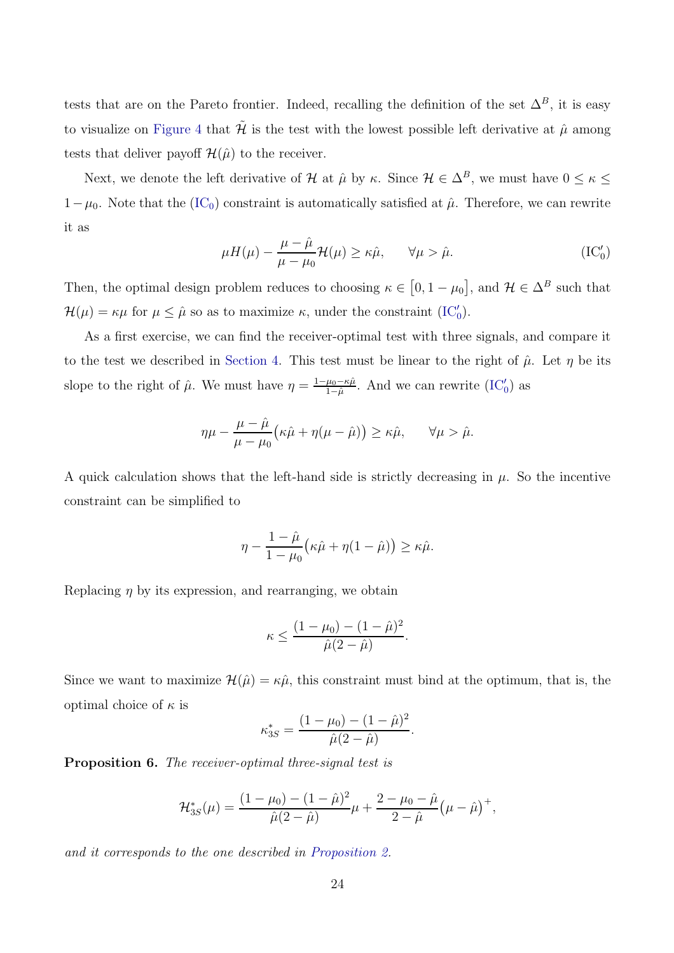tests that are on the Pareto frontier. Indeed, recalling the definition of the set  $\Delta^B$ , it is easy to visualize on Figure 4 that  $\mathcal{\tilde{H}}$  is the test with the lowest possible left derivative at  $\hat{\mu}$  among tests that deliver payoff  $\mathcal{H}(\hat{\mu})$  to the receiver.

Next, we denote the left derivative of H at  $\hat{\mu}$  by  $\kappa$ . Since  $\mathcal{H} \in \Delta^B$ , we must have  $0 \leq \kappa \leq$  $1-\mu_0$ . Note that the (IC<sub>0</sub>) constraint is automatically satisfied at  $\hat{\mu}$ . Therefore, we can rewrite it as

$$
\mu H(\mu) - \frac{\mu - \hat{\mu}}{\mu - \mu_0} \mathcal{H}(\mu) \ge \kappa \hat{\mu}, \qquad \forall \mu > \hat{\mu}.
$$
 (IC<sub>0</sub>)

Then, the optimal design problem reduces to choosing  $\kappa \in [0, 1 - \mu_0]$ , and  $\mathcal{H} \in \Delta^B$  such that  $\mathcal{H}(\mu) = \kappa \mu$  for  $\mu \leq \hat{\mu}$  so as to maximize  $\kappa$ , under the constraint  $(IC'_0)$ .

As a first exercise, we can find the receiver-optimal test with three signals, and compare it to the test we described in Section 4. This test must be linear to the right of  $\hat{\mu}$ . Let  $\eta$  be its slope to the right of  $\hat{\mu}$ . We must have  $\eta = \frac{1-\mu_0 - \kappa \hat{\mu}}{1-\hat{\mu}}$  $\frac{\mu_0 - \kappa \hat{\mu}}{1 - \hat{\mu}}$ . And we can rewrite (IC'<sub>0</sub>) as

$$
\eta \mu - \frac{\mu - \hat{\mu}}{\mu - \mu_0} \big( \kappa \hat{\mu} + \eta (\mu - \hat{\mu}) \big) \ge \kappa \hat{\mu}, \qquad \forall \mu > \hat{\mu}.
$$

A quick calculation shows that the left-hand side is strictly decreasing in  $\mu$ . So the incentive constraint can be simplified to

$$
\eta - \frac{1 - \hat{\mu}}{1 - \mu_0} \big(\kappa \hat{\mu} + \eta (1 - \hat{\mu})\big) \ge \kappa \hat{\mu}.
$$

Replacing  $\eta$  by its expression, and rearranging, we obtain

$$
\kappa \le \frac{(1 - \mu_0) - (1 - \hat{\mu})^2}{\hat{\mu}(2 - \hat{\mu})}
$$

.

Since we want to maximize  $\mathcal{H}(\hat{\mu}) = \kappa \hat{\mu}$ , this constraint must bind at the optimum, that is, the optimal choice of  $\kappa$  is

$$
\kappa_{3S}^* = \frac{(1 - \mu_0) - (1 - \hat{\mu})^2}{\hat{\mu}(2 - \hat{\mu})}.
$$

Proposition 6. The receiver-optimal three-signal test is

$$
\mathcal{H}_{3S}^*(\mu) = \frac{(1 - \mu_0) - (1 - \hat{\mu})^2}{\hat{\mu}(2 - \hat{\mu})} \mu + \frac{2 - \mu_0 - \hat{\mu}}{2 - \hat{\mu}} (\mu - \hat{\mu})^+,
$$

and it corresponds to the one described in Proposition 2.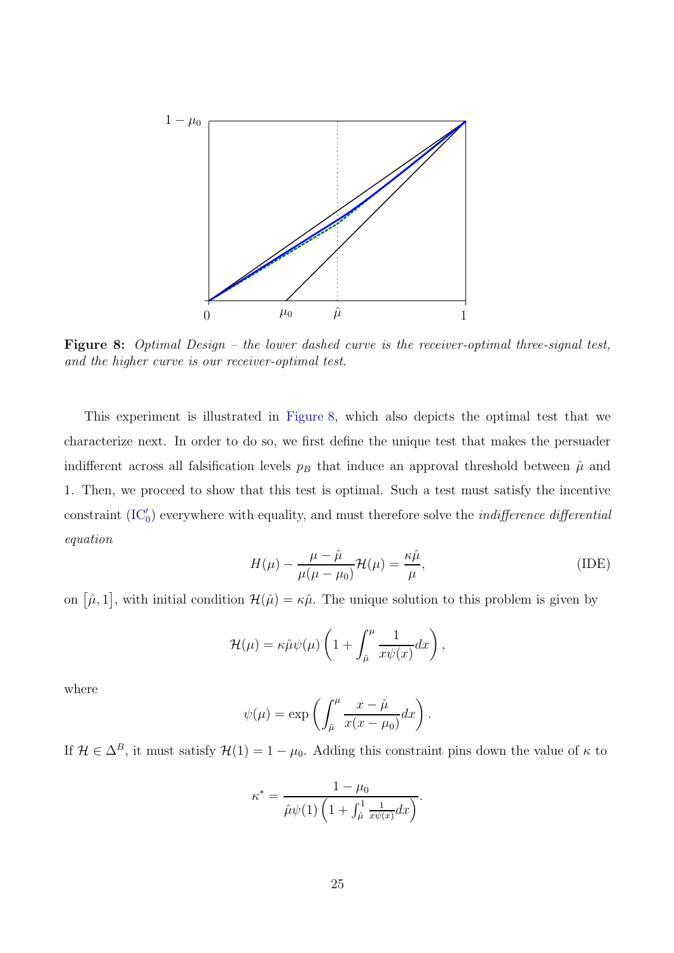

Figure 8: Optimal Design – the lower dashed curve is the receiver-optimal three-signal test, and the higher curve is our receiver-optimal test.

This experiment is illustrated in Figure 8, which also depicts the optimal test that we characterize next. In order to do so, we first define the unique test that makes the persuader indifferent across all falsification levels  $p_B$  that induce an approval threshold between  $\hat{\mu}$  and 1. Then, we proceed to show that this test is optimal. Such a test must satisfy the incentive constraint  $(IC'_0)$  everywhere with equality, and must therefore solve the *indifference differential* equation

$$
H(\mu) - \frac{\mu - \hat{\mu}}{\mu(\mu - \mu_0)} \mathcal{H}(\mu) = \frac{\kappa \hat{\mu}}{\mu},
$$
 (IDE)

on  $[\hat{\mu}, 1]$ , with initial condition  $\mathcal{H}(\hat{\mu}) = \kappa \hat{\mu}$ . The unique solution to this problem is given by

$$
\mathcal{H}(\mu) = \kappa \hat{\mu} \psi(\mu) \left( 1 + \int_{\hat{\mu}}^{\mu} \frac{1}{x \psi(x)} dx \right),
$$

where

$$
\psi(\mu) = \exp\left(\int_{\hat{\mu}}^{\mu} \frac{x - \hat{\mu}}{x(x - \mu_0)} dx\right).
$$

If  $\mathcal{H} \in \Delta^B$ , it must satisfy  $\mathcal{H}(1) = 1 - \mu_0$ . Adding this constraint pins down the value of  $\kappa$  to

$$
\kappa^* = \frac{1 - \mu_0}{\hat{\mu}\psi(1)\left(1 + \int_{\hat{\mu}}^1 \frac{1}{x\psi(x)}dx\right)}.
$$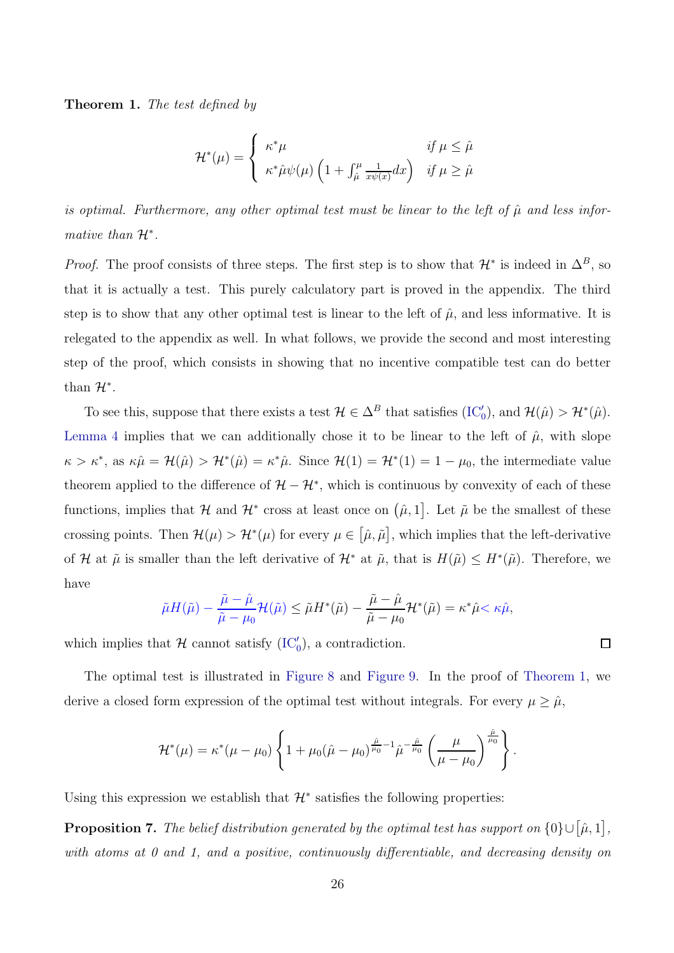Theorem 1. The test defined by

$$
\mathcal{H}^*(\mu) = \begin{cases} \kappa^* \mu & \text{if } \mu \leq \hat{\mu} \\ \kappa^* \hat{\mu} \psi(\mu) \left(1 + \int_{\hat{\mu}}^{\mu} \frac{1}{x \psi(x)} dx\right) & \text{if } \mu \geq \hat{\mu} \end{cases}
$$

is optimal. Furthermore, any other optimal test must be linear to the left of  $\hat{\mu}$  and less informative than  $\mathcal{H}^*$ .

*Proof.* The proof consists of three steps. The first step is to show that  $\mathcal{H}^*$  is indeed in  $\Delta^B$ , so that it is actually a test. This purely calculatory part is proved in the appendix. The third step is to show that any other optimal test is linear to the left of  $\hat{\mu}$ , and less informative. It is relegated to the appendix as well. In what follows, we provide the second and most interesting step of the proof, which consists in showing that no incentive compatible test can do better than  $\mathcal{H}^*$ .

To see this, suppose that there exists a test  $\mathcal{H} \in \Delta^B$  that satisfies  $(IC'_0)$ , and  $\mathcal{H}(\hat{\mu}) > \mathcal{H}^*(\hat{\mu})$ . Lemma 4 implies that we can additionally chose it to be linear to the left of  $\hat{\mu}$ , with slope  $\kappa > \kappa^*$ , as  $\kappa \hat{\mu} = \mathcal{H}(\hat{\mu}) > \mathcal{H}^*(\hat{\mu}) = \kappa^* \hat{\mu}$ . Since  $\mathcal{H}(1) = \mathcal{H}^*(1) = 1 - \mu_0$ , the intermediate value theorem applied to the difference of  $\mathcal{H} - \mathcal{H}^*$ , which is continuous by convexity of each of these functions, implies that H and  $\mathcal{H}^*$  cross at least once on  $(\hat{\mu}, 1]$ . Let  $\tilde{\mu}$  be the smallest of these crossing points. Then  $\mathcal{H}(\mu) > \mathcal{H}^*(\mu)$  for every  $\mu \in [\hat{\mu}, \tilde{\mu}]$ , which implies that the left-derivative of H at  $\tilde{\mu}$  is smaller than the left derivative of H<sup>\*</sup> at  $\tilde{\mu}$ , that is  $H(\tilde{\mu}) \leq H^*(\tilde{\mu})$ . Therefore, we have

$$
\tilde{\mu}H(\tilde{\mu})-\frac{\tilde{\mu}-\hat{\mu}}{\tilde{\mu}-\mu_0}\mathcal{H}(\tilde{\mu})\leq \tilde{\mu}H^*(\tilde{\mu})-\frac{\tilde{\mu}-\hat{\mu}}{\tilde{\mu}-\mu_0}\mathcal{H}^*(\tilde{\mu})=\kappa^*\hat{\mu}<\kappa\hat{\mu},
$$

which implies that  $\mathcal H$  cannot satisfy  $(\mathrm{IC}'_0)$ , a contradiction.

The optimal test is illustrated in Figure 8 and Figure 9. In the proof of Theorem 1, we derive a closed form expression of the optimal test without integrals. For every  $\mu \geq \hat{\mu}$ ,

$$
\mathcal{H}^*(\mu) = \kappa^*(\mu - \mu_0) \left\{ 1 + \mu_0 (\hat{\mu} - \mu_0)^{\frac{\hat{\mu}}{\mu_0} - 1} \hat{\mu}^{-\frac{\hat{\mu}}{\mu_0}} \left( \frac{\mu}{\mu - \mu_0} \right)^{\frac{\hat{\mu}}{\mu_0}} \right\}.
$$

Using this expression we establish that  $\mathcal{H}^*$  satisfies the following properties:

**Proposition 7.** The belief distribution generated by the optimal test has support on  $\{0\} \cup [\hat{\mu}, 1]$ , with atoms at 0 and 1, and a positive, continuously differentiable, and decreasing density on

 $\Box$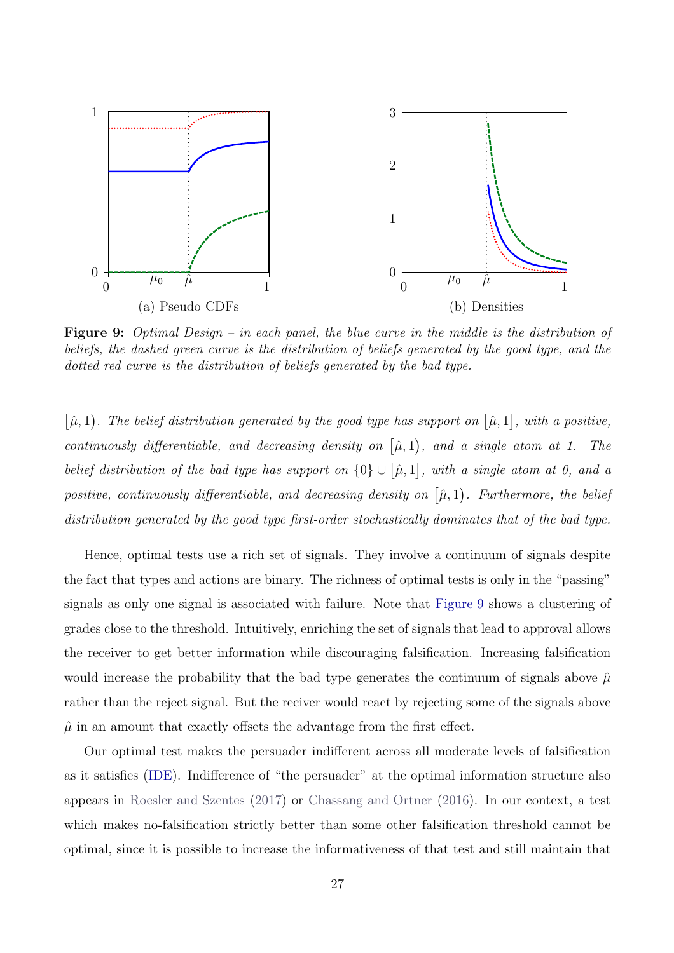

**Figure 9:** Optimal Design – in each panel, the blue curve in the middle is the distribution of beliefs, the dashed green curve is the distribution of beliefs generated by the good type, and the dotted red curve is the distribution of beliefs generated by the bad type.

 $[\hat{\mu}, 1]$ . The belief distribution generated by the good type has support on  $[\hat{\mu}, 1]$ , with a positive, continuously differentiable, and decreasing density on  $(\hat{\mu}, 1)$ , and a single atom at 1. The belief distribution of the bad type has support on  $\{0\} \cup [\hat{\mu}, 1]$ , with a single atom at 0, and a positive, continuously differentiable, and decreasing density on  $[\hat{\mu}, 1]$ . Furthermore, the belief distribution generated by the good type first-order stochastically dominates that of the bad type.

Hence, optimal tests use a rich set of signals. They involve a continuum of signals despite the fact that types and actions are binary. The richness of optimal tests is only in the "passing" signals as only one signal is associated with failure. Note that Figure 9 shows a clustering of grades close to the threshold. Intuitively, enriching the set of signals that lead to approval allows the receiver to get better information while discouraging falsification. Increasing falsification would increase the probability that the bad type generates the continuum of signals above  $\hat{\mu}$ rather than the reject signal. But the reciver would react by rejecting some of the signals above  $\hat{\mu}$  in an amount that exactly offsets the advantage from the first effect.

Our optimal test makes the persuader indifferent across all moderate levels of falsification as it satisfies (IDE). Indifference of "the persuader" at the optimal information structure also appears in Roesler and Szentes (2017) or Chassang and Ortner (2016). In our context, a test which makes no-falsification strictly better than some other falsification threshold cannot be optimal, since it is possible to increase the informativeness of that test and still maintain that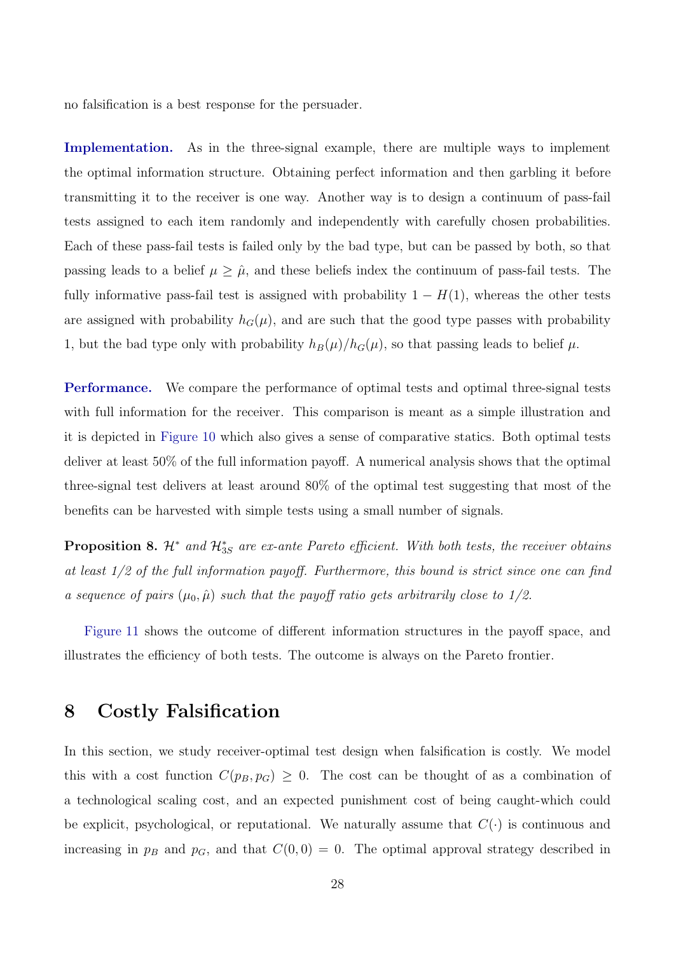no falsification is a best response for the persuader.

Implementation. As in the three-signal example, there are multiple ways to implement the optimal information structure. Obtaining perfect information and then garbling it before transmitting it to the receiver is one way. Another way is to design a continuum of pass-fail tests assigned to each item randomly and independently with carefully chosen probabilities. Each of these pass-fail tests is failed only by the bad type, but can be passed by both, so that passing leads to a belief  $\mu \geq \hat{\mu}$ , and these beliefs index the continuum of pass-fail tests. The fully informative pass-fail test is assigned with probability  $1 - H(1)$ , whereas the other tests are assigned with probability  $h_G(\mu)$ , and are such that the good type passes with probability 1, but the bad type only with probability  $h_B(\mu)/h_G(\mu)$ , so that passing leads to belief  $\mu$ .

Performance. We compare the performance of optimal tests and optimal three-signal tests with full information for the receiver. This comparison is meant as a simple illustration and it is depicted in Figure 10 which also gives a sense of comparative statics. Both optimal tests deliver at least 50% of the full information payoff. A numerical analysis shows that the optimal three-signal test delivers at least around 80% of the optimal test suggesting that most of the benefits can be harvested with simple tests using a small number of signals.

**Proposition 8.**  $\mathcal{H}^*$  and  $\mathcal{H}_{3S}^*$  are ex-ante Pareto efficient. With both tests, the receiver obtains at least 1/2 of the full information payoff. Furthermore, this bound is strict since one can find a sequence of pairs  $(\mu_0, \hat{\mu})$  such that the payoff ratio gets arbitrarily close to 1/2.

Figure 11 shows the outcome of different information structures in the payoff space, and illustrates the efficiency of both tests. The outcome is always on the Pareto frontier.

### 8 Costly Falsification

In this section, we study receiver-optimal test design when falsification is costly. We model this with a cost function  $C(p_B, p_G) \geq 0$ . The cost can be thought of as a combination of a technological scaling cost, and an expected punishment cost of being caught-which could be explicit, psychological, or reputational. We naturally assume that  $C(\cdot)$  is continuous and increasing in  $p_B$  and  $p_G$ , and that  $C(0, 0) = 0$ . The optimal approval strategy described in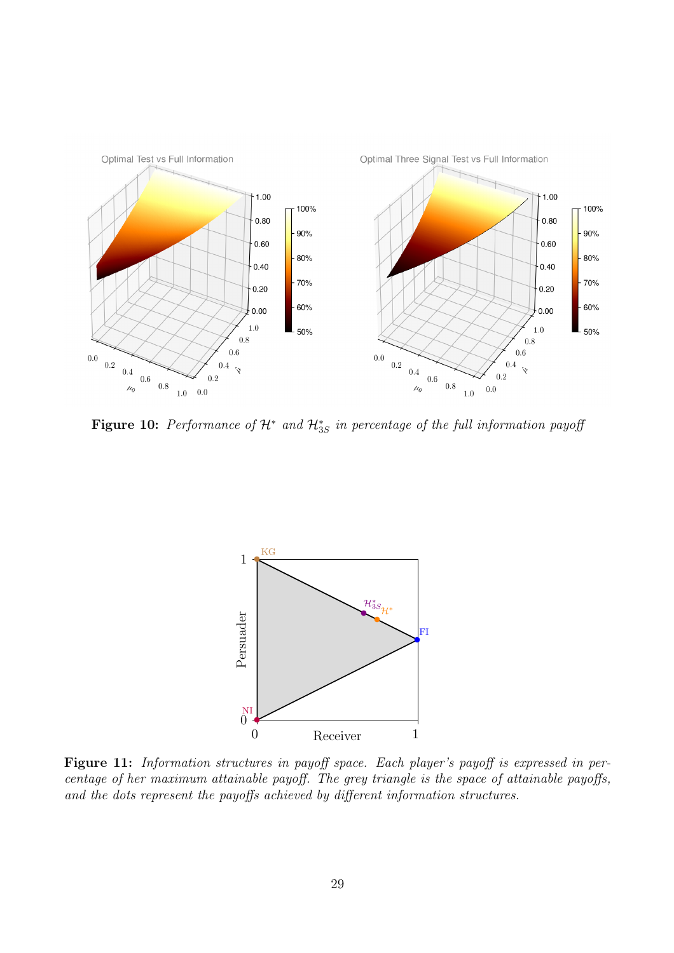

Figure 10: Performance of  $\mathcal{H}^*$  and  $\mathcal{H}_{3S}^*$  in percentage of the full information payoff



Figure 11: Information structures in payoff space. Each player's payoff is expressed in percentage of her maximum attainable payoff. The grey triangle is the space of attainable payoffs, and the dots represent the payoffs achieved by different information structures.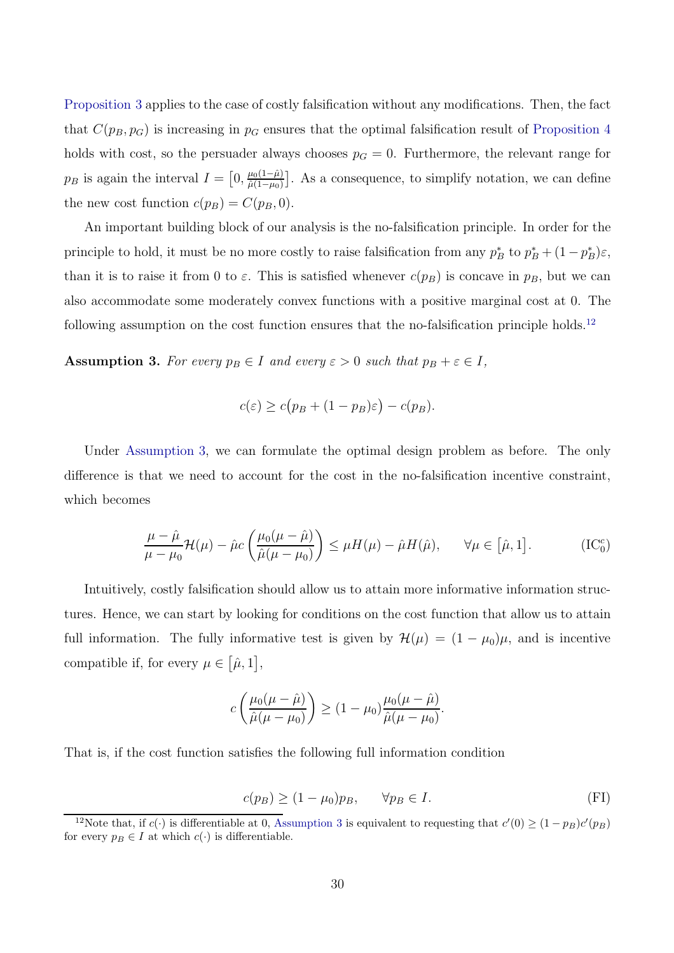Proposition 3 applies to the case of costly falsification without any modifications. Then, the fact that  $C(p_B, p_G)$  is increasing in  $p_G$  ensures that the optimal falsification result of Proposition 4 holds with cost, so the persuader always chooses  $p<sub>G</sub> = 0$ . Furthermore, the relevant range for  $p_B$  is again the interval  $I = \left[0, \frac{\mu_0(1-\hat{\mu})}{\hat{\mu}(1-\mu_0)}\right]$  $\frac{\mu_0(1-\hat{\mu})}{\hat{\mu}(1-\mu_0)}$ . As a consequence, to simplify notation, we can define the new cost function  $c(p_B) = C(p_B, 0)$ .

An important building block of our analysis is the no-falsification principle. In order for the principle to hold, it must be no more costly to raise falsification from any  $p_B^*$  to  $p_B^* + (1 - p_B^*)\varepsilon$ , than it is to raise it from 0 to  $\varepsilon$ . This is satisfied whenever  $c(p_B)$  is concave in  $p_B$ , but we can also accommodate some moderately convex functions with a positive marginal cost at 0. The following assumption on the cost function ensures that the no-falsification principle holds.<sup>12</sup>

**Assumption 3.** For every  $p_B \in I$  and every  $\varepsilon > 0$  such that  $p_B + \varepsilon \in I$ ,

$$
c(\varepsilon) \ge c\big(p_B + (1 - p_B)\varepsilon\big) - c(p_B).
$$

Under Assumption 3, we can formulate the optimal design problem as before. The only difference is that we need to account for the cost in the no-falsification incentive constraint, which becomes

$$
\frac{\mu - \hat{\mu}}{\mu - \mu_0} \mathcal{H}(\mu) - \hat{\mu}c \left( \frac{\mu_0(\mu - \hat{\mu})}{\hat{\mu}(\mu - \mu_0)} \right) \le \mu H(\mu) - \hat{\mu}H(\hat{\mu}), \qquad \forall \mu \in [\hat{\mu}, 1].
$$
 (IC<sub>0</sub><sup>c</sup>)

Intuitively, costly falsification should allow us to attain more informative information structures. Hence, we can start by looking for conditions on the cost function that allow us to attain full information. The fully informative test is given by  $\mathcal{H}(\mu) = (1 - \mu_0)\mu$ , and is incentive compatible if, for every  $\mu \in [\hat{\mu}, 1],$ 

$$
c\left(\frac{\mu_0(\mu - \hat{\mu})}{\hat{\mu}(\mu - \mu_0)}\right) \ge (1 - \mu_0) \frac{\mu_0(\mu - \hat{\mu})}{\hat{\mu}(\mu - \mu_0)}.
$$

That is, if the cost function satisfies the following full information condition

 $c(p_B) \geq (1 - \mu_0)p_B, \quad \forall p_B \in I.$  (FI)

<sup>&</sup>lt;sup>12</sup>Note that, if  $c(\cdot)$  is differentiable at 0, Assumption 3 is equivalent to requesting that  $c'(0) \geq (1 - p_B)c'(p_B)$ for every  $p_B \in I$  at which  $c(\cdot)$  is differentiable.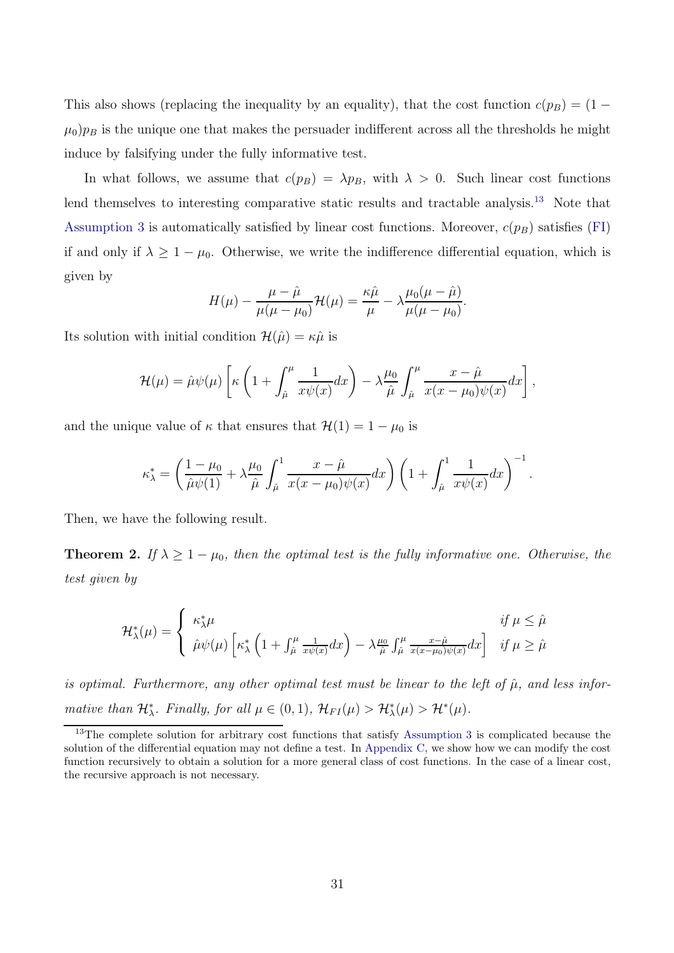This also shows (replacing the inequality by an equality), that the cost function  $c(p_B) = (1 \mu_0$ ) $p_B$  is the unique one that makes the persuader indifferent across all the thresholds he might induce by falsifying under the fully informative test.

In what follows, we assume that  $c(p_B) = \lambda p_B$ , with  $\lambda > 0$ . Such linear cost functions lend themselves to interesting comparative static results and tractable analysis.<sup>13</sup> Note that Assumption 3 is automatically satisfied by linear cost functions. Moreover,  $c(p_B)$  satisfies (FI) if and only if  $\lambda \geq 1 - \mu_0$ . Otherwise, we write the indifference differential equation, which is given by

$$
H(\mu) - \frac{\mu - \hat{\mu}}{\mu(\mu - \mu_0)} \mathcal{H}(\mu) = \frac{\kappa \hat{\mu}}{\mu} - \lambda \frac{\mu_0(\mu - \hat{\mu})}{\mu(\mu - \mu_0)}.
$$

Its solution with initial condition  $\mathcal{H}(\hat{\mu}) = \kappa \hat{\mu}$  is

$$
\mathcal{H}(\mu) = \hat{\mu}\psi(\mu) \left[ \kappa \left( 1 + \int_{\hat{\mu}}^{\mu} \frac{1}{x \psi(x)} dx \right) - \lambda \frac{\mu_0}{\hat{\mu}} \int_{\hat{\mu}}^{\mu} \frac{x - \hat{\mu}}{x(x - \mu_0) \psi(x)} dx \right],
$$

and the unique value of  $\kappa$  that ensures that  $\mathcal{H}(1) = 1 - \mu_0$  is

$$
\kappa_{\lambda}^* = \left(\frac{1-\mu_0}{\hat{\mu}\psi(1)} + \lambda \frac{\mu_0}{\hat{\mu}} \int_{\hat{\mu}}^1 \frac{x-\hat{\mu}}{x(x-\mu_0)\psi(x)} dx\right) \left(1 + \int_{\hat{\mu}}^1 \frac{1}{x\psi(x)} dx\right)^{-1}.
$$

Then, we have the following result.

**Theorem 2.** If  $\lambda \geq 1 - \mu_0$ , then the optimal test is the fully informative one. Otherwise, the test given by

$$
\mathcal{H}_{\lambda}^{*}(\mu) = \begin{cases} \kappa_{\lambda}^{*}\mu & \text{if } \mu \leq \hat{\mu} \\ \hat{\mu}\psi(\mu) \left[\kappa_{\lambda}^{*}\left(1 + \int_{\hat{\mu}}^{\mu} \frac{1}{x\psi(x)}dx\right) - \lambda \frac{\mu_{0}}{\hat{\mu}} \int_{\hat{\mu}}^{\mu} \frac{x-\hat{\mu}}{x(x-\mu_{0})\psi(x)}dx\right] & \text{if } \mu \geq \hat{\mu} \end{cases}
$$

is optimal. Furthermore, any other optimal test must be linear to the left of  $\hat{\mu}$ , and less informative than  $\mathcal{H}_{\lambda}^*$ . Finally, for all  $\mu \in (0,1)$ ,  $\mathcal{H}_{FI}(\mu) > \mathcal{H}_{\lambda}^*(\mu) > \mathcal{H}^*(\mu)$ .

 $13$ The complete solution for arbitrary cost functions that satisfy Assumption 3 is complicated because the solution of the differential equation may not define a test. In Appendix C, we show how we can modify the cost function recursively to obtain a solution for a more general class of cost functions. In the case of a linear cost, the recursive approach is not necessary.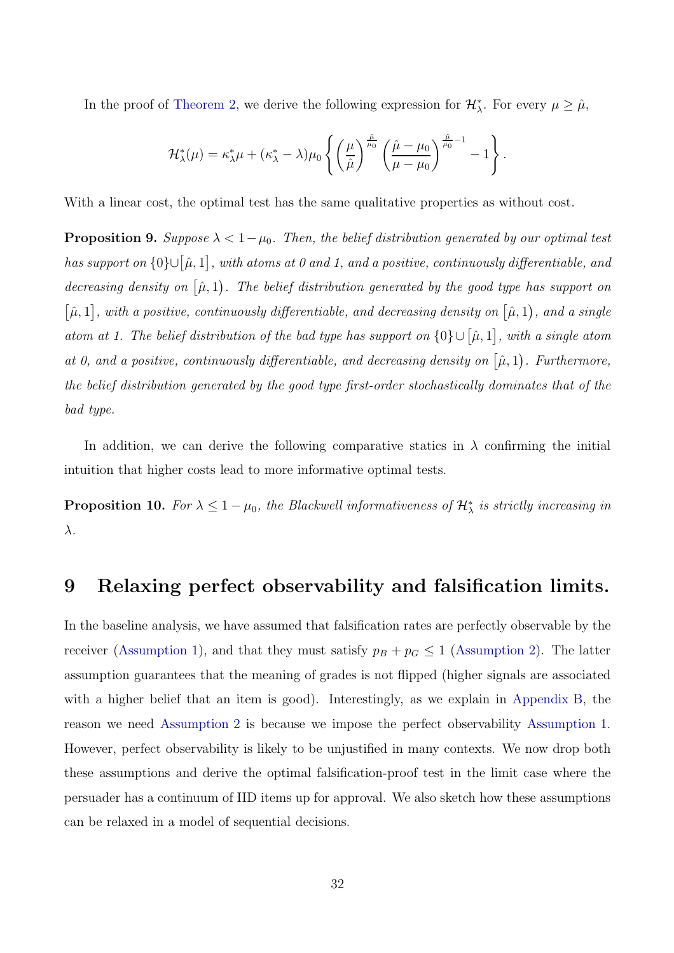In the proof of Theorem 2, we derive the following expression for  $\mathcal{H}^*_{\lambda}$ . For every  $\mu \geq \hat{\mu}$ ,

$$
\mathcal{H}_{\lambda}^{*}(\mu) = \kappa_{\lambda}^{*}\mu + (\kappa_{\lambda}^{*} - \lambda)\mu_{0} \left\{ \left(\frac{\mu}{\hat{\mu}}\right)^{\frac{\hat{\mu}}{\mu_{0}}}\left(\frac{\hat{\mu} - \mu_{0}}{\mu - \mu_{0}}\right)^{\frac{\hat{\mu}}{\mu_{0}}-1} - 1 \right\}.
$$

With a linear cost, the optimal test has the same qualitative properties as without cost.

**Proposition 9.** Suppose  $\lambda < 1 - \mu_0$ . Then, the belief distribution generated by our optimal test has support on  $\{0\}$ ∪ $\lceil \hat{\mu},1 \rceil$ , with atoms at 0 and 1, and a positive, continuously differentiable, and decreasing density on  $(\hat{\mu}, 1)$ . The belief distribution generated by the good type has support on  $[\hat{\mu}, 1]$ , with a positive, continuously differentiable, and decreasing density on  $[\hat{\mu}, 1]$ , and a single atom at 1. The belief distribution of the bad type has support on  $\{0\} \cup [\hat{\mu}, 1]$ , with a single atom at 0, and a positive, continuously differentiable, and decreasing density on  $(\hat{\mu}, 1)$ . Furthermore, the belief distribution generated by the good type first-order stochastically dominates that of the bad type.

In addition, we can derive the following comparative statics in  $\lambda$  confirming the initial intuition that higher costs lead to more informative optimal tests.

**Proposition 10.** For  $\lambda \leq 1 - \mu_0$ , the Blackwell informativeness of  $\mathcal{H}^*_{\lambda}$  is strictly increasing in  $\lambda$ .

### 9 Relaxing perfect observability and falsification limits.

In the baseline analysis, we have assumed that falsification rates are perfectly observable by the receiver (Assumption 1), and that they must satisfy  $p_B + p_G \leq 1$  (Assumption 2). The latter assumption guarantees that the meaning of grades is not flipped (higher signals are associated with a higher belief that an item is good). Interestingly, as we explain in Appendix B, the reason we need Assumption 2 is because we impose the perfect observability Assumption 1. However, perfect observability is likely to be unjustified in many contexts. We now drop both these assumptions and derive the optimal falsification-proof test in the limit case where the persuader has a continuum of IID items up for approval. We also sketch how these assumptions can be relaxed in a model of sequential decisions.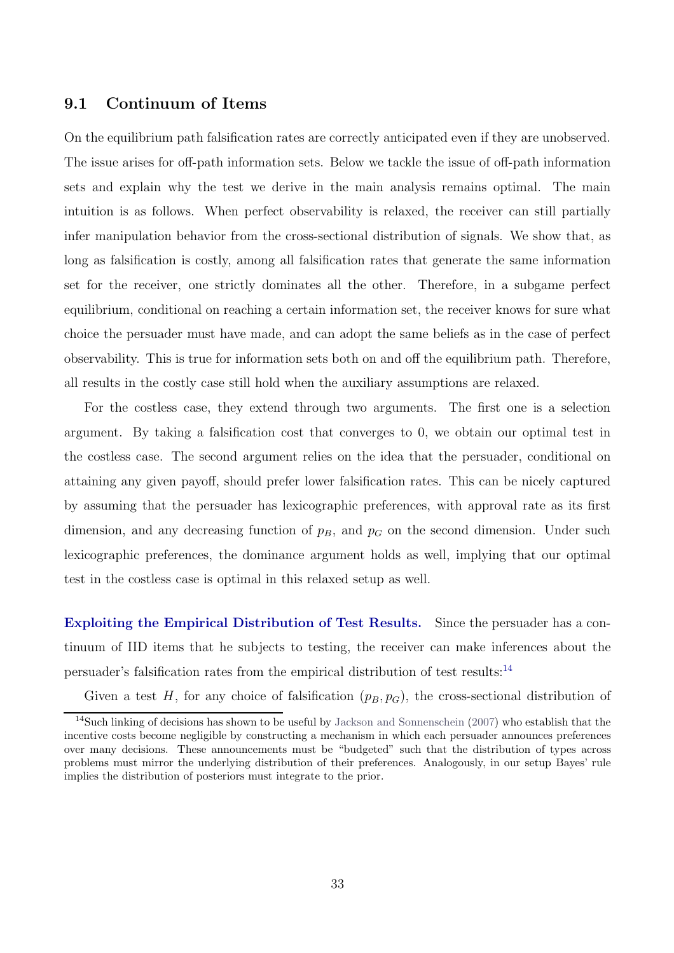#### 9.1 Continuum of Items

On the equilibrium path falsification rates are correctly anticipated even if they are unobserved. The issue arises for off-path information sets. Below we tackle the issue of off-path information sets and explain why the test we derive in the main analysis remains optimal. The main intuition is as follows. When perfect observability is relaxed, the receiver can still partially infer manipulation behavior from the cross-sectional distribution of signals. We show that, as long as falsification is costly, among all falsification rates that generate the same information set for the receiver, one strictly dominates all the other. Therefore, in a subgame perfect equilibrium, conditional on reaching a certain information set, the receiver knows for sure what choice the persuader must have made, and can adopt the same beliefs as in the case of perfect observability. This is true for information sets both on and off the equilibrium path. Therefore, all results in the costly case still hold when the auxiliary assumptions are relaxed.

For the costless case, they extend through two arguments. The first one is a selection argument. By taking a falsification cost that converges to 0, we obtain our optimal test in the costless case. The second argument relies on the idea that the persuader, conditional on attaining any given payoff, should prefer lower falsification rates. This can be nicely captured by assuming that the persuader has lexicographic preferences, with approval rate as its first dimension, and any decreasing function of  $p_B$ , and  $p_G$  on the second dimension. Under such lexicographic preferences, the dominance argument holds as well, implying that our optimal test in the costless case is optimal in this relaxed setup as well.

Exploiting the Empirical Distribution of Test Results. Since the persuader has a continuum of IID items that he subjects to testing, the receiver can make inferences about the persuader's falsification rates from the empirical distribution of test results: $^{14}$ 

Given a test H, for any choice of falsification  $(p_B, p_G)$ , the cross-sectional distribution of

 $\frac{14}{14}$ Such linking of decisions has shown to be useful by Jackson and Sonnenschein (2007) who establish that the incentive costs become negligible by constructing a mechanism in which each persuader announces preferences over many decisions. These announcements must be "budgeted" such that the distribution of types across problems must mirror the underlying distribution of their preferences. Analogously, in our setup Bayes' rule implies the distribution of posteriors must integrate to the prior.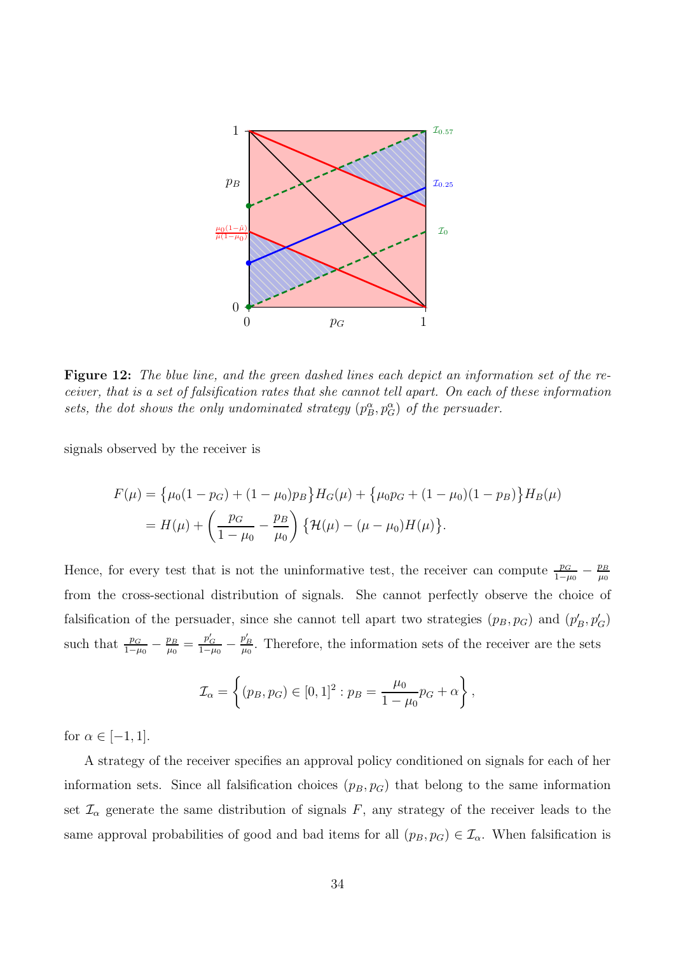

Figure 12: The blue line, and the green dashed lines each depict an information set of the receiver, that is a set of falsification rates that she cannot tell apart. On each of these information sets, the dot shows the only undominated strategy  $(p_B^{\alpha}, p_G^{\alpha})$  of the persuader.

signals observed by the receiver is

$$
F(\mu) = \{\mu_0(1 - p_G) + (1 - \mu_0)p_B\}H_G(\mu) + \{\mu_0p_G + (1 - \mu_0)(1 - p_B)\}H_B(\mu)
$$
  
=  $H(\mu) + \left(\frac{p_G}{1 - \mu_0} - \frac{p_B}{\mu_0}\right)\{\mathcal{H}(\mu) - (\mu - \mu_0)H(\mu)\}.$ 

Hence, for every test that is not the uninformative test, the receiver can compute  $\frac{p_G}{1-\mu_0} - \frac{p_B}{\mu_0}$  $\mu$ <sub>0</sub> from the cross-sectional distribution of signals. She cannot perfectly observe the choice of falsification of the persuader, since she cannot tell apart two strategies  $(p_B, p_G)$  and  $(p'_B, p'_G)$ such that  $\frac{p_G}{1-\mu_0} - \frac{p_B}{\mu_0}$  $\frac{p_B}{\mu_0} = \frac{p'_G}{1-\mu_0} - \frac{p'_B}{\mu_0}$ . Therefore, the information sets of the receiver are the sets

$$
\mathcal{I}_{\alpha} = \left\{ (p_B, p_G) \in [0, 1]^2 : p_B = \frac{\mu_0}{1 - \mu_0} p_G + \alpha \right\},\,
$$

for  $\alpha \in [-1, 1]$ .

A strategy of the receiver specifies an approval policy conditioned on signals for each of her information sets. Since all falsification choices  $(p_B, p_G)$  that belong to the same information set  $\mathcal{I}_{\alpha}$  generate the same distribution of signals F, any strategy of the receiver leads to the same approval probabilities of good and bad items for all  $(p_B, p_G) \in \mathcal{I}_{\alpha}$ . When falsification is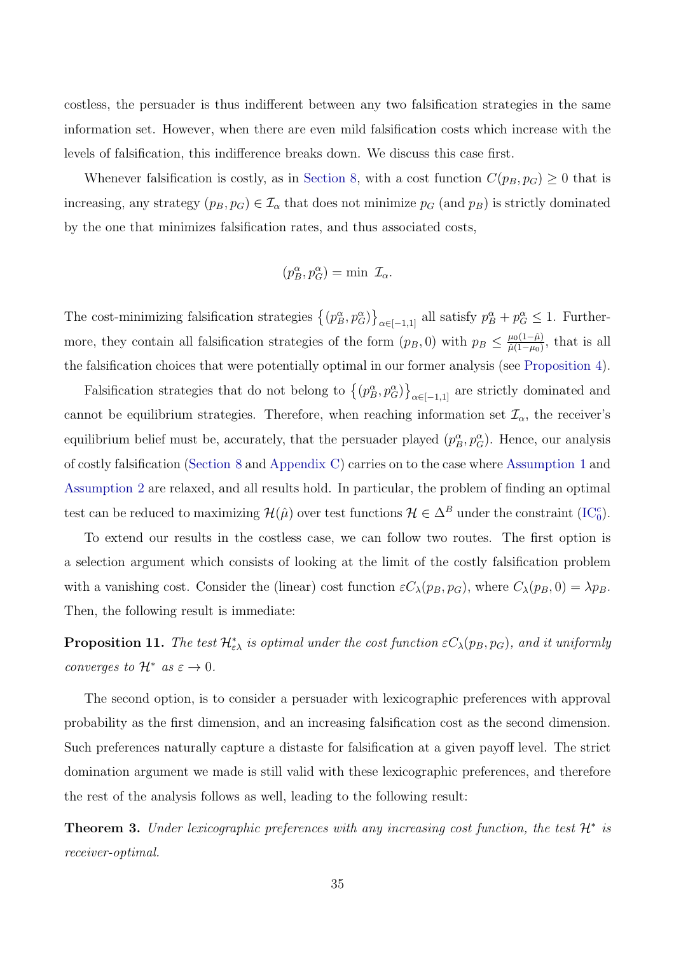costless, the persuader is thus indifferent between any two falsification strategies in the same information set. However, when there are even mild falsification costs which increase with the levels of falsification, this indifference breaks down. We discuss this case first.

Whenever falsification is costly, as in Section 8, with a cost function  $C(p_B, p_G) \geq 0$  that is increasing, any strategy  $(p_B, p_G) \in \mathcal{I}_\alpha$  that does not minimize  $p_G$  (and  $p_B$ ) is strictly dominated by the one that minimizes falsification rates, and thus associated costs,

$$
(p_B^{\alpha},p_G^{\alpha}) = \min \mathcal{I}_{\alpha}.
$$

The cost-minimizing falsification strategies  $\{(p_B^{\alpha}, p_G^{\alpha})\}_{\alpha \in [-1,1]}$  all satisfy  $p_B^{\alpha} + p_G^{\alpha} \leq 1$ . Furthermore, they contain all falsification strategies of the form  $(p_B, 0)$  with  $p_B \n\t\leq \frac{\mu_0(1-\hat{\mu})}{\hat{\mu}(1-\mu_0)}$  $\frac{\mu_0(1-\mu)}{\hat{\mu}(1-\mu_0)}$ , that is all the falsification choices that were potentially optimal in our former analysis (see Proposition 4).

Falsification strategies that do not belong to  $\left\{ (p_B^{\alpha}, p_G^{\alpha}) \right\}_{\alpha \in [-1,1]}$  are strictly dominated and cannot be equilibrium strategies. Therefore, when reaching information set  $\mathcal{I}_{\alpha}$ , the receiver's equilibrium belief must be, accurately, that the persuader played  $(p_B^{\alpha}, p_G^{\alpha})$ . Hence, our analysis of costly falsification (Section 8 and Appendix C) carries on to the case where Assumption 1 and Assumption 2 are relaxed, and all results hold. In particular, the problem of finding an optimal test can be reduced to maximizing  $\mathcal{H}(\hat{\mu})$  over test functions  $\mathcal{H} \in \Delta^B$  under the constraint  $(IC_0^c)$ .

To extend our results in the costless case, we can follow two routes. The first option is a selection argument which consists of looking at the limit of the costly falsification problem with a vanishing cost. Consider the (linear) cost function  $\varepsilon C_{\lambda}(p_B, p_G)$ , where  $C_{\lambda}(p_B, 0) = \lambda p_B$ . Then, the following result is immediate:

**Proposition 11.** The test  $\mathcal{H}_{\varepsilon\lambda}^*$  is optimal under the cost function  $\varepsilon C_\lambda(p_B, p_G)$ , and it uniformly converges to  $\mathcal{H}^*$  as  $\varepsilon \to 0$ .

The second option, is to consider a persuader with lexicographic preferences with approval probability as the first dimension, and an increasing falsification cost as the second dimension. Such preferences naturally capture a distaste for falsification at a given payoff level. The strict domination argument we made is still valid with these lexicographic preferences, and therefore the rest of the analysis follows as well, leading to the following result:

**Theorem 3.** Under lexicographic preferences with any increasing cost function, the test  $\mathcal{H}^*$  is receiver-optimal.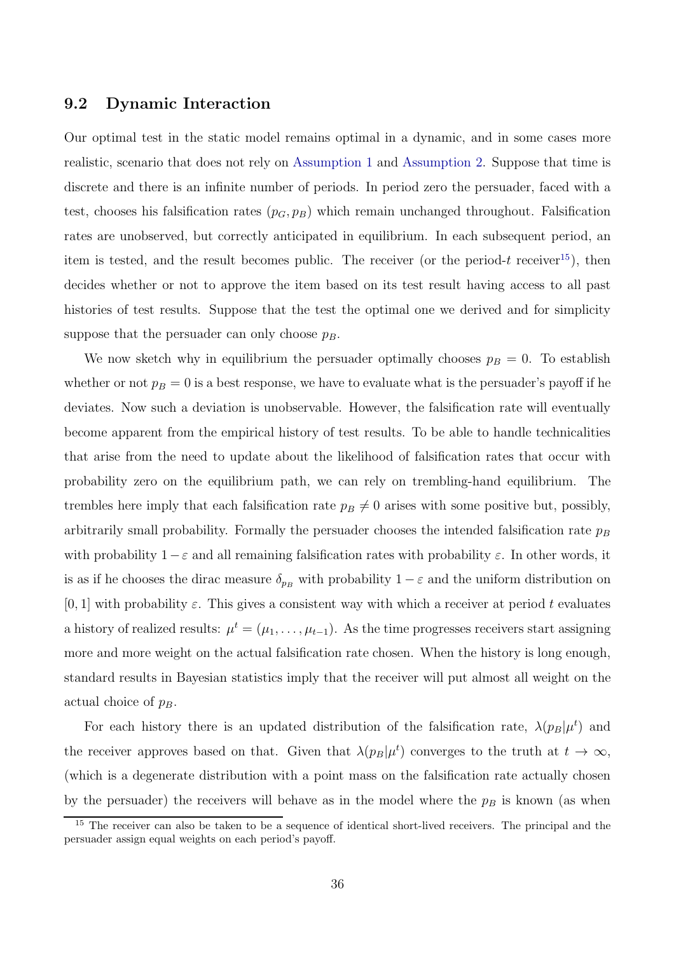#### 9.2 Dynamic Interaction

Our optimal test in the static model remains optimal in a dynamic, and in some cases more realistic, scenario that does not rely on Assumption 1 and Assumption 2. Suppose that time is discrete and there is an infinite number of periods. In period zero the persuader, faced with a test, chooses his falsification rates  $(p_G, p_B)$  which remain unchanged throughout. Falsification rates are unobserved, but correctly anticipated in equilibrium. In each subsequent period, an item is tested, and the result becomes public. The receiver (or the period-t receiver<sup>15</sup>), then decides whether or not to approve the item based on its test result having access to all past histories of test results. Suppose that the test the optimal one we derived and for simplicity suppose that the persuader can only choose  $p_B$ .

We now sketch why in equilibrium the persuader optimally chooses  $p_B = 0$ . To establish whether or not  $p_B = 0$  is a best response, we have to evaluate what is the persuader's payoff if he deviates. Now such a deviation is unobservable. However, the falsification rate will eventually become apparent from the empirical history of test results. To be able to handle technicalities that arise from the need to update about the likelihood of falsification rates that occur with probability zero on the equilibrium path, we can rely on trembling-hand equilibrium. The trembles here imply that each falsification rate  $p_B \neq 0$  arises with some positive but, possibly, arbitrarily small probability. Formally the persuader chooses the intended falsification rate  $p_B$ with probability  $1-\varepsilon$  and all remaining falsification rates with probability  $\varepsilon$ . In other words, it is as if he chooses the dirac measure  $\delta_{p_B}$  with probability  $1 - \varepsilon$  and the uniform distribution on  $[0, 1]$  with probability  $\varepsilon$ . This gives a consistent way with which a receiver at period t evaluates a history of realized results:  $\mu^t = (\mu_1, \dots, \mu_{t-1})$ . As the time progresses receivers start assigning more and more weight on the actual falsification rate chosen. When the history is long enough, standard results in Bayesian statistics imply that the receiver will put almost all weight on the actual choice of  $p_B$ .

For each history there is an updated distribution of the falsification rate,  $\lambda(p_B|\mu^t)$  and the receiver approves based on that. Given that  $\lambda(p_B|\mu^t)$  converges to the truth at  $t \to \infty$ , (which is a degenerate distribution with a point mass on the falsification rate actually chosen by the persuader) the receivers will behave as in the model where the  $p_B$  is known (as when

 $15$  The receiver can also be taken to be a sequence of identical short-lived receivers. The principal and the persuader assign equal weights on each period's payoff.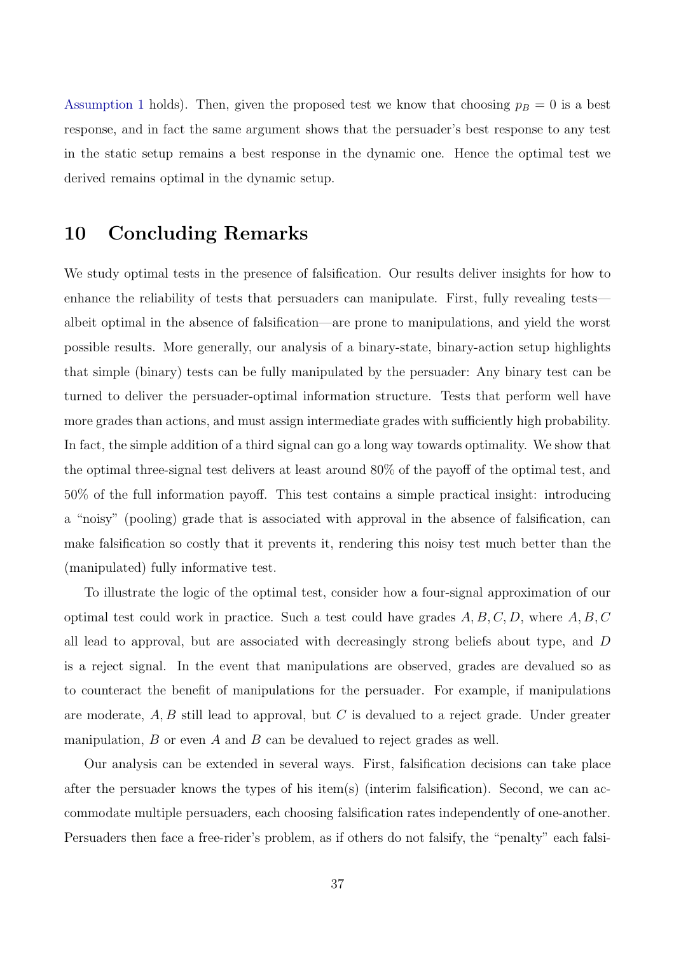Assumption 1 holds). Then, given the proposed test we know that choosing  $p_B = 0$  is a best response, and in fact the same argument shows that the persuader's best response to any test in the static setup remains a best response in the dynamic one. Hence the optimal test we derived remains optimal in the dynamic setup.

### 10 Concluding Remarks

We study optimal tests in the presence of falsification. Our results deliver insights for how to enhance the reliability of tests that persuaders can manipulate. First, fully revealing tests albeit optimal in the absence of falsification—are prone to manipulations, and yield the worst possible results. More generally, our analysis of a binary-state, binary-action setup highlights that simple (binary) tests can be fully manipulated by the persuader: Any binary test can be turned to deliver the persuader-optimal information structure. Tests that perform well have more grades than actions, and must assign intermediate grades with sufficiently high probability. In fact, the simple addition of a third signal can go a long way towards optimality. We show that the optimal three-signal test delivers at least around 80% of the payoff of the optimal test, and 50% of the full information payoff. This test contains a simple practical insight: introducing a "noisy" (pooling) grade that is associated with approval in the absence of falsification, can make falsification so costly that it prevents it, rendering this noisy test much better than the (manipulated) fully informative test.

To illustrate the logic of the optimal test, consider how a four-signal approximation of our optimal test could work in practice. Such a test could have grades  $A, B, C, D$ , where  $A, B, C$ all lead to approval, but are associated with decreasingly strong beliefs about type, and D is a reject signal. In the event that manipulations are observed, grades are devalued so as to counteract the benefit of manipulations for the persuader. For example, if manipulations are moderate,  $A, B$  still lead to approval, but C is devalued to a reject grade. Under greater manipulation,  $B$  or even  $A$  and  $B$  can be devalued to reject grades as well.

Our analysis can be extended in several ways. First, falsification decisions can take place after the persuader knows the types of his item(s) (interim falsification). Second, we can accommodate multiple persuaders, each choosing falsification rates independently of one-another. Persuaders then face a free-rider's problem, as if others do not falsify, the "penalty" each falsi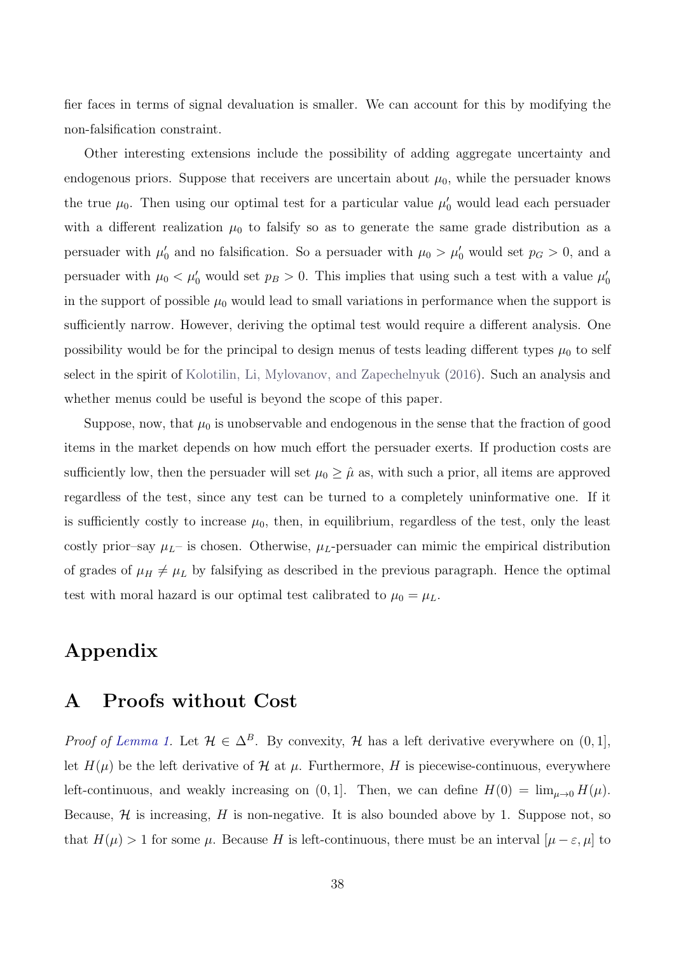fier faces in terms of signal devaluation is smaller. We can account for this by modifying the non-falsification constraint.

Other interesting extensions include the possibility of adding aggregate uncertainty and endogenous priors. Suppose that receivers are uncertain about  $\mu_0$ , while the persuader knows the true  $\mu_0$ . Then using our optimal test for a particular value  $\mu'_0$  would lead each persuader with a different realization  $\mu_0$  to falsify so as to generate the same grade distribution as a persuader with  $\mu'_0$  and no falsification. So a persuader with  $\mu_0 > \mu'_0$  would set  $p_G > 0$ , and a persuader with  $\mu_0 < \mu'_0$  would set  $p_B > 0$ . This implies that using such a test with a value  $\mu'_0$ in the support of possible  $\mu_0$  would lead to small variations in performance when the support is sufficiently narrow. However, deriving the optimal test would require a different analysis. One possibility would be for the principal to design menus of tests leading different types  $\mu_0$  to self select in the spirit of Kolotilin, Li, Mylovanov, and Zapechelnyuk (2016). Such an analysis and whether menus could be useful is beyond the scope of this paper.

Suppose, now, that  $\mu_0$  is unobservable and endogenous in the sense that the fraction of good items in the market depends on how much effort the persuader exerts. If production costs are sufficiently low, then the persuader will set  $\mu_0 \geq \hat{\mu}$  as, with such a prior, all items are approved regardless of the test, since any test can be turned to a completely uninformative one. If it is sufficiently costly to increase  $\mu_0$ , then, in equilibrium, regardless of the test, only the least costly prior–say  $\mu_L$ – is chosen. Otherwise,  $\mu_L$ -persuader can mimic the empirical distribution of grades of  $\mu_H \neq \mu_L$  by falsifying as described in the previous paragraph. Hence the optimal test with moral hazard is our optimal test calibrated to  $\mu_0 = \mu_L$ .

### Appendix

### A Proofs without Cost

*Proof of Lemma 1.* Let  $\mathcal{H} \in \Delta^B$ . By convexity,  $\mathcal{H}$  has a left derivative everywhere on  $(0, 1]$ , let  $H(\mu)$  be the left derivative of H at  $\mu$ . Furthermore, H is piecewise-continuous, everywhere left-continuous, and weakly increasing on  $(0, 1]$ . Then, we can define  $H(0) = \lim_{\mu \to 0} H(\mu)$ . Because,  $\mathcal H$  is increasing,  $H$  is non-negative. It is also bounded above by 1. Suppose not, so that  $H(\mu) > 1$  for some  $\mu$ . Because H is left-continuous, there must be an interval  $[\mu - \varepsilon, \mu]$  to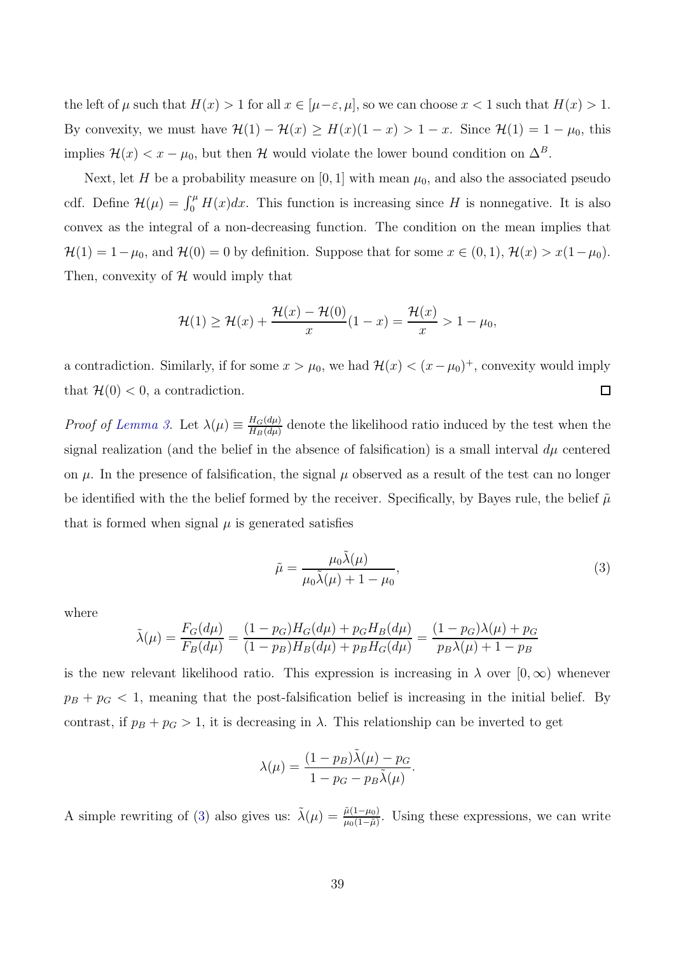the left of  $\mu$  such that  $H(x) > 1$  for all  $x \in [\mu - \varepsilon, \mu]$ , so we can choose  $x < 1$  such that  $H(x) > 1$ . By convexity, we must have  $\mathcal{H}(1) - \mathcal{H}(x) \geq H(x)(1 - x) > 1 - x$ . Since  $\mathcal{H}(1) = 1 - \mu_0$ , this implies  $\mathcal{H}(x) < x - \mu_0$ , but then  $\mathcal{H}$  would violate the lower bound condition on  $\Delta^B$ .

Next, let H be a probability measure on [0, 1] with mean  $\mu_0$ , and also the associated pseudo cdf. Define  $\mathcal{H}(\mu) = \int_0^{\mu} H(x)dx$ . This function is increasing since H is nonnegative. It is also convex as the integral of a non-decreasing function. The condition on the mean implies that  $\mathcal{H}(1) = 1 - \mu_0$ , and  $\mathcal{H}(0) = 0$  by definition. Suppose that for some  $x \in (0, 1)$ ,  $\mathcal{H}(x) > x(1 - \mu_0)$ . Then, convexity of  $H$  would imply that

$$
\mathcal{H}(1) \ge \mathcal{H}(x) + \frac{\mathcal{H}(x) - \mathcal{H}(0)}{x}(1 - x) = \frac{\mathcal{H}(x)}{x} > 1 - \mu_0,
$$

a contradiction. Similarly, if for some  $x > \mu_0$ , we had  $\mathcal{H}(x) < (x - \mu_0)^+$ , convexity would imply that  $\mathcal{H}(0) < 0$ , a contradiction.  $\Box$ 

*Proof of Lemma 3.* Let  $\lambda(\mu) \equiv \frac{H_G(d\mu)}{H_D(d\mu)}$  $\frac{H_G(\hat{a}\mu)}{H_B(\hat{d}\mu)}$  denote the likelihood ratio induced by the test when the signal realization (and the belief in the absence of falsification) is a small interval  $d\mu$  centered on  $\mu$ . In the presence of falsification, the signal  $\mu$  observed as a result of the test can no longer be identified with the the belief formed by the receiver. Specifically, by Bayes rule, the belief  $\tilde{\mu}$ that is formed when signal  $\mu$  is generated satisfies

$$
\tilde{\mu} = \frac{\mu_0 \tilde{\lambda}(\mu)}{\mu_0 \tilde{\lambda}(\mu) + 1 - \mu_0},\tag{3}
$$

where

$$
\tilde{\lambda}(\mu) = \frac{F_G(d\mu)}{F_B(d\mu)} = \frac{(1 - p_G)H_G(d\mu) + p_G H_B(d\mu)}{(1 - p_B)H_B(d\mu) + p_B H_G(d\mu)} = \frac{(1 - p_G)\lambda(\mu) + p_G}{p_B \lambda(\mu) + 1 - p_B}
$$

is the new relevant likelihood ratio. This expression is increasing in  $\lambda$  over  $[0,\infty)$  whenever  $p_B + p_G < 1$ , meaning that the post-falsification belief is increasing in the initial belief. By contrast, if  $p_B + p_G > 1$ , it is decreasing in  $\lambda$ . This relationship can be inverted to get

$$
\lambda(\mu) = \frac{(1 - p_B)\tilde{\lambda}(\mu) - p_G}{1 - p_G - p_B\tilde{\lambda}(\mu)}.
$$

A simple rewriting of (3) also gives us:  $\tilde{\lambda}(\mu) = \frac{\tilde{\mu}(1-\mu_0)}{\mu_0(1-\tilde{\mu})}$ . Using these expressions, we can write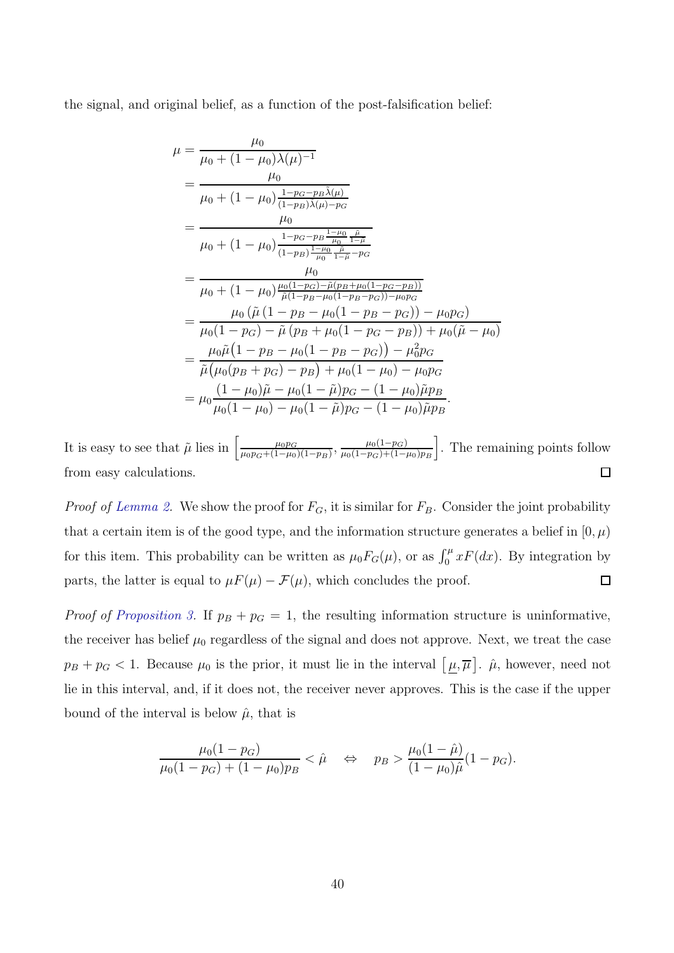the signal, and original belief, as a function of the post-falsification belief:

$$
\mu = \frac{\mu_0}{\mu_0 + (1 - \mu_0)\lambda(\mu)^{-1}} \n= \frac{\mu_0}{\mu_0 + (1 - \mu_0)\frac{1 - p_G - p_B\tilde{\lambda}(\mu)}{(1 - p_B)\tilde{\lambda}(\mu) - p_G}} \n= \frac{\mu_0}{\mu_0 + (1 - \mu_0)\frac{1 - p_G - p_B\frac{1 - \mu_0}{\mu_0}\frac{\tilde{\mu}}{1 - \tilde{\mu}}}{(1 - p_B)\frac{1 - \mu_0}{\mu_0}\frac{\tilde{\mu}}{1 - \tilde{\mu}} - p_G} \n= \frac{\mu_0}{\mu_0 + (1 - \mu_0)\frac{\mu_0(1 - p_G) - \tilde{\mu}(p_B + \mu_0(1 - p_G - p_B))}{\tilde{\mu}(1 - p_B - \mu_0(1 - p_B - p_G)) - \mu_0 p_G}} \n= \frac{\mu_0(\tilde{\mu}(1 - p_B - \mu_0(1 - p_B - p_G)) - \mu_0 p_G)}{\mu_0(1 - p_G) - \tilde{\mu}(p_B + \mu_0(1 - p_G - p_B)) + \mu_0(\tilde{\mu} - \mu_0)} \n= \frac{\mu_0\tilde{\mu}(1 - p_B - \mu_0(1 - p_B - p_G)) - \mu_0^2 p_G}{\tilde{\mu}(\mu_0(p_B + p_G) - p_B) + \mu_0(1 - \mu_0) - \mu_0 p_G} \n= \mu_0\frac{(1 - \mu_0)\tilde{\mu} - \mu_0(1 - \tilde{\mu})p_G - (1 - \mu_0)\tilde{\mu}p_B}{\mu_0(1 - \mu_0) - \mu_0(1 - \tilde{\mu})p_G - (1 - \mu_0)\tilde{\mu}p_B}.
$$

It is easy to see that  $\tilde{\mu}$  lies in  $\left[\frac{\mu_{0}p_{G}}{\mu_{0}p_{G}+(1-\mu_{0})}\right]$ . The remaining points follow  $\frac{\mu_0 p_G}{\mu_0 p_G+(1-\mu_0)(1-p_B)}, \frac{\mu_0(1-p_G)}{\mu_0(1-p_G)+(1-p_G)}$  $\mu_0(1-p_G)+(1-\mu_0)p_B$  $\Box$ from easy calculations.

*Proof of Lemma 2.* We show the proof for  $F_G$ , it is similar for  $F_B$ . Consider the joint probability that a certain item is of the good type, and the information structure generates a belief in  $[0, \mu)$ for this item. This probability can be written as  $\mu_0 F_G(\mu)$ , or as  $\int_0^{\mu} x F(dx)$ . By integration by parts, the latter is equal to  $\mu F(\mu) - \mathcal{F}(\mu)$ , which concludes the proof.  $\Box$ 

*Proof of Proposition 3.* If  $p_B + p_G = 1$ , the resulting information structure is uninformative, the receiver has belief  $\mu_0$  regardless of the signal and does not approve. Next, we treat the case  $p_B + p_G < 1$ . Because  $\mu_0$  is the prior, it must lie in the interval  $\left[\mu, \overline{\mu}\right]$ .  $\hat{\mu}$ , however, need not lie in this interval, and, if it does not, the receiver never approves. This is the case if the upper bound of the interval is below  $\hat{\mu}$ , that is

$$
\frac{\mu_0(1 - p_G)}{\mu_0(1 - p_G) + (1 - \mu_0)p_B} < \hat{\mu} \quad \Leftrightarrow \quad p_B > \frac{\mu_0(1 - \hat{\mu})}{(1 - \mu_0)\hat{\mu}}(1 - p_G).
$$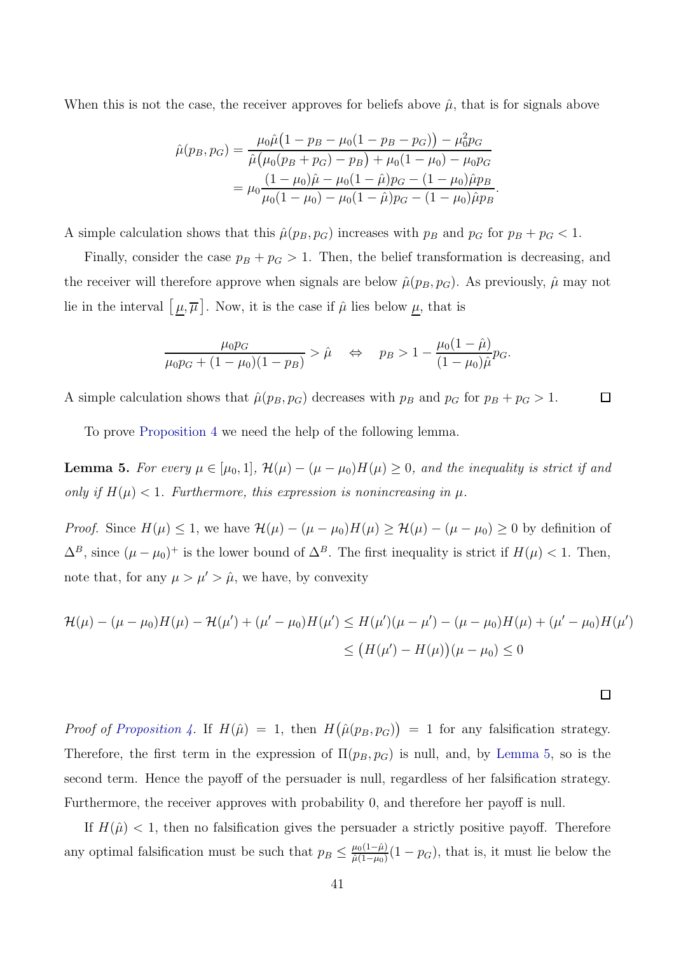When this is not the case, the receiver approves for beliefs above  $\hat{\mu}$ , that is for signals above

$$
\hat{\mu}(p_B, p_G) = \frac{\mu_0 \hat{\mu} (1 - p_B - \mu_0 (1 - p_B - p_G)) - \mu_0^2 p_G}{\hat{\mu} (\mu_0 (p_B + p_G) - p_B) + \mu_0 (1 - \mu_0) - \mu_0 p_G}
$$

$$
= \mu_0 \frac{(1 - \mu_0) \hat{\mu} - \mu_0 (1 - \hat{\mu}) p_G - (1 - \mu_0) \hat{\mu} p_B}{\mu_0 (1 - \mu_0) - \mu_0 (1 - \hat{\mu}) p_G - (1 - \mu_0) \hat{\mu} p_B}.
$$

A simple calculation shows that this  $\hat{\mu}(p_B, p_G)$  increases with  $p_B$  and  $p_G$  for  $p_B + p_G < 1$ .

Finally, consider the case  $p_B + p_G > 1$ . Then, the belief transformation is decreasing, and the receiver will therefore approve when signals are below  $\hat{\mu}(p_B, p_G)$ . As previously,  $\hat{\mu}$  may not lie in the interval  $\lceil \mu, \overline{\mu} \rceil$ . Now, it is the case if  $\hat{\mu}$  lies below  $\mu$ , that is

$$
\frac{\mu_0 p_G}{\mu_0 p_G + (1 - \mu_0)(1 - p_B)} > \hat{\mu} \quad \Leftrightarrow \quad p_B > 1 - \frac{\mu_0 (1 - \hat{\mu})}{(1 - \mu_0)\hat{\mu}} p_G.
$$

A simple calculation shows that  $\hat{\mu}(p_B, p_G)$  decreases with  $p_B$  and  $p_G$  for  $p_B + p_G > 1$ .  $\Box$ 

To prove Proposition 4 we need the help of the following lemma.

**Lemma 5.** For every  $\mu \in [\mu_0, 1],$   $\mathcal{H}(\mu) - (\mu - \mu_0)H(\mu) \geq 0$ , and the inequality is strict if and only if  $H(\mu) < 1$ . Furthermore, this expression is nonincreasing in  $\mu$ .

*Proof.* Since  $H(\mu) \leq 1$ , we have  $\mathcal{H}(\mu) - (\mu - \mu_0)H(\mu) \geq \mathcal{H}(\mu) - (\mu - \mu_0) \geq 0$  by definition of  $\Delta^B$ , since  $(\mu - \mu_0)^+$  is the lower bound of  $\Delta^B$ . The first inequality is strict if  $H(\mu) < 1$ . Then, note that, for any  $\mu > \mu' > \hat{\mu}$ , we have, by convexity

$$
\mathcal{H}(\mu) - (\mu - \mu_0)H(\mu) - \mathcal{H}(\mu') + (\mu' - \mu_0)H(\mu') \le H(\mu')(\mu - \mu') - (\mu - \mu_0)H(\mu) + (\mu' - \mu_0)H(\mu')
$$
  

$$
\le (H(\mu') - H(\mu))(\mu - \mu_0) \le 0
$$

Proof of Proposition 4. If  $H(\hat{\mu}) = 1$ , then  $H(\hat{\mu}(p_B, p_G)) = 1$  for any falsification strategy. Therefore, the first term in the expression of  $\Pi(p_B, p_G)$  is null, and, by Lemma 5, so is the second term. Hence the payoff of the persuader is null, regardless of her falsification strategy. Furthermore, the receiver approves with probability 0, and therefore her payoff is null.

If  $H(\hat{\mu}) < 1$ , then no falsification gives the persuader a strictly positive payoff. Therefore any optimal falsification must be such that  $p_B \n\t\leq \frac{\mu_0(1-\hat{\mu})}{\hat{\mu}(1-\mu_0)}$  $\frac{\mu_0(1-\mu)}{\hat{\mu}(1-\mu_0)}(1-p_G)$ , that is, it must lie below the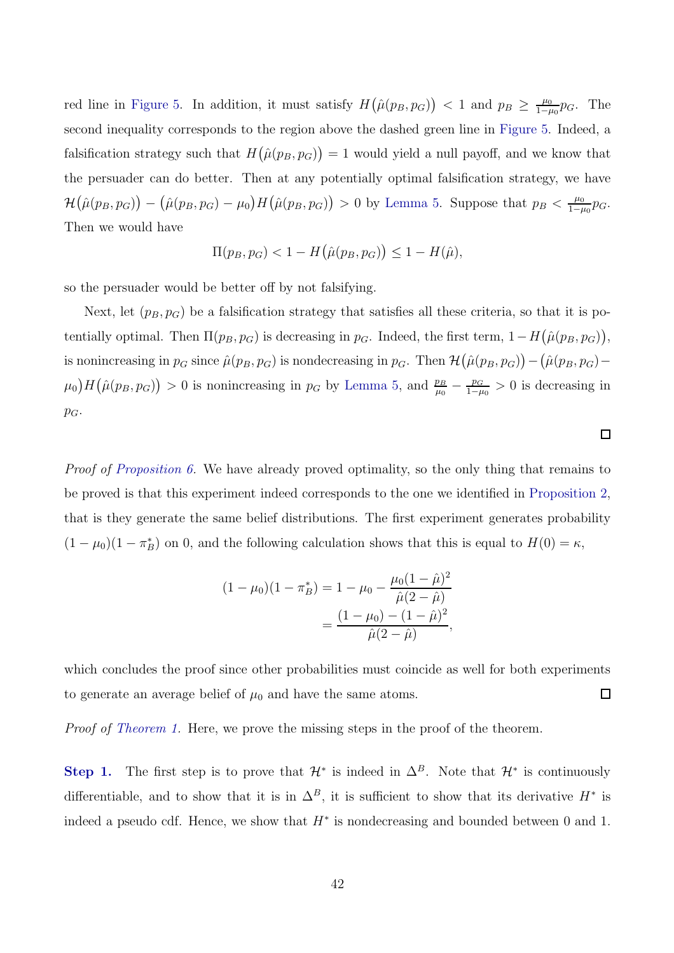red line in Figure 5. In addition, it must satisfy  $H(\hat{\mu}(p_B, p_G)) < 1$  and  $p_B \ge \frac{\mu_0}{1-\mu_0}$  $\frac{\mu_0}{1-\mu_0}p_G$ . The second inequality corresponds to the region above the dashed green line in Figure 5. Indeed, a falsification strategy such that  $H(\hat{\mu}(p_B, p_G)) = 1$  would yield a null payoff, and we know that the persuader can do better. Then at any potentially optimal falsification strategy, we have  $\mathcal{H}(\hat{\mu}(p_B, p_G)) - (\hat{\mu}(p_B, p_G) - \mu_0)H(\hat{\mu}(p_B, p_G)) > 0$  by Lemma 5. Suppose that  $p_B < \frac{\mu_0}{1-\mu_0}$  $\frac{\mu_0}{1-\mu_0}p_G$ . Then we would have

$$
\Pi(p_B, p_G) < 1 - H\big(\hat{\mu}(p_B, p_G)\big) \leq 1 - H(\hat{\mu}),
$$

so the persuader would be better off by not falsifying.

Next, let  $(p_B, p_G)$  be a falsification strategy that satisfies all these criteria, so that it is potentially optimal. Then  $\Pi(p_B, p_G)$  is decreasing in  $p_G$ . Indeed, the first term,  $1 - H(\hat{\mu}(p_B, p_G)),$ is nonincreasing in  $p_G$  since  $\hat{\mu}(p_B, p_G)$  is nondecreasing in  $p_G$ . Then  $\mathcal{H}(\hat{\mu}(p_B, p_G)) - (\hat{\mu}(p_B, p_G) \mu_0$ )  $H(\hat{\mu}(p_B, p_G)) > 0$  is nonincreasing in  $p_G$  by Lemma 5, and  $\frac{p_B}{\mu_0} - \frac{p_G}{1-\mu_0}$  $\frac{p_G}{1-\mu_0} > 0$  is decreasing in  $p_G$ .

Proof of Proposition 6. We have already proved optimality, so the only thing that remains to be proved is that this experiment indeed corresponds to the one we identified in Proposition 2, that is they generate the same belief distributions. The first experiment generates probability  $(1 - \mu_0)(1 - \pi_B^*)$  on 0, and the following calculation shows that this is equal to  $H(0) = \kappa$ ,

 $\Box$ 

$$
(1 - \mu_0)(1 - \pi_B^*) = 1 - \mu_0 - \frac{\mu_0(1 - \hat{\mu})^2}{\hat{\mu}(2 - \hat{\mu})}
$$

$$
= \frac{(1 - \mu_0) - (1 - \hat{\mu})^2}{\hat{\mu}(2 - \hat{\mu})},
$$

which concludes the proof since other probabilities must coincide as well for both experiments to generate an average belief of  $\mu_0$  and have the same atoms.  $\Box$ 

Proof of Theorem 1. Here, we prove the missing steps in the proof of the theorem.

Step 1. The first step is to prove that  $\mathcal{H}^*$  is indeed in  $\Delta^B$ . Note that  $\mathcal{H}^*$  is continuously differentiable, and to show that it is in  $\Delta^B$ , it is sufficient to show that its derivative  $H^*$  is indeed a pseudo cdf. Hence, we show that  $H^*$  is nondecreasing and bounded between 0 and 1.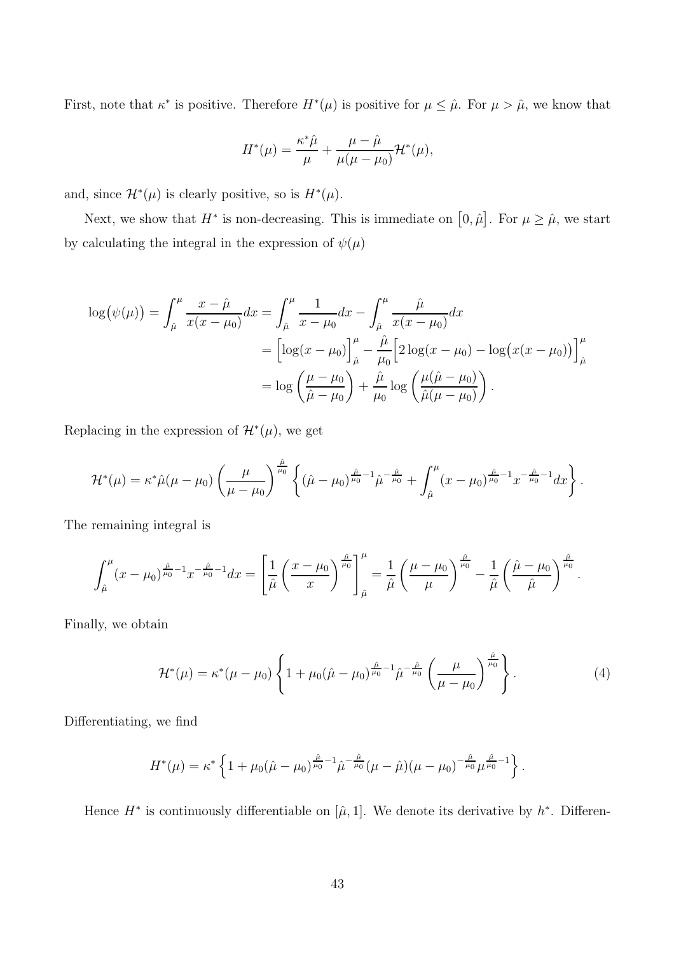First, note that  $\kappa^*$  is positive. Therefore  $H^*(\mu)$  is positive for  $\mu \leq \hat{\mu}$ . For  $\mu > \hat{\mu}$ , we know that

$$
H^*(\mu)=\frac{\kappa^*\hat\mu}{\mu}+\frac{\mu-\hat\mu}{\mu(\mu-\mu_0)}\mathcal H^*(\mu),
$$

and, since  $\mathcal{H}^*(\mu)$  is clearly positive, so is  $H^*(\mu)$ .

Next, we show that  $H^*$  is non-decreasing. This is immediate on  $[0, \hat{\mu}]$ . For  $\mu \geq \hat{\mu}$ , we start by calculating the integral in the expression of  $\psi(\mu)$ 

$$
\log(\psi(\mu)) = \int_{\hat{\mu}}^{\mu} \frac{x - \hat{\mu}}{x(x - \mu_0)} dx = \int_{\hat{\mu}}^{\mu} \frac{1}{x - \mu_0} dx - \int_{\hat{\mu}}^{\mu} \frac{\hat{\mu}}{x(x - \mu_0)} dx \n= \left[ \log(x - \mu_0) \right]_{\hat{\mu}}^{\mu} - \frac{\hat{\mu}}{\mu_0} \left[ 2 \log(x - \mu_0) - \log(x(x - \mu_0)) \right]_{\hat{\mu}}^{\mu} \n= \log \left( \frac{\mu - \mu_0}{\hat{\mu} - \mu_0} \right) + \frac{\hat{\mu}}{\mu_0} \log \left( \frac{\mu(\hat{\mu} - \mu_0)}{\hat{\mu}(\mu - \mu_0)} \right).
$$

Replacing in the expression of  $\mathcal{H}^*(\mu)$ , we get

$$
\mathcal{H}^*(\mu) = \kappa^* \hat{\mu}(\mu - \mu_0) \left(\frac{\mu}{\mu - \mu_0}\right)^{\frac{\hat{\mu}}{\mu_0}} \left\{ (\hat{\mu} - \mu_0)^{\frac{\hat{\mu}}{\mu_0} - 1} \hat{\mu}^{-\frac{\hat{\mu}}{\mu_0}} + \int_{\hat{\mu}}^{\mu} (x - \mu_0)^{\frac{\hat{\mu}}{\mu_0} - 1} x^{-\frac{\hat{\mu}}{\mu_0} - 1} dx \right\}.
$$

The remaining integral is

$$
\int_{\hat{\mu}}^{\mu} (x - \mu_0)^{\frac{\hat{\mu}}{\mu_0} - 1} x^{-\frac{\hat{\mu}}{\mu_0} - 1} dx = \left[ \frac{1}{\hat{\mu}} \left( \frac{x - \mu_0}{x} \right)^{\frac{\hat{\mu}}{\mu_0}} \right]_{\hat{\mu}}^{\mu} = \frac{1}{\hat{\mu}} \left( \frac{\mu - \mu_0}{\mu} \right)^{\frac{\hat{\mu}}{\mu_0}} - \frac{1}{\hat{\mu}} \left( \frac{\hat{\mu} - \mu_0}{\hat{\mu}} \right)^{\frac{\hat{\mu}}{\mu_0}}.
$$

Finally, we obtain

$$
\mathcal{H}^*(\mu) = \kappa^*(\mu - \mu_0) \left\{ 1 + \mu_0 (\hat{\mu} - \mu_0)^{\frac{\hat{\mu}}{\mu_0} - 1} \hat{\mu}^{-\frac{\hat{\mu}}{\mu_0}} \left( \frac{\mu}{\mu - \mu_0} \right)^{\frac{\hat{\mu}}{\mu_0}} \right\}.
$$
 (4)

Differentiating, we find

$$
H^{*}(\mu) = \kappa^{*} \left\{ 1 + \mu_{0} (\hat{\mu} - \mu_{0})^{\frac{\hat{\mu}}{\mu_{0}} - 1} \hat{\mu}^{-\frac{\hat{\mu}}{\mu_{0}}} (\mu - \hat{\mu}) (\mu - \mu_{0})^{-\frac{\hat{\mu}}{\mu_{0}}} \mu^{\frac{\hat{\mu}}{\mu_{0}} - 1} \right\}.
$$

Hence  $H^*$  is continuously differentiable on  $[\hat{\mu}, 1]$ . We denote its derivative by  $h^*$ . Differen-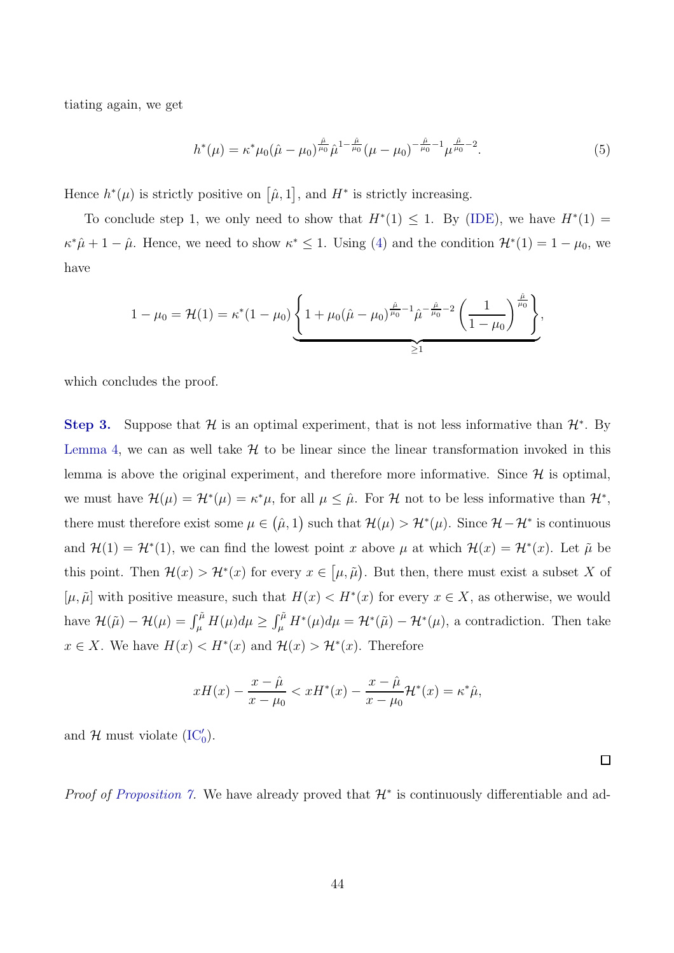tiating again, we get

$$
h^*(\mu) = \kappa^* \mu_0 (\hat{\mu} - \mu_0)^{\frac{\hat{\mu}}{\mu_0}} \hat{\mu}^{1 - \frac{\hat{\mu}}{\mu_0}} (\mu - \mu_0)^{-\frac{\hat{\mu}}{\mu_0} - 1} \mu^{\frac{\hat{\mu}}{\mu_0} - 2}.
$$
 (5)

Hence  $h^*(\mu)$  is strictly positive on  $[\hat{\mu}, 1]$ , and  $H^*$  is strictly increasing.

To conclude step 1, we only need to show that  $H^*(1) \leq 1$ . By (IDE), we have  $H^*(1) =$  $\kappa^* \hat{\mu} + 1 - \hat{\mu}$ . Hence, we need to show  $\kappa^* \leq 1$ . Using (4) and the condition  $\mathcal{H}^*(1) = 1 - \mu_0$ , we have

$$
1 - \mu_0 = \mathcal{H}(1) = \kappa^*(1 - \mu_0) \underbrace{\left\{ 1 + \mu_0 (\hat{\mu} - \mu_0)^{\frac{\hat{\mu}}{\mu_0} - 1} \hat{\mu}^{-\frac{\hat{\mu}}{\mu_0} - 2} \left( \frac{1}{1 - \mu_0} \right)^{\frac{\hat{\mu}}{\mu_0}} \right\}}_{\geq 1},
$$

which concludes the proof.

Step 3. Suppose that H is an optimal experiment, that is not less informative than  $\mathcal{H}^*$ . By Lemma 4, we can as well take  $\mathcal H$  to be linear since the linear transformation invoked in this lemma is above the original experiment, and therefore more informative. Since  $\mathcal H$  is optimal, we must have  $\mathcal{H}(\mu) = \mathcal{H}^*(\mu) = \kappa^* \mu$ , for all  $\mu \leq \hat{\mu}$ . For  $\mathcal{H}$  not to be less informative than  $\mathcal{H}^*$ , there must therefore exist some  $\mu \in (\hat{\mu}, 1)$  such that  $\mathcal{H}(\mu) > \mathcal{H}^*(\mu)$ . Since  $\mathcal{H} - \mathcal{H}^*$  is continuous and  $\mathcal{H}(1) = \mathcal{H}^*(1)$ , we can find the lowest point x above  $\mu$  at which  $\mathcal{H}(x) = \mathcal{H}^*(x)$ . Let  $\tilde{\mu}$  be this point. Then  $\mathcal{H}(x) > \mathcal{H}^*(x)$  for every  $x \in [\mu, \tilde{\mu})$ . But then, there must exist a subset X of  $[\mu, \tilde{\mu}]$  with positive measure, such that  $H(x) < H^*(x)$  for every  $x \in X$ , as otherwise, we would have  $\mathcal{H}(\tilde{\mu}) - \mathcal{H}(\mu) = \int_{\mu}^{\tilde{\mu}} H(\mu) d\mu \ge \int_{\mu}^{\tilde{\mu}} H^*(\mu) d\mu = \mathcal{H}^*(\tilde{\mu}) - \mathcal{H}^*(\mu)$ , a contradiction. Then take  $x \in X$ . We have  $H(x) < H^*(x)$  and  $\mathcal{H}(x) > \mathcal{H}^*(x)$ . Therefore

$$
xH(x) - \frac{x - \hat{\mu}}{x - \mu_0} < xH^*(x) - \frac{x - \hat{\mu}}{x - \mu_0} \mathcal{H}^*(x) = \kappa^* \hat{\mu},
$$

and  $\mathcal{H}$  must violate (IC'<sub>0</sub>).

 $\Box$ 

*Proof of Proposition 7.* We have already proved that  $\mathcal{H}^*$  is continuously differentiable and ad-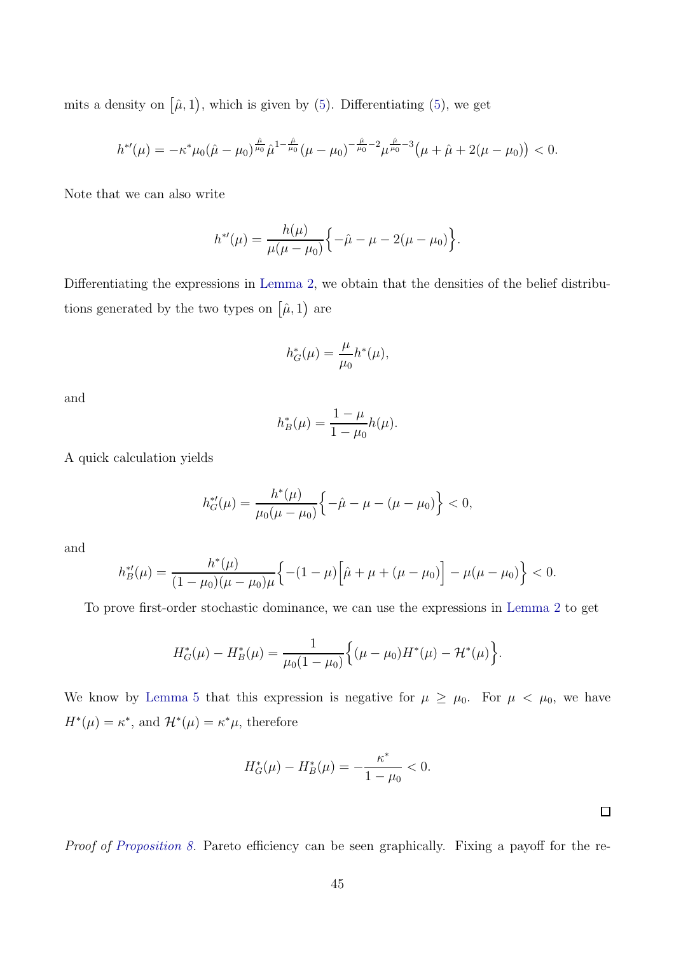mits a density on  $(\hat{\mu}, 1)$ , which is given by (5). Differentiating (5), we get

$$
h^{*'}(\mu) = -\kappa^* \mu_0(\hat{\mu} - \mu_0)^{\frac{\hat{\mu}}{\mu_0}} \hat{\mu}^{1-\frac{\hat{\mu}}{\mu_0}} (\mu - \mu_0)^{-\frac{\hat{\mu}}{\mu_0}-2} \mu^{\frac{\hat{\mu}}{\mu_0}-3} (\mu + \hat{\mu} + 2(\mu - \mu_0)) < 0.
$$

Note that we can also write

$$
h^{*'}(\mu) = \frac{h(\mu)}{\mu(\mu - \mu_0)} \left\{-\hat{\mu} - \mu - 2(\mu - \mu_0)\right\}.
$$

Differentiating the expressions in Lemma 2, we obtain that the densities of the belief distributions generated by the two types on  $(\hat{\mu}, 1)$  are

$$
h_G^*(\mu) = \frac{\mu}{\mu_0} h^*(\mu),
$$

and

$$
h_B^*(\mu) = \frac{1 - \mu}{1 - \mu_0} h(\mu).
$$

A quick calculation yields

$$
h_G^{*\prime}(\mu) = \frac{h^*(\mu)}{\mu_0(\mu - \mu_0)} \left\{ -\hat{\mu} - \mu - (\mu - \mu_0) \right\} < 0,
$$

and

$$
h_B^{*\prime}(\mu) = \frac{h^*(\mu)}{(1-\mu_0)(\mu-\mu_0)\mu} \Big\{ -(1-\mu) \Big[ \hat{\mu} + \mu + (\mu - \mu_0) \Big] - \mu(\mu - \mu_0) \Big\} < 0.
$$

To prove first-order stochastic dominance, we can use the expressions in Lemma 2 to get

$$
H_G^*(\mu) - H_B^*(\mu) = \frac{1}{\mu_0(1 - \mu_0)} \Big\{ (\mu - \mu_0) H^*(\mu) - \mathcal{H}^*(\mu) \Big\}.
$$

We know by Lemma 5 that this expression is negative for  $\mu \ge \mu_0$ . For  $\mu < \mu_0$ , we have  $H^*(\mu) = \kappa^*$ , and  $\mathcal{H}^*(\mu) = \kappa^*\mu$ , therefore

$$
H_G^*(\mu) - H_B^*(\mu) = -\frac{\kappa^*}{1 - \mu_0} < 0.
$$

Proof of Proposition 8. Pareto efficiency can be seen graphically. Fixing a payoff for the re-

 $\Box$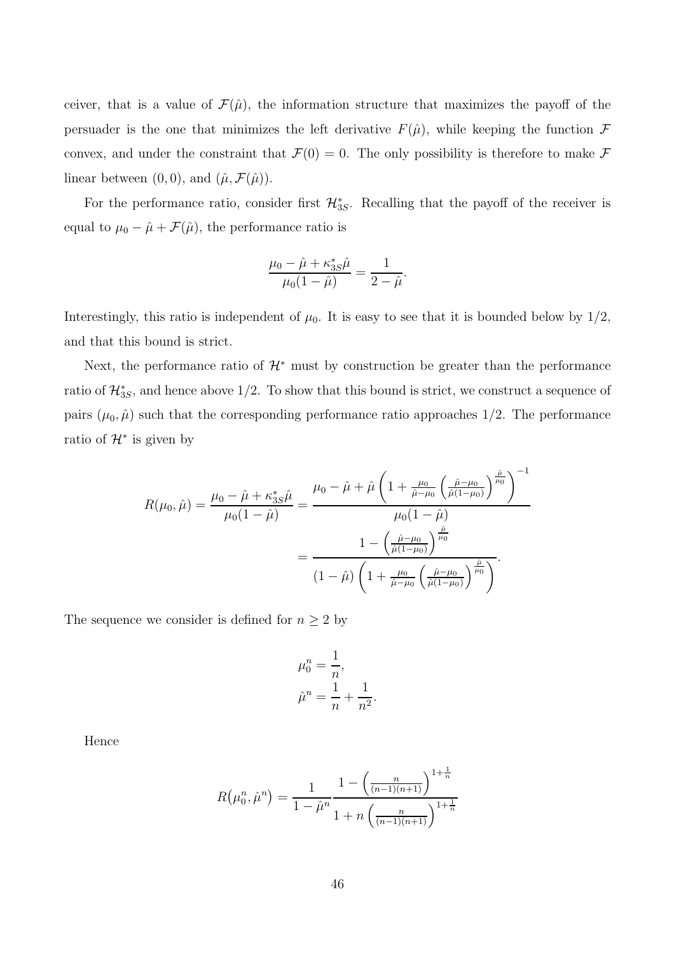ceiver, that is a value of  $\mathcal{F}(\hat{\mu})$ , the information structure that maximizes the payoff of the persuader is the one that minimizes the left derivative  $F(\hat{\mu})$ , while keeping the function  $\mathcal F$ convex, and under the constraint that  $\mathcal{F}(0) = 0$ . The only possibility is therefore to make  $\mathcal F$ linear between  $(0, 0)$ , and  $(\hat{\mu}, \mathcal{F}(\hat{\mu}))$ .

For the performance ratio, consider first  $\mathcal{H}_{3S}^*$ . Recalling that the payoff of the receiver is equal to  $\mu_0 - \hat{\mu} + \mathcal{F}(\hat{\mu})$ , the performance ratio is

$$
\frac{\mu_0 - \hat{\mu} + \kappa_{3S}^* \hat{\mu}}{\mu_0 (1 - \hat{\mu})} = \frac{1}{2 - \hat{\mu}}.
$$

Interestingly, this ratio is independent of  $\mu_0$ . It is easy to see that it is bounded below by  $1/2$ , and that this bound is strict.

Next, the performance ratio of  $\mathcal{H}^*$  must by construction be greater than the performance ratio of  $\mathcal{H}_{3S}^{*}$ , and hence above 1/2. To show that this bound is strict, we construct a sequence of pairs  $(\mu_0, \hat{\mu})$  such that the corresponding performance ratio approaches 1/2. The performance ratio of  $\mathcal{H}^*$  is given by

$$
R(\mu_0, \hat{\mu}) = \frac{\mu_0 - \hat{\mu} + \kappa_{3S}^* \hat{\mu}}{\mu_0 (1 - \hat{\mu})} = \frac{\mu_0 - \hat{\mu} + \hat{\mu} \left(1 + \frac{\mu_0}{\hat{\mu} - \mu_0} \left(\frac{\hat{\mu} - \mu_0}{\hat{\mu} (1 - \mu_0)}\right)^{\frac{\hat{\mu}}{\mu_0}}\right)^{-1}}{\mu_0 (1 - \hat{\mu})} = \frac{1 - \left(\frac{\hat{\mu} - \mu_0}{\hat{\mu} (1 - \mu_0)}\right)^{\frac{\hat{\mu}}{\mu_0}}}{\left(1 - \hat{\mu}\right) \left(1 + \frac{\mu_0}{\hat{\mu} - \mu_0} \left(\frac{\hat{\mu} - \mu_0}{\hat{\mu} (1 - \mu_0)}\right)^{\frac{\hat{\mu}}{\mu_0}}\right)}.
$$

The sequence we consider is defined for  $n \geq 2$  by

$$
\mu_0^n = \frac{1}{n},
$$
  

$$
\hat{\mu}^n = \frac{1}{n} + \frac{1}{n^2}
$$

.

Hence

$$
R(\mu_0^n, \hat{\mu}^n) = \frac{1}{1 - \hat{\mu}^n} \frac{1 - \left(\frac{n}{(n-1)(n+1)}\right)^{1 + \frac{1}{n}}}{1 + n \left(\frac{n}{(n-1)(n+1)}\right)^{1 + \frac{1}{n}}}
$$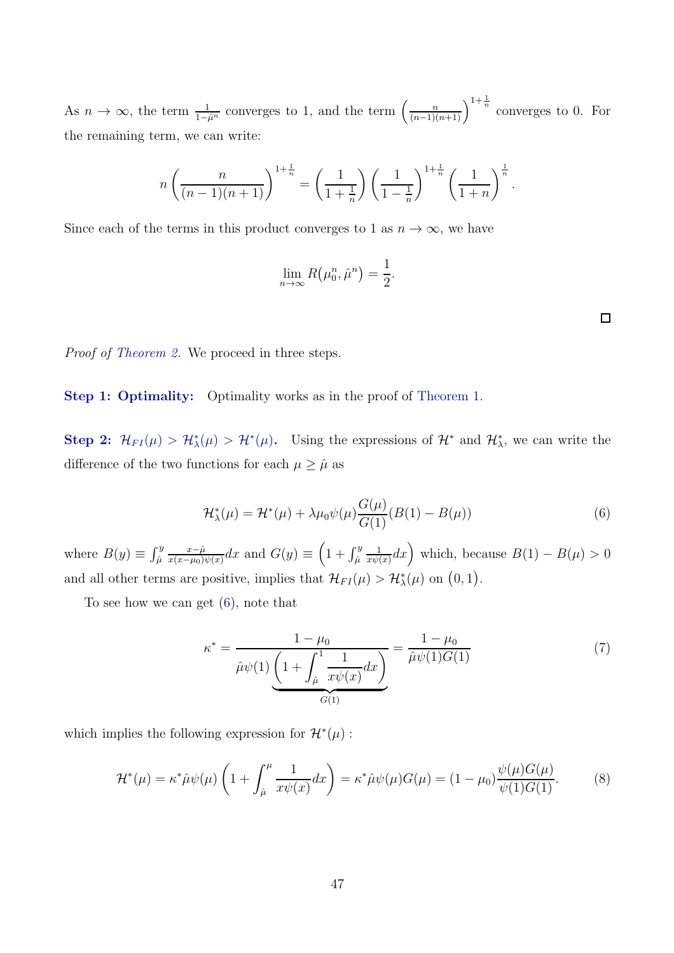As  $n \to \infty$ , the term  $\frac{1}{1-\hat{\mu}^n}$  converges to 1, and the term  $\left(\frac{n}{(n-1)(n+1)}\right)^{1+\frac{1}{n}}$  converges to 0. For the remaining term, we can write:

$$
n\left(\frac{n}{(n-1)(n+1)}\right)^{1+\frac{1}{n}} = \left(\frac{1}{1+\frac{1}{n}}\right)\left(\frac{1}{1-\frac{1}{n}}\right)^{1+\frac{1}{n}} \left(\frac{1}{1+n}\right)^{\frac{1}{n}}
$$

Since each of the terms in this product converges to 1 as  $n \to \infty$ , we have

$$
\lim_{n \to \infty} R(\mu_0^n, \hat{\mu}^n) = \frac{1}{2}.
$$

Proof of Theorem 2. We proceed in three steps.

Step 1: Optimality: Optimality works as in the proof of Theorem 1.

Step 2:  $\mathcal{H}_{FI}(\mu) > \mathcal{H}_{\lambda}^{*}(\mu) > \mathcal{H}^{*}(\mu)$ . Using the expressions of  $\mathcal{H}^{*}$  and  $\mathcal{H}_{\lambda}^{*}$ , we can write the difference of the two functions for each  $\mu \geq \hat{\mu}$  as

$$
\mathcal{H}_{\lambda}^*(\mu) = \mathcal{H}^*(\mu) + \lambda \mu_0 \psi(\mu) \frac{G(\mu)}{G(1)} (B(1) - B(\mu)) \tag{6}
$$

where  $B(y) \equiv \int_{\hat{\mu}}^{y}$  $x-\hat{\mu}$  $\frac{x-\hat{\mu}}{x(x-\mu_0)\psi(x)}dx$  and  $G(y) \equiv \left(1+\int_{\hat{\mu}}^y$ 1  $\frac{1}{x\psi(x)}dx$  which, because  $B(1) - B(\mu) > 0$ and all other terms are positive, implies that  $\mathcal{H}_{FI}(\mu) > \mathcal{H}_{\lambda}^{*}(\mu)$  on  $(0, 1)$ .

To see how we can get (6), note that

$$
\kappa^* = \frac{1 - \mu_0}{\hat{\mu}\psi(1)\left(1 + \int_{\hat{\mu}}^1 \frac{1}{x\psi(x)}dx\right)} = \frac{1 - \mu_0}{\hat{\mu}\psi(1)G(1)}\tag{7}
$$

which implies the following expression for  $\mathcal{H}^*(\mu)$ :

$$
\mathcal{H}^*(\mu) = \kappa^* \hat{\mu} \psi(\mu) \left( 1 + \int_{\hat{\mu}}^{\mu} \frac{1}{x \psi(x)} dx \right) = \kappa^* \hat{\mu} \psi(\mu) G(\mu) = (1 - \mu_0) \frac{\psi(\mu) G(\mu)}{\psi(1) G(1)}.
$$
 (8)

 $\Box$ 

.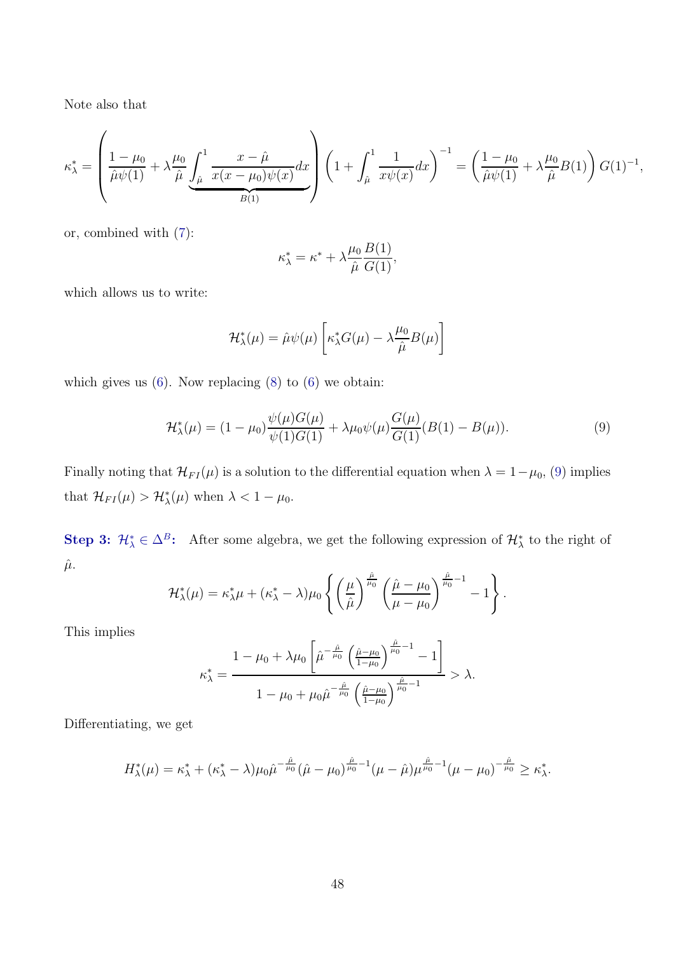Note also that

$$
\kappa_{\lambda}^{*} = \left(\frac{1-\mu_{0}}{\hat{\mu}\psi(1)} + \lambda \frac{\mu_{0}}{\hat{\mu}} \underbrace{\int_{\hat{\mu}}^{1} \frac{x-\hat{\mu}}{x(x-\mu_{0})\psi(x)} dx}_{B(1)}\right) \left(1 + \int_{\hat{\mu}}^{1} \frac{1}{x\psi(x)} dx\right)^{-1} = \left(\frac{1-\mu_{0}}{\hat{\mu}\psi(1)} + \lambda \frac{\mu_{0}}{\hat{\mu}} B(1)\right) G(1)^{-1},
$$

or, combined with (7):

$$
\kappa_{\lambda}^* = \kappa^* + \lambda \frac{\mu_0}{\hat{\mu}} \frac{B(1)}{G(1)},
$$

which allows us to write:

$$
\mathcal{H}_{\lambda}^{*}(\mu) = \hat{\mu}\psi(\mu) \left[ \kappa_{\lambda}^{*}G(\mu) - \lambda \frac{\mu_{0}}{\hat{\mu}}B(\mu) \right]
$$

which gives us  $(6)$ . Now replacing  $(8)$  to  $(6)$  we obtain:

$$
\mathcal{H}_{\lambda}^{*}(\mu) = (1 - \mu_{0}) \frac{\psi(\mu)G(\mu)}{\psi(1)G(1)} + \lambda \mu_{0} \psi(\mu) \frac{G(\mu)}{G(1)} (B(1) - B(\mu)). \tag{9}
$$

Finally noting that  $\mathcal{H}_{FI}(\mu)$  is a solution to the differential equation when  $\lambda = 1 - \mu_0$ , (9) implies that  $\mathcal{H}_{FI}(\mu) > \mathcal{H}_{\lambda}^{*}(\mu)$  when  $\lambda < 1 - \mu_0$ .

**Step 3:**  $\mathcal{H}^*_{\lambda} \in \Delta^B$ : After some algebra, we get the following expression of  $\mathcal{H}^*_{\lambda}$  to the right of  $\hat{\mu}$ .

$$
\mathcal{H}_{\lambda}^{*}(\mu) = \kappa_{\lambda}^{*}\mu + (\kappa_{\lambda}^{*} - \lambda)\mu_{0} \left\{ \left(\frac{\mu}{\hat{\mu}}\right)^{\frac{\hat{\mu}}{\mu_{0}}}\left(\frac{\hat{\mu} - \mu_{0}}{\mu - \mu_{0}}\right)^{\frac{\hat{\mu}}{\mu_{0}}-1} - 1 \right\}.
$$

This implies

$$
\kappa_{\lambda}^{*} = \frac{1 - \mu_{0} + \lambda \mu_{0} \left[ \hat{\mu}^{-\frac{\hat{\mu}}{\mu_{0}}} \left( \frac{\hat{\mu} - \mu_{0}}{1 - \mu_{0}} \right)^{\frac{\hat{\mu}}{\mu_{0}} - 1} - 1 \right]}{1 - \mu_{0} + \mu_{0} \hat{\mu}^{-\frac{\hat{\mu}}{\mu_{0}}} \left( \frac{\hat{\mu} - \mu_{0}}{1 - \mu_{0}} \right)^{\frac{\hat{\mu}}{\mu_{0}} - 1} > \lambda.
$$

Differentiating, we get

$$
H_{\lambda}^{*}(\mu) = \kappa_{\lambda}^{*} + (\kappa_{\lambda}^{*} - \lambda)\mu_{0}\hat{\mu}^{-\frac{\hat{\mu}}{\mu_{0}}}(\hat{\mu} - \mu_{0})^{\frac{\hat{\mu}}{\mu_{0}}-1}(\mu - \hat{\mu})\mu^{\frac{\hat{\mu}}{\mu_{0}}-1}(\mu - \mu_{0})^{-\frac{\hat{\mu}}{\mu_{0}}} \geq \kappa_{\lambda}^{*}.
$$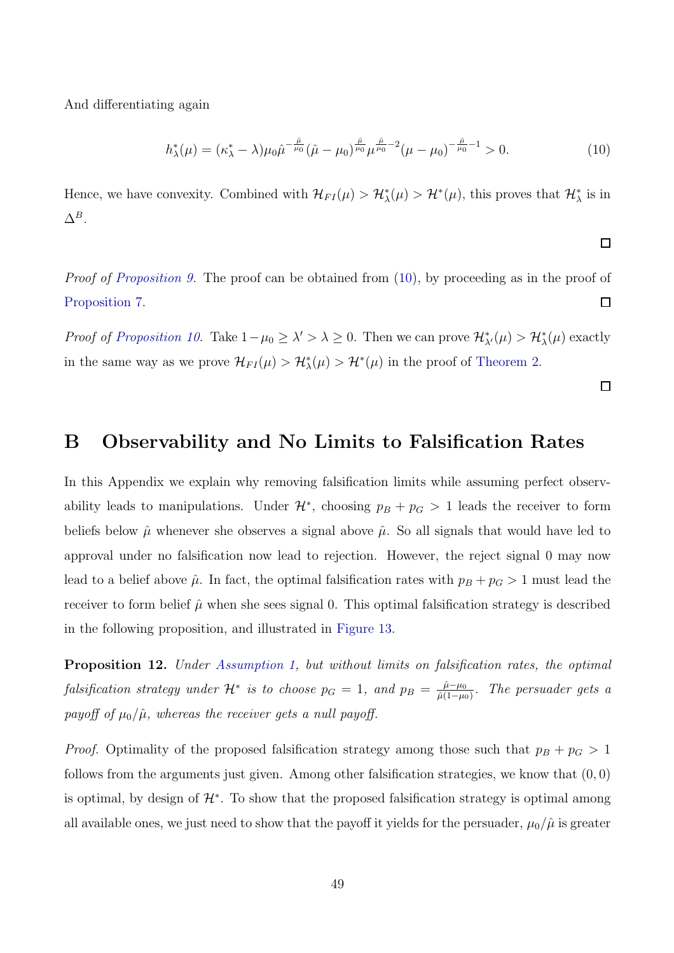And differentiating again

$$
h_{\lambda}^{*}(\mu) = (\kappa_{\lambda}^{*} - \lambda)\mu_{0}\hat{\mu}^{-\frac{\hat{\mu}}{\mu_{0}}}(\hat{\mu} - \mu_{0})^{\frac{\hat{\mu}}{\mu_{0}}}\mu^{\frac{\hat{\mu}}{\mu_{0}}-2}(\mu - \mu_{0})^{-\frac{\hat{\mu}}{\mu_{0}}-1} > 0.
$$
 (10)

Hence, we have convexity. Combined with  $\mathcal{H}_{FI}(\mu) > \mathcal{H}^*(\mu) > \mathcal{H}^*(\mu)$ , this proves that  $\mathcal{H}^*_{\lambda}$  is in  $\Delta^B$ .

 $\Box$ 

Proof of Proposition 9. The proof can be obtained from (10), by proceeding as in the proof of  $\Box$ Proposition 7.

Proof of Proposition 10. Take  $1-\mu_0 \geq \lambda' > \lambda \geq 0$ . Then we can prove  $\mathcal{H}^*_{\lambda'}(\mu) > \mathcal{H}^*_{\lambda}(\mu)$  exactly in the same way as we prove  $\mathcal{H}_{FI}(\mu) > \mathcal{H}_{\lambda}^{*}(\mu) > \mathcal{H}^{*}(\mu)$  in the proof of Theorem 2.

 $\Box$ 

### B Observability and No Limits to Falsification Rates

In this Appendix we explain why removing falsification limits while assuming perfect observability leads to manipulations. Under  $\mathcal{H}^*$ , choosing  $p_B + p_G > 1$  leads the receiver to form beliefs below  $\hat{\mu}$  whenever she observes a signal above  $\hat{\mu}$ . So all signals that would have led to approval under no falsification now lead to rejection. However, the reject signal 0 may now lead to a belief above  $\hat{\mu}$ . In fact, the optimal falsification rates with  $p_B + p_G > 1$  must lead the receiver to form belief  $\hat{\mu}$  when she sees signal 0. This optimal falsification strategy is described in the following proposition, and illustrated in Figure 13.

Proposition 12. Under Assumption 1, but without limits on falsification rates, the optimal falsification strategy under  $\mathcal{H}^*$  is to choose  $p_G = 1$ , and  $p_B = \frac{\hat{\mu} - \mu_0}{\hat{\mu} (1 - \mu_0)}$  $\frac{\mu-\mu_0}{\hat{\mu}(1-\mu_0)}$ . The persuader gets a payoff of  $\mu_0/\hat{\mu}$ , whereas the receiver gets a null payoff.

*Proof.* Optimality of the proposed falsification strategy among those such that  $p_B + p_G > 1$ follows from the arguments just given. Among other falsification strategies, we know that  $(0, 0)$ is optimal, by design of  $\mathcal{H}^*$ . To show that the proposed falsification strategy is optimal among all available ones, we just need to show that the payoff it yields for the persuader,  $\mu_0/\hat{\mu}$  is greater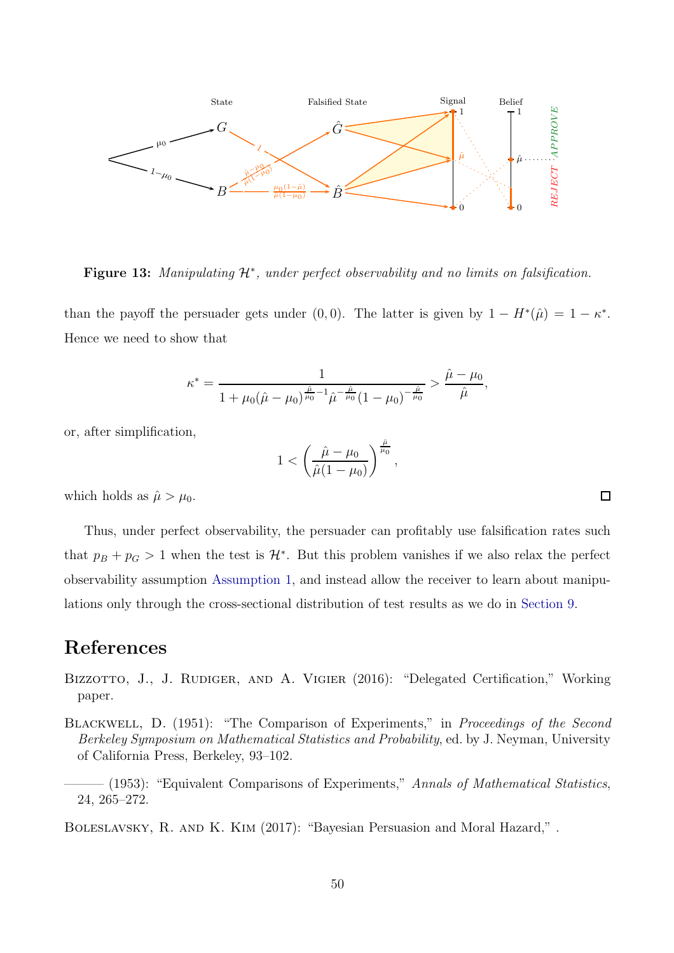

Figure 13: Manipulating  $\mathcal{H}^*$ , under perfect observability and no limits on falsification.

than the payoff the persuader gets under  $(0,0)$ . The latter is given by  $1 - H^*(\hat{\mu}) = 1 - \kappa^*$ . Hence we need to show that

$$
\kappa^* = \frac{1}{1 + \mu_0 (\hat{\mu} - \mu_0)^{\frac{\hat{\mu}}{\mu_0} - 1} \hat{\mu}^{-\frac{\hat{\mu}}{\mu_0}} (1 - \mu_0)^{-\frac{\hat{\mu}}{\mu_0}}} > \frac{\hat{\mu} - \mu_0}{\hat{\mu}},
$$

or, after simplification,

$$
1 < \left(\frac{\hat{\mu} - \mu_0}{\hat{\mu}(1 - \mu_0)}\right)^{\frac{\hat{\mu}}{\mu_0}},
$$

 $\Box$ 

which holds as  $\hat{\mu} > \mu_0$ .

Thus, under perfect observability, the persuader can profitably use falsification rates such that  $p_B + p_G > 1$  when the test is  $\mathcal{H}^*$ . But this problem vanishes if we also relax the perfect observability assumption Assumption 1, and instead allow the receiver to learn about manipulations only through the cross-sectional distribution of test results as we do in Section 9.

### References

- BIZZOTTO, J., J. RUDIGER, AND A. VIGIER (2016): "Delegated Certification," Working paper.
- BLACKWELL, D. (1951): "The Comparison of Experiments," in Proceedings of the Second Berkeley Symposium on Mathematical Statistics and Probability, ed. by J. Neyman, University of California Press, Berkeley, 93–102.
- (1953): "Equivalent Comparisons of Experiments," Annals of Mathematical Statistics, 24, 265–272.

Boleslavsky, R. and K. Kim (2017): "Bayesian Persuasion and Moral Hazard," .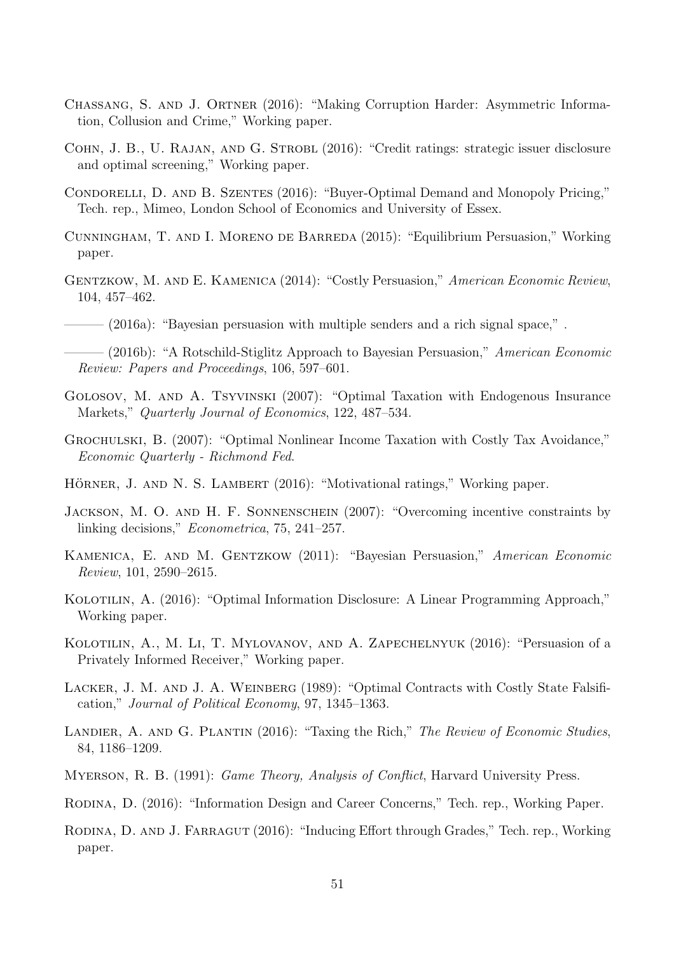- Chassang, S. and J. Ortner (2016): "Making Corruption Harder: Asymmetric Information, Collusion and Crime," Working paper.
- COHN, J. B., U. RAJAN, AND G. STROBL (2016): "Credit ratings: strategic issuer disclosure and optimal screening," Working paper.
- CONDORELLI, D. AND B. SZENTES (2016): "Buyer-Optimal Demand and Monopoly Pricing," Tech. rep., Mimeo, London School of Economics and University of Essex.
- Cunningham, T. and I. Moreno de Barreda (2015): "Equilibrium Persuasion," Working paper.
- GENTZKOW, M. AND E. KAMENICA (2014): "Costly Persuasion," American Economic Review, 104, 457–462.
- $-$  (2016a): "Bayesian persuasion with multiple senders and a rich signal space,".
	- $-$  (2016b): "A Rotschild-Stiglitz Approach to Bayesian Persuasion," American Economic Review: Papers and Proceedings, 106, 597–601.
- Golosov, M. and A. Tsyvinski (2007): "Optimal Taxation with Endogenous Insurance Markets," *Quarterly Journal of Economics*, 122, 487–534.
- Grochulski, B. (2007): "Optimal Nonlinear Income Taxation with Costly Tax Avoidance," Economic Quarterly - Richmond Fed.
- HÖRNER, J. AND N. S. LAMBERT (2016): "Motivational ratings," Working paper.
- Jackson, M. O. and H. F. Sonnenschein (2007): "Overcoming incentive constraints by linking decisions," Econometrica, 75, 241–257.
- Kamenica, E. and M. Gentzkow (2011): "Bayesian Persuasion," American Economic Review, 101, 2590–2615.
- Kolotilin, A. (2016): "Optimal Information Disclosure: A Linear Programming Approach," Working paper.
- Kolotilin, A., M. Li, T. Mylovanov, and A. Zapechelnyuk (2016): "Persuasion of a Privately Informed Receiver," Working paper.
- LACKER, J. M. AND J. A. WEINBERG (1989): "Optimal Contracts with Costly State Falsification," Journal of Political Economy, 97, 1345–1363.
- LANDIER, A. AND G. PLANTIN (2016): "Taxing the Rich," The Review of Economic Studies, 84, 1186–1209.
- MYERSON, R. B. (1991): *Game Theory, Analysis of Conflict*, Harvard University Press.
- Rodina, D. (2016): "Information Design and Career Concerns," Tech. rep., Working Paper.
- RODINA, D. AND J. FARRAGUT (2016): "Inducing Effort through Grades," Tech. rep., Working paper.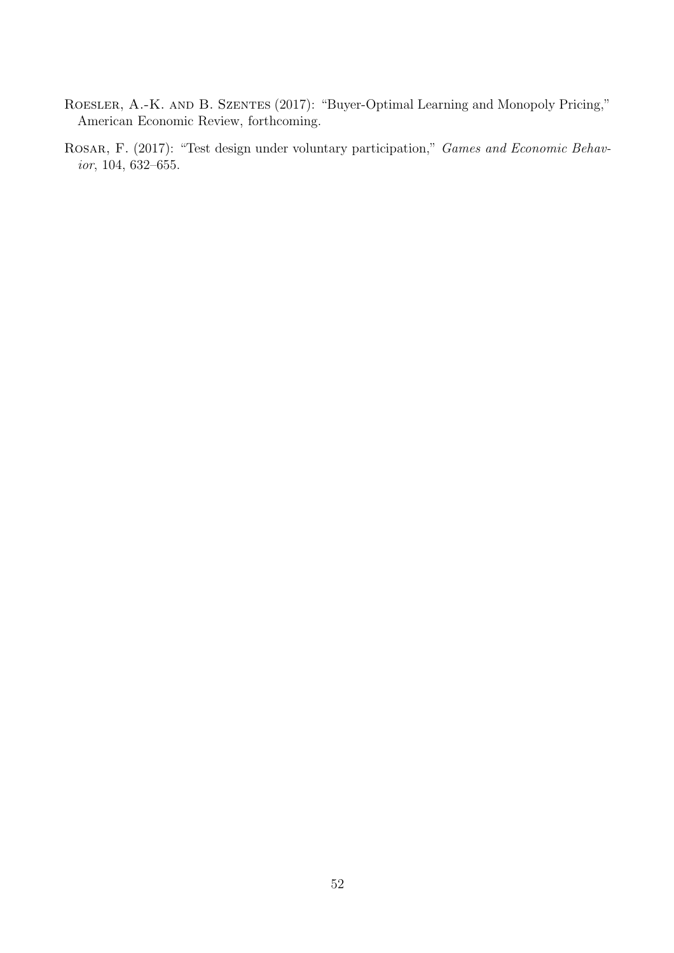- Roesler, A.-K. and B. Szentes (2017): "Buyer-Optimal Learning and Monopoly Pricing," American Economic Review, forthcoming.
- Rosar, F. (2017): "Test design under voluntary participation," Games and Economic Behavior, 104, 632–655.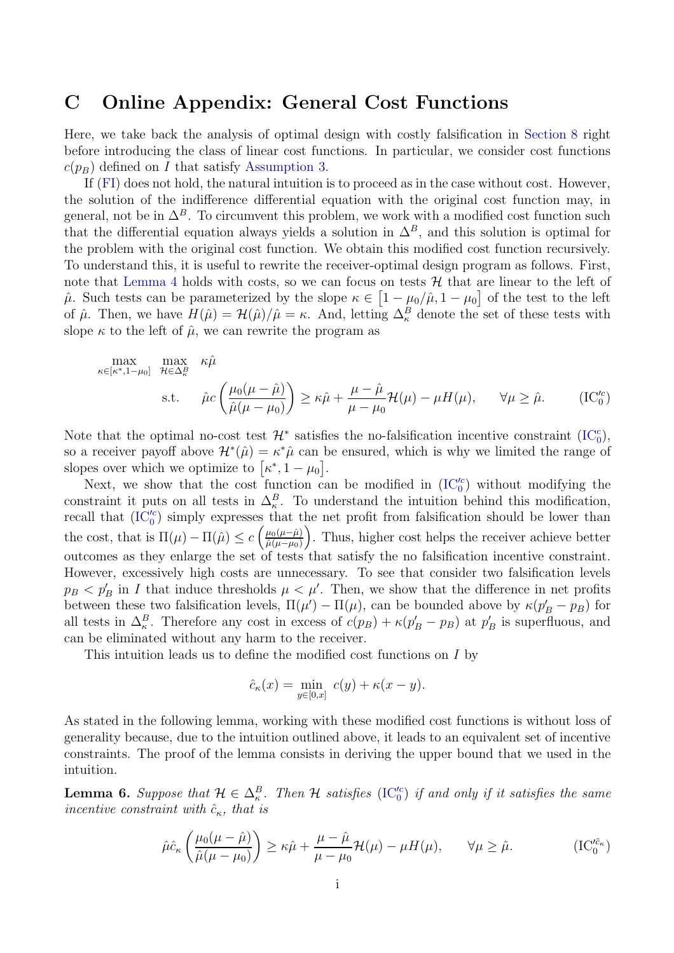### C Online Appendix: General Cost Functions

Here, we take back the analysis of optimal design with costly falsification in Section 8 right before introducing the class of linear cost functions. In particular, we consider cost functions  $c(p_B)$  defined on I that satisfy Assumption 3.

If (FI) does not hold, the natural intuition is to proceed as in the case without cost. However, the solution of the indifference differential equation with the original cost function may, in general, not be in  $\Delta^B$ . To circumvent this problem, we work with a modified cost function such that the differential equation always yields a solution in  $\Delta^B$ , and this solution is optimal for the problem with the original cost function. We obtain this modified cost function recursively. To understand this, it is useful to rewrite the receiver-optimal design program as follows. First, note that Lemma 4 holds with costs, so we can focus on tests  $\mathcal{H}$  that are linear to the left of  $\hat{\mu}$ . Such tests can be parameterized by the slope  $\kappa \in [1 - \mu_0/\hat{\mu}, 1 - \mu_0]$  of the test to the left of  $\hat{\mu}$ . Then, we have  $H(\hat{\mu}) = \mathcal{H}(\hat{\mu})/\hat{\mu} = \kappa$ . And, letting  $\Delta_{\kappa}^{B}$  denote the set of these tests with slope  $\kappa$  to the left of  $\hat{\mu}$ , we can rewrite the program as

$$
\max_{\kappa \in [\kappa^*, 1 - \mu_0]} \max_{\mathcal{H} \in \Delta_{\kappa}^B} \kappa \hat{\mu}
$$
  
s.t. 
$$
\hat{\mu}c\left(\frac{\mu_0(\mu - \hat{\mu})}{\hat{\mu}(\mu - \mu_0)}\right) \ge \kappa \hat{\mu} + \frac{\mu - \hat{\mu}}{\mu - \mu_0} \mathcal{H}(\mu) - \mu \mathcal{H}(\mu), \quad \forall \mu \ge \hat{\mu}.
$$
 (IC<sub>0</sub>'<sup>c</sup>)

Note that the optimal no-cost test  $\mathcal{H}^*$  satisfies the no-falsification incentive constraint  $(IC_0^c)$ , so a receiver payoff above  $\mathcal{H}^*(\hat{\mu}) = \kappa^*\hat{\mu}$  can be ensured, which is why we limited the range of slopes over which we optimize to  $\left[\kappa^*, 1 - \mu_0\right]$ .

Next, we show that the cost function can be modified in  $(IC_0^c)$  without modifying the constraint it puts on all tests in  $\Delta_{\kappa}^B$ . To understand the intuition behind this modification, recall that  $(IC_0^c)$  simply expresses that the net profit from falsification should be lower than the cost, that is  $\Pi(\mu) - \Pi(\hat{\mu}) \leq c \left( \frac{\mu_0(\mu - \hat{\mu})}{\hat{\mu}(\mu - \mu_0)} \right)$  $\hat{\mu}(\mu-\mu_0)$  . Thus, higher cost helps the receiver achieve better outcomes as they enlarge the set of tests that satisfy the no falsification incentive constraint. However, excessively high costs are unnecessary. To see that consider two falsification levels  $p_B < p'_B$  in I that induce thresholds  $\mu < \mu'$ . Then, we show that the difference in net profits between these two falsification levels,  $\Pi(\mu') - \Pi(\mu)$ , can be bounded above by  $\kappa(p'_B - p_B)$  for all tests in  $\Delta_{\kappa}^{B}$ . Therefore any cost in excess of  $c(p_B) + \kappa (p'_B - p_B)$  at  $p'_B$  is superfluous, and can be eliminated without any harm to the receiver.

This intuition leads us to define the modified cost functions on I by

$$
\hat{c}_{\kappa}(x) = \min_{y \in [0,x]} c(y) + \kappa(x - y).
$$

As stated in the following lemma, working with these modified cost functions is without loss of generality because, due to the intuition outlined above, it leads to an equivalent set of incentive constraints. The proof of the lemma consists in deriving the upper bound that we used in the intuition.

**Lemma 6.** Suppose that  $\mathcal{H} \in \Delta_{\kappa}^B$ . Then  $\mathcal{H}$  satisfies (IC'<sub>0</sub>) if and only if it satisfies the same incentive constraint with  $\hat{c}_{\kappa}$ , that is

$$
\hat{\mu}\hat{c}_{\kappa}\left(\frac{\mu_0(\mu-\hat{\mu})}{\hat{\mu}(\mu-\mu_0)}\right) \geq \kappa\hat{\mu} + \frac{\mu-\hat{\mu}}{\mu-\mu_0}\mathcal{H}(\mu) - \mu H(\mu), \qquad \forall \mu \geq \hat{\mu}.\tag{IC}_{0}^{\tilde{c}_{\kappa}}\big)
$$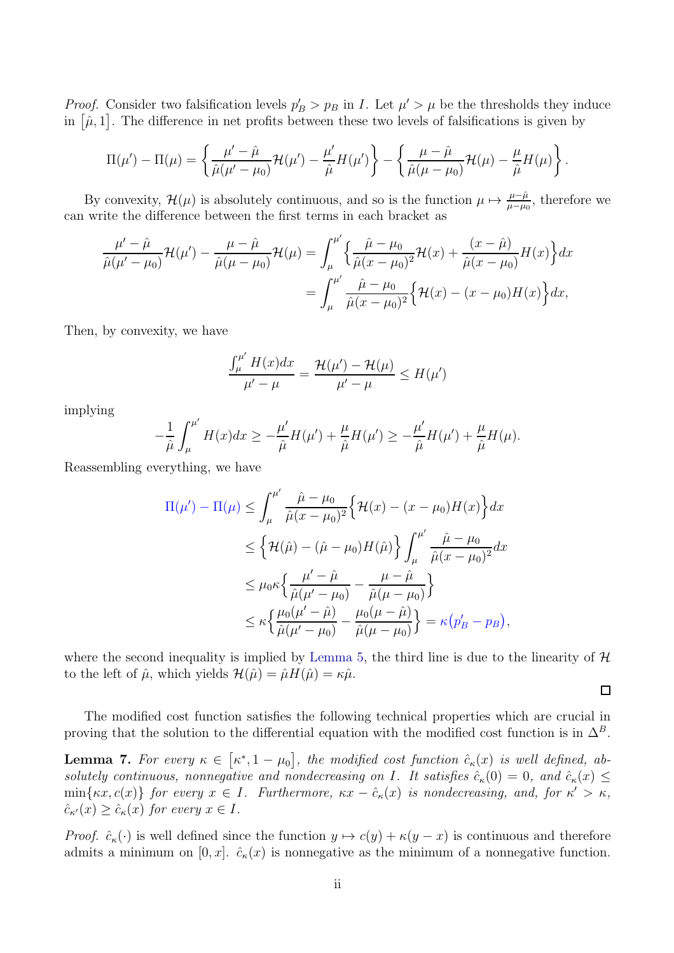*Proof.* Consider two falsification levels  $p'_B > p_B$  in *I*. Let  $\mu' > \mu$  be the thresholds they induce in  $[\hat{\mu}, 1]$ . The difference in net profits between these two levels of falsifications is given by

$$
\Pi(\mu') - \Pi(\mu) = \left\{ \frac{\mu' - \hat{\mu}}{\hat{\mu}(\mu' - \mu_0)} \mathcal{H}(\mu') - \frac{\mu'}{\hat{\mu}} H(\mu') \right\} - \left\{ \frac{\mu - \hat{\mu}}{\hat{\mu}(\mu - \mu_0)} \mathcal{H}(\mu) - \frac{\mu}{\hat{\mu}} H(\mu) \right\}.
$$

By convexity,  $\mathcal{H}(\mu)$  is absolutely continuous, and so is the function  $\mu \mapsto \frac{\mu-\hat{\mu}}{\mu-\mu_0}$ , therefore we can write the difference between the first terms in each bracket as

$$
\frac{\mu' - \hat{\mu}}{\hat{\mu}(\mu' - \mu_0)} \mathcal{H}(\mu') - \frac{\mu - \hat{\mu}}{\hat{\mu}(\mu - \mu_0)} \mathcal{H}(\mu) = \int_{\mu}^{\mu'} \left\{ \frac{\hat{\mu} - \mu_0}{\hat{\mu}(x - \mu_0)^2} \mathcal{H}(x) + \frac{(x - \hat{\mu})}{\hat{\mu}(x - \mu_0)} H(x) \right\} dx \n= \int_{\mu}^{\mu'} \frac{\hat{\mu} - \mu_0}{\hat{\mu}(x - \mu_0)^2} \left\{ \mathcal{H}(x) - (x - \mu_0) H(x) \right\} dx,
$$

Then, by convexity, we have

$$
\frac{\int_{\mu}^{\mu'} H(x)dx}{\mu' - \mu} = \frac{\mathcal{H}(\mu') - \mathcal{H}(\mu)}{\mu' - \mu} \le H(\mu')
$$

implying

$$
-\frac{1}{\hat{\mu}} \int_{\mu}^{\mu'} H(x) dx \ge -\frac{\mu'}{\hat{\mu}} H(\mu') + \frac{\mu}{\hat{\mu}} H(\mu') \ge -\frac{\mu'}{\hat{\mu}} H(\mu') + \frac{\mu}{\hat{\mu}} H(\mu).
$$

Reassembling everything, we have

$$
\Pi(\mu') - \Pi(\mu) \le \int_{\mu}^{\mu'} \frac{\hat{\mu} - \mu_0}{\hat{\mu}(x - \mu_0)^2} \Big\{ \mathcal{H}(x) - (x - \mu_0) H(x) \Big\} dx
$$
  
\n
$$
\le \Big\{ \mathcal{H}(\hat{\mu}) - (\hat{\mu} - \mu_0) H(\hat{\mu}) \Big\} \int_{\mu}^{\mu'} \frac{\hat{\mu} - \mu_0}{\hat{\mu}(x - \mu_0)^2} dx
$$
  
\n
$$
\le \mu_0 \kappa \Big\{ \frac{\mu' - \hat{\mu}}{\hat{\mu}(\mu' - \mu_0)} - \frac{\mu - \hat{\mu}}{\hat{\mu}(\mu - \mu_0)} \Big\}
$$
  
\n
$$
\le \kappa \Big\{ \frac{\mu_0(\mu' - \hat{\mu})}{\hat{\mu}(\mu' - \mu_0)} - \frac{\mu_0(\mu - \hat{\mu})}{\hat{\mu}(\mu - \mu_0)} \Big\} = \kappa (p_B' - p_B),
$$

where the second inequality is implied by Lemma 5, the third line is due to the linearity of  $H$ to the left of  $\hat{\mu}$ , which yields  $\mathcal{H}(\hat{\mu}) = \hat{\mu}H(\hat{\mu}) = \kappa \hat{\mu}$ .

 $\Box$ 

The modified cost function satisfies the following technical properties which are crucial in proving that the solution to the differential equation with the modified cost function is in  $\Delta^B$ .

**Lemma 7.** For every  $\kappa \in [\kappa^*, 1 - \mu_0]$ , the modified cost function  $\hat{c}_{\kappa}(x)$  is well defined, absolutely continuous, nonnegative and nondecreasing on I. It satisfies  $\hat{c}_\kappa(0) = 0$ , and  $\hat{c}_\kappa(x) \leq$  $min\{\kappa x, c(x)\}\$  for every  $x \in I$ . Furthermore,  $\kappa x - \hat{c}_{\kappa}(x)$  is nondecreasing, and, for  $\kappa' > \kappa$ ,  $\hat{c}_{\kappa'}(x) \geq \hat{c}_{\kappa}(x)$  for every  $x \in I$ .

*Proof.*  $\hat{c}_{\kappa}(\cdot)$  is well defined since the function  $y \mapsto c(y) + \kappa(y - x)$  is continuous and therefore admits a minimum on  $[0, x]$ .  $\hat{c}_\kappa(x)$  is nonnegative as the minimum of a nonnegative function.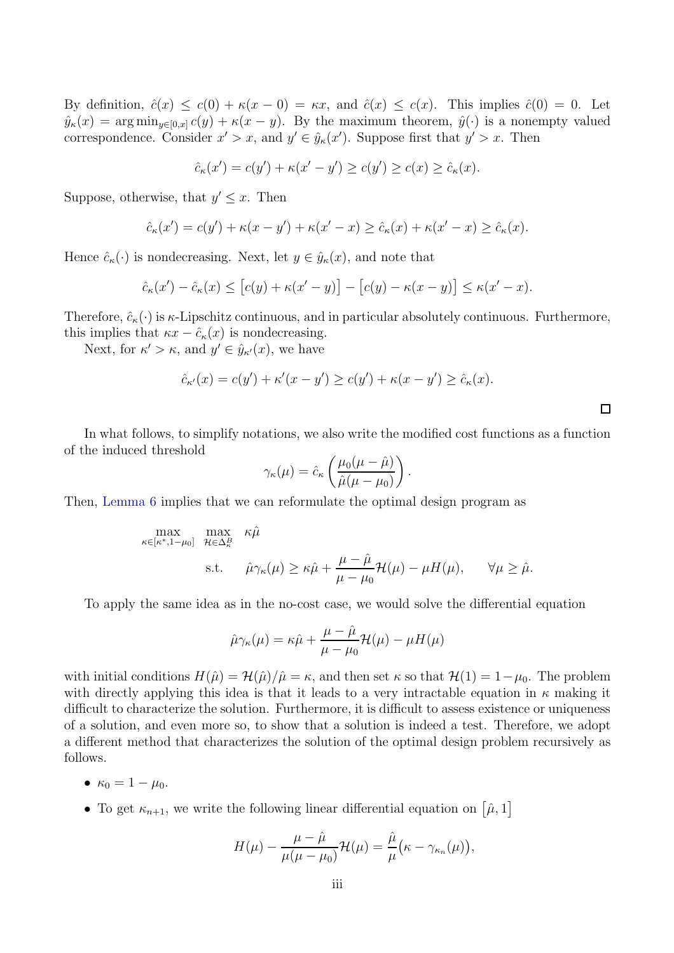By definition,  $\hat{c}(x) \leq c(0) + \kappa(x-0) = \kappa x$ , and  $\hat{c}(x) \leq c(x)$ . This implies  $\hat{c}(0) = 0$ . Let  $\hat{y}_{\kappa}(x) = \arg \min_{y \in [0,x]} c(y) + \kappa(x-y)$ . By the maximum theorem,  $\hat{y}(\cdot)$  is a nonempty valued correspondence. Consider  $x' > x$ , and  $y' \in \hat{y}_{\kappa}(x')$ . Suppose first that  $y' > x$ . Then

$$
\hat{c}_{\kappa}(x') = c(y') + \kappa(x' - y') \ge c(y') \ge c(x) \ge \hat{c}_{\kappa}(x).
$$

Suppose, otherwise, that  $y' \leq x$ . Then

$$
\hat{c}_{\kappa}(x') = c(y') + \kappa(x - y') + \kappa(x' - x) \ge \hat{c}_{\kappa}(x) + \kappa(x' - x) \ge \hat{c}_{\kappa}(x).
$$

Hence  $\hat{c}_{\kappa}(\cdot)$  is nondecreasing. Next, let  $y \in \hat{y}_{\kappa}(x)$ , and note that

$$
\hat{c}_{\kappa}(x') - \hat{c}_{\kappa}(x) \leq [c(y) + \kappa(x'-y)] - [c(y) - \kappa(x-y)] \leq \kappa(x'-x).
$$

Therefore,  $\hat{c}_{\kappa}(\cdot)$  is  $\kappa$ -Lipschitz continuous, and in particular absolutely continuous. Furthermore, this implies that  $\kappa x - \hat{c}_\kappa(x)$  is nondecreasing.

Next, for  $\kappa' > \kappa$ , and  $y' \in \hat{y}_{\kappa'}(x)$ , we have

$$
\hat{c}_{\kappa'}(x) = c(y') + \kappa'(x - y') \ge c(y') + \kappa(x - y') \ge \hat{c}_{\kappa}(x).
$$

In what follows, to simplify notations, we also write the modified cost functions as a function of the induced threshold

$$
\gamma_{\kappa}(\mu) = \hat{c}_{\kappa} \left( \frac{\mu_0(\mu - \hat{\mu})}{\hat{\mu}(\mu - \mu_0)} \right)
$$

.

 $\Box$ 

Then, Lemma 6 implies that we can reformulate the optimal design program as

$$
\max_{\kappa \in [\kappa^*, 1 - \mu_0]} \max_{\mathcal{H} \in \Delta_{\kappa}^B} \kappa \hat{\mu}
$$
  
s.t.  $\hat{\mu} \gamma_{\kappa}(\mu) \ge \kappa \hat{\mu} + \frac{\mu - \hat{\mu}}{\mu - \mu_0} \mathcal{H}(\mu) - \mu H(\mu), \quad \forall \mu \ge \hat{\mu}.$ 

To apply the same idea as in the no-cost case, we would solve the differential equation

$$
\hat{\mu}\gamma_{\kappa}(\mu) = \kappa \hat{\mu} + \frac{\mu - \hat{\mu}}{\mu - \mu_0} \mathcal{H}(\mu) - \mu H(\mu)
$$

with initial conditions  $H(\hat{\mu}) = \mathcal{H}(\hat{\mu})/\hat{\mu} = \kappa$ , and then set  $\kappa$  so that  $\mathcal{H}(1) = 1 - \mu_0$ . The problem with directly applying this idea is that it leads to a very intractable equation in  $\kappa$  making it difficult to characterize the solution. Furthermore, it is difficult to assess existence or uniqueness of a solution, and even more so, to show that a solution is indeed a test. Therefore, we adopt a different method that characterizes the solution of the optimal design problem recursively as follows.

- $\kappa_0 = 1 \mu_0$ .
- To get  $\kappa_{n+1}$ , we write the following linear differential equation on  $\left[\hat{\mu},1\right]$

$$
H(\mu) - \frac{\mu - \hat{\mu}}{\mu(\mu - \mu_0)} \mathcal{H}(\mu) = \frac{\hat{\mu}}{\mu} (\kappa - \gamma_{\kappa_n}(\mu)),
$$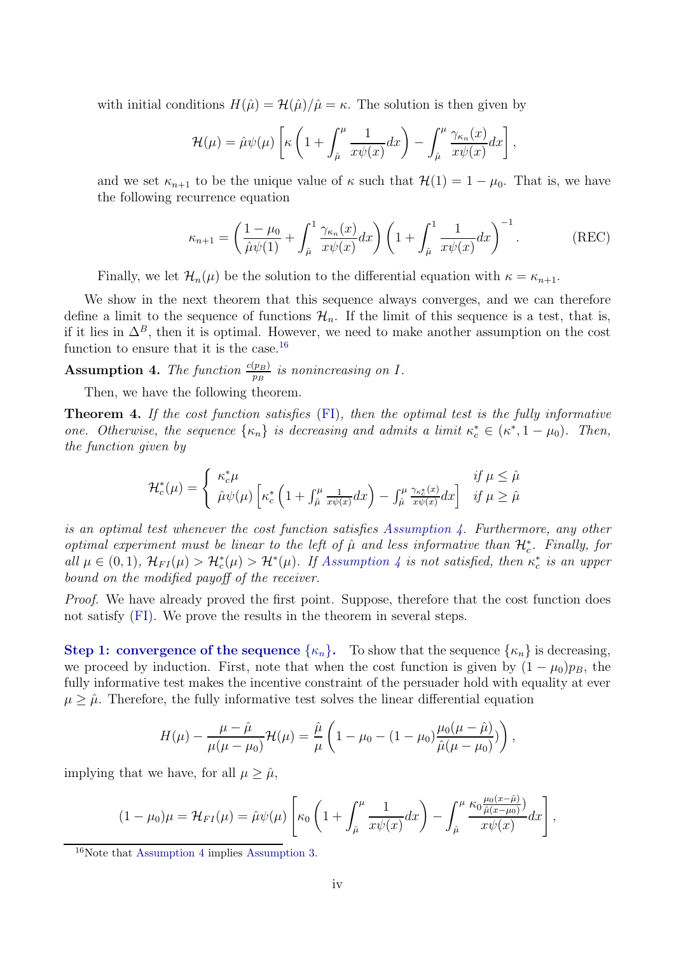with initial conditions  $H(\hat{\mu}) = \mathcal{H}(\hat{\mu})/\hat{\mu} = \kappa$ . The solution is then given by

$$
\mathcal{H}(\mu) = \hat{\mu}\psi(\mu) \left[ \kappa \left( 1 + \int_{\hat{\mu}}^{\mu} \frac{1}{x \psi(x)} dx \right) - \int_{\hat{\mu}}^{\mu} \frac{\gamma_{\kappa_n}(x)}{x \psi(x)} dx \right],
$$

and we set  $\kappa_{n+1}$  to be the unique value of  $\kappa$  such that  $\mathcal{H}(1) = 1 - \mu_0$ . That is, we have the following recurrence equation

$$
\kappa_{n+1} = \left(\frac{1-\mu_0}{\hat{\mu}\psi(1)} + \int_{\hat{\mu}}^1 \frac{\gamma_{\kappa_n}(x)}{x\psi(x)} dx\right) \left(1 + \int_{\hat{\mu}}^1 \frac{1}{x\psi(x)} dx\right)^{-1}.
$$
 (REC)

Finally, we let  $\mathcal{H}_n(\mu)$  be the solution to the differential equation with  $\kappa = \kappa_{n+1}$ .

We show in the next theorem that this sequence always converges, and we can therefore define a limit to the sequence of functions  $\mathcal{H}_n$ . If the limit of this sequence is a test, that is, if it lies in  $\Delta^B$ , then it is optimal. However, we need to make another assumption on the cost function to ensure that it is the case.<sup>16</sup>

**Assumption 4.** The function  $\frac{c(p_B)}{p_B}$  is nonincreasing on I.

Then, we have the following theorem.

Theorem 4. If the cost function satisfies (FI), then the optimal test is the fully informative one. Otherwise, the sequence  $\{\kappa_n\}$  is decreasing and admits a limit  $\kappa_c^* \in (\kappa^*, 1 - \mu_0)$ . Then, the function given by

$$
\mathcal{H}_c^*(\mu) = \begin{cases} \kappa_c^* \mu & \text{if } \mu \leq \hat{\mu} \\ \hat{\mu}\psi(\mu) \left[\kappa_c^* \left(1 + \int_{\hat{\mu}}^{\mu} \frac{1}{x\psi(x)} dx\right) - \int_{\hat{\mu}}^{\mu} \frac{\gamma_{\kappa_c^*}(x)}{x\psi(x)} dx\right] & \text{if } \mu \geq \hat{\mu} \end{cases}
$$

is an optimal test whenever the cost function satisfies Assumption  $\mu$ . Furthermore, any other optimal experiment must be linear to the left of  $\hat{\mu}$  and less informative than  $\mathcal{H}_c^*$ . Finally, for all  $\mu \in (0,1)$ ,  $\mathcal{H}_{FI}(\mu) > \mathcal{H}_{c}^{*}(\mu) > \mathcal{H}^{*}(\mu)$ . If Assumption 4 is not satisfied, then  $\kappa_c^*$  is an upper bound on the modified payoff of the receiver.

Proof. We have already proved the first point. Suppose, therefore that the cost function does not satisfy (FI). We prove the results in the theorem in several steps.

**Step 1: convergence of the sequence**  $\{\kappa_n\}$ . To show that the sequence  $\{\kappa_n\}$  is decreasing, we proceed by induction. First, note that when the cost function is given by  $(1 - \mu_0)p_B$ , the fully informative test makes the incentive constraint of the persuader hold with equality at ever  $\mu \geq \hat{\mu}$ . Therefore, the fully informative test solves the linear differential equation

$$
H(\mu) - \frac{\mu - \hat{\mu}}{\mu(\mu - \mu_0)} \mathcal{H}(\mu) = \frac{\hat{\mu}}{\mu} \left( 1 - \mu_0 - (1 - \mu_0) \frac{\mu_0(\mu - \hat{\mu})}{\hat{\mu}(\mu - \mu_0)} \right),
$$

implying that we have, for all  $\mu \geq \hat{\mu}$ ,

$$
(1 - \mu_0)\mu = \mathcal{H}_{FI}(\mu) = \hat{\mu}\psi(\mu) \left[ \kappa_0 \left( 1 + \int_{\hat{\mu}}^{\mu} \frac{1}{x\psi(x)} dx \right) - \int_{\hat{\mu}}^{\mu} \frac{\kappa_0 \frac{\mu_0(x - \hat{\mu})}{\hat{\mu}(x - \mu_0)}}{x\psi(x)} dx \right],
$$

<sup>16</sup>Note that Assumption 4 implies Assumption 3.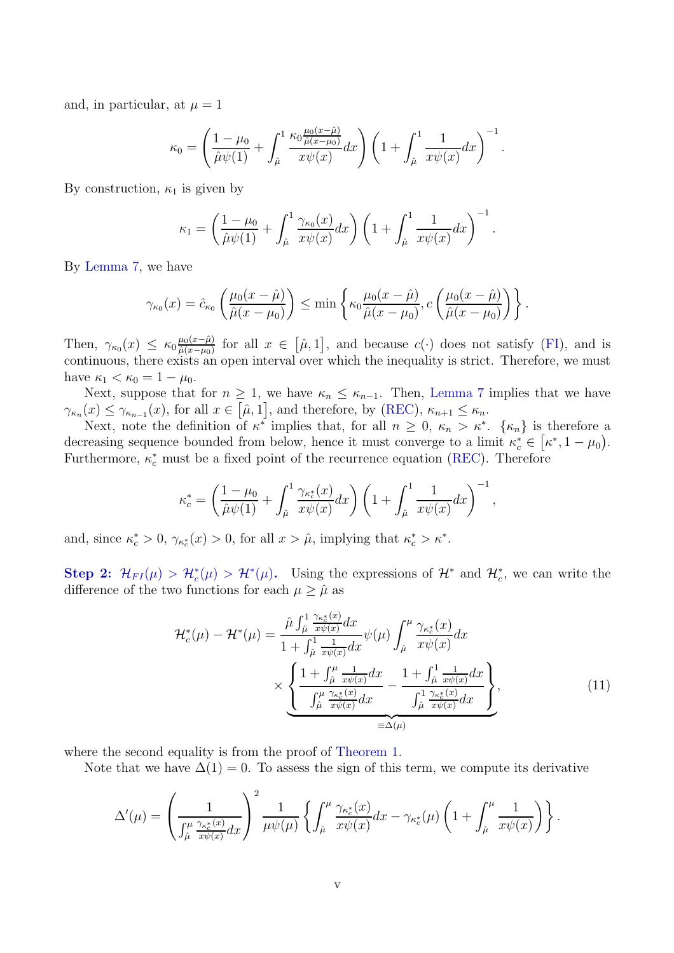and, in particular, at  $\mu = 1$ 

$$
\kappa_0 = \left(\frac{1-\mu_0}{\hat{\mu}\psi(1)} + \int_{\hat{\mu}}^1 \frac{\kappa_0 \frac{\mu_0(x-\hat{\mu})}{\hat{\mu}(x-\mu_0)}}{x\psi(x)} dx\right) \left(1 + \int_{\hat{\mu}}^1 \frac{1}{x\psi(x)} dx\right)^{-1}.
$$

By construction,  $\kappa_1$  is given by

$$
\kappa_1 = \left(\frac{1-\mu_0}{\hat{\mu}\psi(1)} + \int_{\hat{\mu}}^1 \frac{\gamma_{\kappa_0}(x)}{x\psi(x)} dx\right) \left(1 + \int_{\hat{\mu}}^1 \frac{1}{x\psi(x)} dx\right)^{-1}.
$$

By Lemma 7, we have

$$
\gamma_{\kappa_0}(x) = \hat{c}_{\kappa_0}\left(\frac{\mu_0(x-\hat{\mu})}{\hat{\mu}(x-\mu_0)}\right) \le \min\left\{\kappa_0\frac{\mu_0(x-\hat{\mu})}{\hat{\mu}(x-\mu_0)}, c\left(\frac{\mu_0(x-\hat{\mu})}{\hat{\mu}(x-\mu_0)}\right)\right\}.
$$

Then,  $\gamma_{\kappa_0}(x) \leq \kappa_0 \frac{\mu_0(x-\hat{\mu})}{\hat{\mu}(x-\mu_0)}$  $\frac{\mu_0(x-\hat{\mu})}{\hat{\mu}(x-\mu_0)}$  for all  $x \in [\hat{\mu},1]$ , and because  $c(\cdot)$  does not satisfy (FI), and is continuous, there exists an open interval over which the inequality is strict. Therefore, we must have  $\kappa_1 < \kappa_0 = 1 - \mu_0$ .

Next, suppose that for  $n \geq 1$ , we have  $\kappa_n \leq \kappa_{n-1}$ . Then, Lemma 7 implies that we have  $\gamma_{\kappa_n}(x) \leq \gamma_{\kappa_{n-1}}(x)$ , for all  $x \in [\hat{\mu}, 1]$ , and therefore, by (REC),  $\kappa_{n+1} \leq \kappa_n$ .

Next, note the definition of  $\kappa^*$  implies that, for all  $n \geq 0$ ,  $\kappa_n > \kappa^*$ .  $\{\kappa_n\}$  is therefore a decreasing sequence bounded from below, hence it must converge to a limit  $\kappa_c^* \in [\kappa^*, 1 - \mu_0)$ . Furthermore,  $\kappa_c^*$  must be a fixed point of the recurrence equation (REC). Therefore

$$
\kappa_c^* = \left(\frac{1-\mu_0}{\hat{\mu}\psi(1)} + \int_{\hat{\mu}}^1 \frac{\gamma_{\kappa_c^*}(x)}{x\psi(x)} dx\right) \left(1 + \int_{\hat{\mu}}^1 \frac{1}{x\psi(x)} dx\right)^{-1},
$$

and, since  $\kappa_c^* > 0$ ,  $\gamma_{\kappa_c^*}(x) > 0$ , for all  $x > \hat{\mu}$ , implying that  $\kappa_c^* > \kappa^*$ .

Step 2:  $\mathcal{H}_{FI}(\mu) > \mathcal{H}_{c}^{*}(\mu) > \mathcal{H}^{*}(\mu)$ . Using the expressions of  $\mathcal{H}^{*}$  and  $\mathcal{H}_{c}^{*}$ , we can write the difference of the two functions for each  $\mu \geq \hat{\mu}$  as

$$
\mathcal{H}_c^*(\mu) - \mathcal{H}^*(\mu) = \frac{\hat{\mu} \int_{\hat{\mu}}^1 \frac{\gamma_{\kappa_c^*(x)}}{x \psi(x)} dx}{1 + \int_{\hat{\mu}}^1 \frac{1}{x \psi(x)} dx} \psi(\mu) \int_{\hat{\mu}}^{\mu} \frac{\gamma_{\kappa_c^*(x)}}{x \psi(x)} dx
$$

$$
\times \left\{ \frac{1 + \int_{\hat{\mu}}^{\mu} \frac{1}{x \psi(x)} dx}{\int_{\hat{\mu}}^{\mu} \frac{\gamma_{\kappa_c^*(x)}}{x \psi(x)} dx} - \frac{1 + \int_{\hat{\mu}}^1 \frac{1}{x \psi(x)} dx}{\int_{\hat{\mu}}^1 \frac{\gamma_{\kappa_c^*(x)}}{x \psi(x)} dx} \right\},
$$
(11)

where the second equality is from the proof of Theorem 1.

Note that we have  $\Delta(1) = 0$ . To assess the sign of this term, we compute its derivative

$$
\Delta'(\mu) = \left(\frac{1}{\int_{\hat{\mu}}^{\mu} \frac{\gamma_{\kappa_c^*(x)}}{x \psi(x)} dx}\right)^2 \frac{1}{\mu \psi(\mu)} \left\{ \int_{\hat{\mu}}^{\mu} \frac{\gamma_{\kappa_c^*(x)}}{x \psi(x)} dx - \gamma_{\kappa_c^*(\mu)} \left(1 + \int_{\hat{\mu}}^{\mu} \frac{1}{x \psi(x)}\right) \right\}.
$$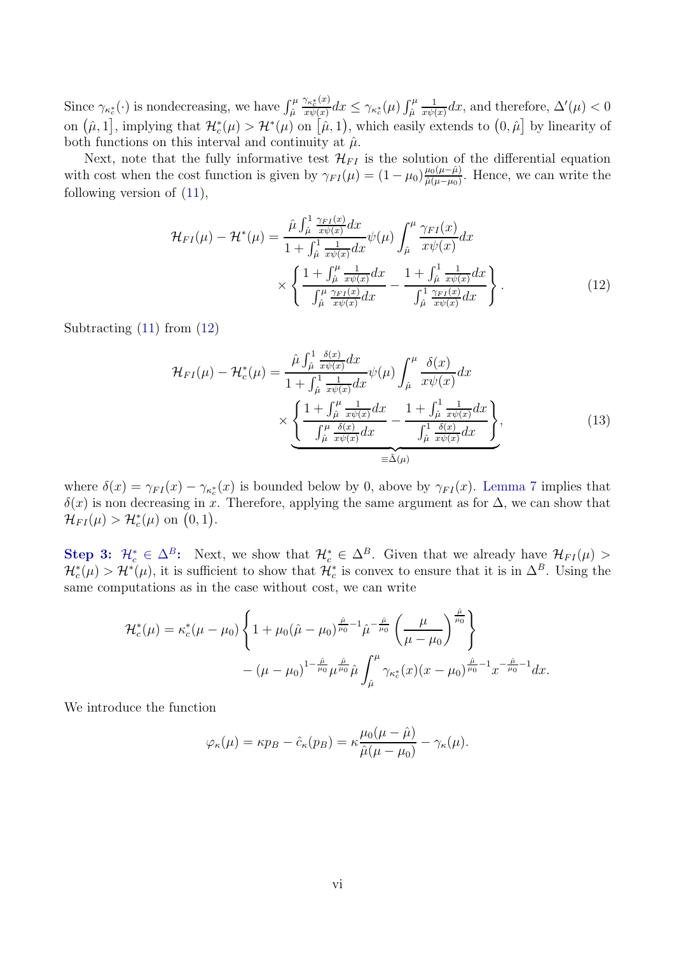Since  $\gamma_{\kappa_c^*}(\cdot)$  is nondecreasing, we have  $\int_{\hat{\mu}}^{\mu}$  $\gamma_{\kappa_{c}^{\ast}}(x)$  $\frac{\gamma_{\kappa_c^*(x)}}{x\psi(x)}dx\leq \gamma_{\kappa_c^*}(\mu)\int_{\hat\mu}^{\mu}$ 1  $\frac{1}{x\psi(x)}dx$ , and therefore,  $\Delta'(\mu) < 0$ on  $(\hat{\mu}, 1]$ , implying that  $\mathcal{H}_c^*(\mu) > \mathcal{H}^*(\mu)$  on  $[\hat{\mu}, 1]$ , which easily extends to  $(0, \hat{\mu}]$  by linearity of both functions on this interval and continuity at  $\hat{\mu}$ .

Next, note that the fully informative test  $\mathcal{H}_{FI}$  is the solution of the differential equation with cost when the cost function is given by  $\gamma_{FI}(\mu) = (1 - \mu_0) \frac{\mu_0(\mu - \hat{\mu})}{\hat{\mu}(\mu - \mu_0)}$  $\frac{\mu_0(\mu-\mu)}{\hat{\mu}(\mu-\mu_0)}$ . Hence, we can write the following version of (11),

$$
\mathcal{H}_{FI}(\mu) - \mathcal{H}^*(\mu) = \frac{\hat{\mu} \int_{\hat{\mu}}^1 \frac{\gamma_{FI}(x)}{x\psi(x)} dx}{1 + \int_{\hat{\mu}}^1 \frac{1}{x\psi(x)} dx} \psi(\mu) \int_{\hat{\mu}}^{\mu} \frac{\gamma_{FI}(x)}{x\psi(x)} dx
$$

$$
\times \left\{ \frac{1 + \int_{\hat{\mu}}^{\mu} \frac{1}{x\psi(x)} dx}{\int_{\hat{\mu}}^{\mu} \frac{\gamma_{FI}(x)}{x\psi(x)} dx} - \frac{1 + \int_{\hat{\mu}}^1 \frac{1}{x\psi(x)} dx}{\int_{\hat{\mu}}^1 \frac{\gamma_{FI}(x)}{x\psi(x)} dx} \right\}.
$$
(12)

Subtracting (11) from (12)

$$
\mathcal{H}_{FI}(\mu) - \mathcal{H}_c^*(\mu) = \frac{\hat{\mu} \int_{\hat{\mu}}^1 \frac{\delta(x)}{x \psi(x)} dx}{1 + \int_{\hat{\mu}}^1 \frac{1}{x \psi(x)} dx} \psi(\mu) \int_{\hat{\mu}}^{\mu} \frac{\delta(x)}{x \psi(x)} dx
$$

$$
\times \underbrace{\left\{ \frac{1 + \int_{\hat{\mu}}^{\mu} \frac{1}{x \psi(x)} dx}{\int_{\hat{\mu}}^{\mu} \frac{\delta(x)}{x \psi(x)} dx} - \frac{1 + \int_{\hat{\mu}}^1 \frac{1}{x \psi(x)} dx}{\int_{\hat{\mu}}^1 \frac{\delta(x)}{x \psi(x)} dx} \right\}}_{\equiv \tilde{\Delta}(\mu)},
$$
(13)

where  $\delta(x) = \gamma_{FI}(x) - \gamma_{\kappa_c^*}(x)$  is bounded below by 0, above by  $\gamma_{FI}(x)$ . Lemma 7 implies that  $\delta(x)$  is non decreasing in x. Therefore, applying the same argument as for  $\Delta$ , we can show that  $\mathcal{H}_{FI}(\mu) > \mathcal{H}_{c}^{*}(\mu)$  on  $(0,1)$ .

Step 3:  $\mathcal{H}_c^* \in \Delta^B$ : Next, we show that  $\mathcal{H}_c^* \in \Delta^B$ . Given that we already have  $\mathcal{H}_{FI}(\mu)$  >  $\mathcal{H}_c^*(\mu) > \mathcal{H}^*(\mu)$ , it is sufficient to show that  $\mathcal{H}_c^*$  is convex to ensure that it is in  $\Delta^B$ . Using the same computations as in the case without cost, we can write

$$
\mathcal{H}_c^*(\mu) = \kappa_c^*(\mu - \mu_0) \left\{ 1 + \mu_0 (\hat{\mu} - \mu_0)^{\frac{\hat{\mu}}{\mu_0} - 1} \hat{\mu}^{-\frac{\hat{\mu}}{\mu_0}} \left( \frac{\mu}{\mu - \mu_0} \right)^{\frac{\hat{\mu}}{\mu_0}} \right\} - (\mu - \mu_0)^{1 - \frac{\hat{\mu}}{\mu_0}} \mu^{\frac{\hat{\mu}}{\mu_0}} \hat{\mu} \int_{\hat{\mu}}^{\mu} \gamma_{\kappa_c^*}(x) (x - \mu_0)^{\frac{\hat{\mu}}{\mu_0} - 1} x^{-\frac{\hat{\mu}}{\mu_0} - 1} dx.
$$

We introduce the function

$$
\varphi_{\kappa}(\mu) = \kappa p_B - \hat{c}_{\kappa}(p_B) = \kappa \frac{\mu_0(\mu - \hat{\mu})}{\hat{\mu}(\mu - \mu_0)} - \gamma_{\kappa}(\mu).
$$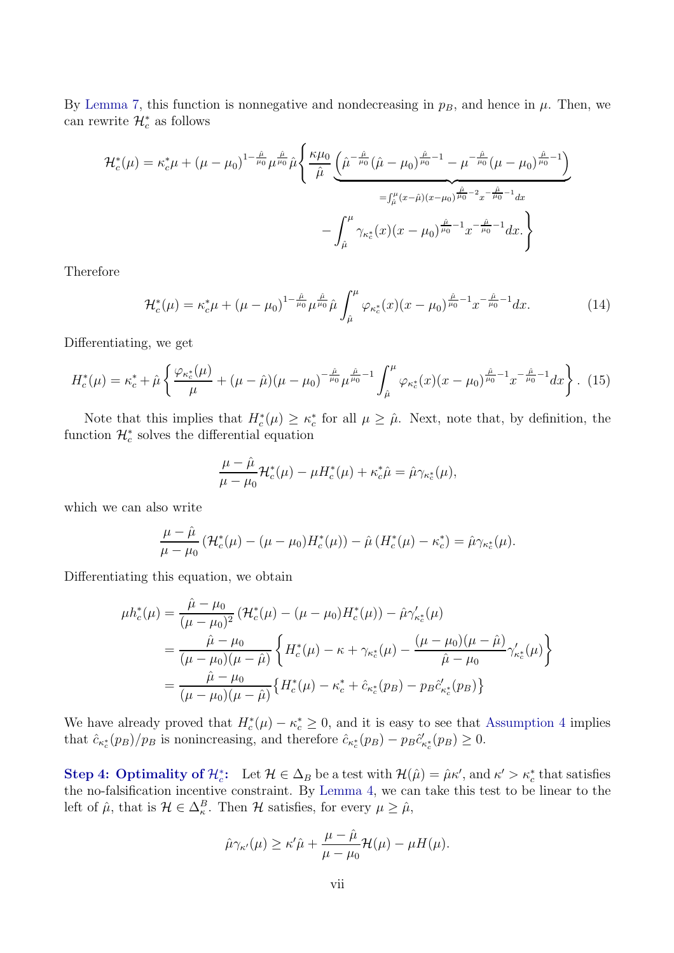By Lemma 7, this function is nonnegative and nondecreasing in  $p_B$ , and hence in  $\mu$ . Then, we can rewrite  $\mathcal{H}_c^*$  as follows

$$
\mathcal{H}_{c}^{*}(\mu) = \kappa_{c}^{*}\mu + (\mu - \mu_{0})^{1 - \frac{\hat{\mu}}{\mu_{0}}}\mu^{\frac{\hat{\mu}}{\mu_{0}}}\hat{\mu} \left\{ \frac{\kappa\mu_{0}}{\hat{\mu}} \underbrace{\left(\hat{\mu}^{-\frac{\hat{\mu}}{\mu_{0}}}(\hat{\mu} - \mu_{0})^{\frac{\hat{\mu}}{\mu_{0}}-1} - \mu^{-\frac{\hat{\mu}}{\mu_{0}}}(\mu - \mu_{0})^{\frac{\hat{\mu}}{\mu_{0}}-1}\right)}_{=\int_{\hat{\mu}}^{\mu} (x - \hat{\mu})(x - \mu_{0})^{\frac{\hat{\mu}}{\mu_{0}}-2} x^{-\frac{\hat{\mu}}{\mu_{0}}-1} dx} - \int_{\hat{\mu}}^{\mu} \gamma_{\kappa_{c}^{*}}(x)(x - \mu_{0})^{\frac{\hat{\mu}}{\mu_{0}}-1} x^{-\frac{\hat{\mu}}{\mu_{0}}-1} dx.
$$

Therefore

$$
\mathcal{H}_c^*(\mu) = \kappa_c^* \mu + (\mu - \mu_0)^{1 - \frac{\hat{\mu}}{\mu_0}} \mu^{\frac{\hat{\mu}}{\mu_0}} \hat{\mu} \int_{\hat{\mu}}^{\mu} \varphi_{\kappa_c^*}(x) (x - \mu_0)^{\frac{\hat{\mu}}{\mu_0} - 1} x^{-\frac{\hat{\mu}}{\mu_0} - 1} dx.
$$
 (14)

Differentiating, we get

$$
H_c^*(\mu) = \kappa_c^* + \hat{\mu} \left\{ \frac{\varphi_{\kappa_c^*}(\mu)}{\mu} + (\mu - \hat{\mu})(\mu - \mu_0)^{-\frac{\hat{\mu}}{\mu_0}} \mu^{\frac{\hat{\mu}}{\mu_0} - 1} \int_{\hat{\mu}}^{\mu} \varphi_{\kappa_c^*}(x) (x - \mu_0)^{\frac{\hat{\mu}}{\mu_0} - 1} x^{-\frac{\hat{\mu}}{\mu_0} - 1} dx \right\}.
$$
 (15)

Note that this implies that  $H_c^*(\mu) \geq \kappa_c^*$  for all  $\mu \geq \hat{\mu}$ . Next, note that, by definition, the function  $\mathcal{H}_c^*$  solves the differential equation

$$
\frac{\mu - \hat{\mu}}{\mu - \mu_0} \mathcal{H}_c^*(\mu) - \mu H_c^*(\mu) + \kappa_c^* \hat{\mu} = \hat{\mu} \gamma_{\kappa_c^*}(\mu),
$$

which we can also write

$$
\frac{\mu - \hat{\mu}}{\mu - \mu_0} \left( \mathcal{H}_c^*(\mu) - (\mu - \mu_0) H_c^*(\mu) \right) - \hat{\mu} \left( H_c^*(\mu) - \kappa_c^* \right) = \hat{\mu} \gamma_{\kappa_c^*}(\mu).
$$

Differentiating this equation, we obtain

$$
\mu h_c^*(\mu) = \frac{\hat{\mu} - \mu_0}{(\mu - \mu_0)^2} (\mathcal{H}_c^*(\mu) - (\mu - \mu_0) H_c^*(\mu)) - \hat{\mu} \gamma_{\kappa_c^*}(\mu)
$$
  
= 
$$
\frac{\hat{\mu} - \mu_0}{(\mu - \mu_0)(\mu - \hat{\mu})} \left\{ H_c^*(\mu) - \kappa + \gamma_{\kappa_c^*}(\mu) - \frac{(\mu - \mu_0)(\mu - \hat{\mu})}{\hat{\mu} - \mu_0} \gamma_{\kappa_c^*}(\mu) \right\}
$$
  
= 
$$
\frac{\hat{\mu} - \mu_0}{(\mu - \mu_0)(\mu - \hat{\mu})} \left\{ H_c^*(\mu) - \kappa_c^* + \hat{c}_{\kappa_c^*}(p_B) - p_B \hat{c}_{\kappa_c^*}(\mu_B) \right\}
$$

We have already proved that  $H_c^*(\mu) - \kappa_c^* \geq 0$ , and it is easy to see that Assumption 4 implies that  $\hat{c}_{\kappa_c^*}(p_B)/p_B$  is nonincreasing, and therefore  $\hat{c}_{\kappa_c^*}(p_B) - p_B \hat{c}'_{\kappa_c^*}(p_B) \geq 0$ .

Step 4: Optimality of  $\mathcal{H}_c^*$ : Let  $\mathcal{H} \in \Delta_B$  be a test with  $\mathcal{H}(\hat{\mu}) = \hat{\mu}\kappa'$ , and  $\kappa' > \kappa_c^*$  that satisfies the no-falsification incentive constraint. By Lemma 4, we can take this test to be linear to the left of  $\hat{\mu}$ , that is  $\mathcal{H} \in \Delta_{\kappa}^B$ . Then  $\mathcal{H}$  satisfies, for every  $\mu \geq \hat{\mu}$ ,

$$
\hat{\mu}\gamma_{\kappa'}(\mu) \geq \kappa' \hat{\mu} + \frac{\mu - \hat{\mu}}{\mu - \mu_0} \mathcal{H}(\mu) - \mu H(\mu).
$$